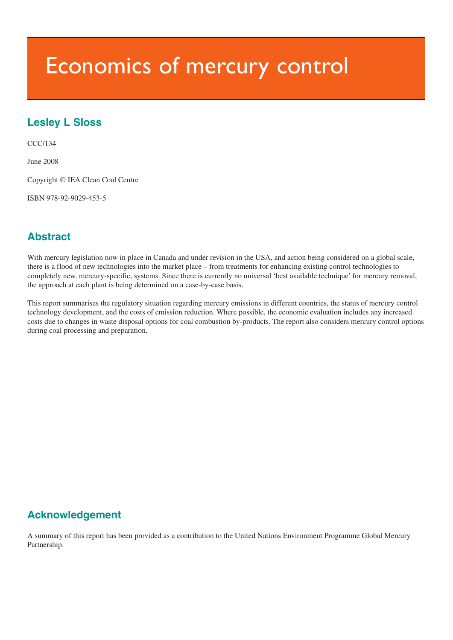# Economics of mercury control

# **Lesley L Sloss**

CCC/134

June 2008

Copyright © IEA Clean Coal Centre

ISBN 978-92-9029-453-5

# **Abstract**

With mercury legislation now in place in Canada and under revision in the USA, and action being considered on a global scale, there is a flood of new technologies into the market place – from treatments for enhancing existing control technologies to completely new, mercury-specific, systems. Since there is currently no universal 'best available technique' for mercury removal, the approach at each plant is being determined on a case-by-case basis.

This report summarises the regulatory situation regarding mercury emissions in different countries, the status of mercury control technology development, and the costs of emission reduction. Where possible, the economic evaluation includes any increased costs due to changes in waste disposal options for coal combustion by-products. The report also considers mercury control options during coal processing and preparation.

# **Acknowledgement**

A summary of this report has been provided as a contribution to the United Nations Environment Programme Global Mercury Partnership.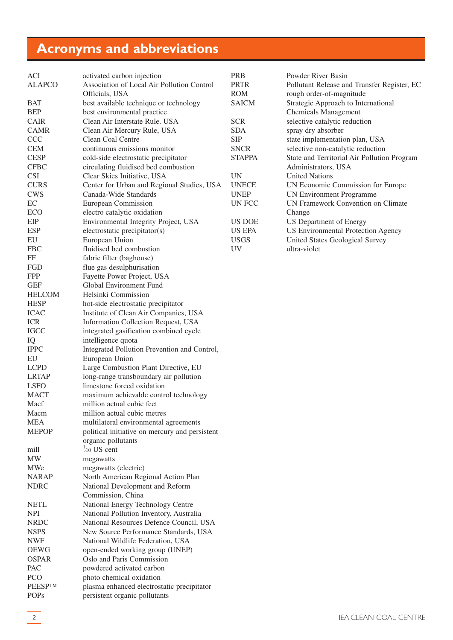# <span id="page-1-0"></span>**Acronyms and abbreviations**

| ACI                             | activated carbon injection                     | <b>PRB</b>    | Powder River Basin                          |
|---------------------------------|------------------------------------------------|---------------|---------------------------------------------|
| <b>ALAPCO</b>                   | Association of Local Air Pollution Control     | <b>PRTR</b>   | Pollutant Release and Transfer Register, EC |
|                                 | Officials, USA                                 | <b>ROM</b>    | rough order-of-magnitude                    |
| <b>BAT</b>                      | best available technique or technology         | <b>SAICM</b>  | Strategic Approach to International         |
| <b>BEP</b>                      | best environmental practice                    |               | <b>Chemicals Management</b>                 |
| CAIR                            | Clean Air Interstate Rule. USA                 | <b>SCR</b>    | selective catalytic reduction               |
| <b>CAMR</b>                     | Clean Air Mercury Rule, USA                    | <b>SDA</b>    | spray dry absorber                          |
| <b>CCC</b>                      | Clean Coal Centre                              | <b>SIP</b>    | state implementation plan, USA              |
| <b>CEM</b>                      | continuous emissions monitor                   | <b>SNCR</b>   | selective non-catalytic reduction           |
| <b>CESP</b>                     | cold-side electrostatic precipitator           | <b>STAPPA</b> | State and Territorial Air Pollution Program |
| <b>CFBC</b>                     | circulating fluidised bed combustion           |               |                                             |
| <b>CSI</b>                      |                                                |               | Administrators, USA                         |
|                                 | Clear Skies Initiative, USA                    | <b>UN</b>     | <b>United Nations</b>                       |
| <b>CURS</b>                     | Center for Urban and Regional Studies, USA     | <b>UNECE</b>  | UN Economic Commission for Europe           |
| <b>CWS</b>                      | Canada-Wide Standards                          | <b>UNEP</b>   | <b>UN Environment Programme</b>             |
| EC                              | <b>European Commission</b>                     | UN FCC        | UN Framework Convention on Climate          |
| ECO                             | electro catalytic oxidation                    |               | Change                                      |
| EIP                             | Environmental Integrity Project, USA           | US DOE        | US Department of Energy                     |
| <b>ESP</b>                      | electrostatic precipitator(s)                  | <b>US EPA</b> | <b>US Environmental Protection Agency</b>   |
| EU                              | European Union                                 | <b>USGS</b>   | United States Geological Survey             |
| <b>FBC</b>                      | fluidised bed combustion                       | <b>UV</b>     | ultra-violet                                |
| FF                              | fabric filter (baghouse)                       |               |                                             |
| FGD                             | flue gas desulphurisation                      |               |                                             |
| <b>FPP</b>                      | Fayette Power Project, USA                     |               |                                             |
| <b>GEF</b>                      | Global Environment Fund                        |               |                                             |
| <b>HELCOM</b>                   | Helsinki Commission                            |               |                                             |
| <b>HESP</b>                     | hot-side electrostatic precipitator            |               |                                             |
| <b>ICAC</b>                     | Institute of Clean Air Companies, USA          |               |                                             |
| <b>ICR</b>                      | Information Collection Request, USA            |               |                                             |
| <b>IGCC</b>                     | integrated gasification combined cycle         |               |                                             |
|                                 | intelligence quota                             |               |                                             |
| IQ<br><b>IPPC</b>               |                                                |               |                                             |
|                                 | Integrated Pollution Prevention and Control,   |               |                                             |
| EU                              | European Union                                 |               |                                             |
| <b>LCPD</b>                     | Large Combustion Plant Directive, EU           |               |                                             |
| <b>LRTAP</b>                    | long-range transboundary air pollution         |               |                                             |
| <b>LSFO</b>                     | limestone forced oxidation                     |               |                                             |
| <b>MACT</b>                     | maximum achievable control technology          |               |                                             |
| Macf                            | million actual cubic feet                      |               |                                             |
| Macm                            | million actual cubic metres                    |               |                                             |
| <b>MEA</b>                      | multilateral environmental agreements          |               |                                             |
| <b>MEPOP</b>                    | political initiative on mercury and persistent |               |                                             |
|                                 | organic pollutants                             |               |                                             |
| mill                            | $1/10$ US cent                                 |               |                                             |
| $\ensuremath{\text{MW}}\xspace$ | megawatts                                      |               |                                             |
| MWe                             | megawatts (electric)                           |               |                                             |
| <b>NARAP</b>                    | North American Regional Action Plan            |               |                                             |
| <b>NDRC</b>                     | National Development and Reform                |               |                                             |
|                                 | Commission, China                              |               |                                             |
| <b>NETL</b>                     | National Energy Technology Centre              |               |                                             |
| <b>NPI</b>                      | National Pollution Inventory, Australia        |               |                                             |
| <b>NRDC</b>                     | National Resources Defence Council, USA        |               |                                             |
| <b>NSPS</b>                     | New Source Performance Standards, USA          |               |                                             |
| <b>NWF</b>                      | National Wildlife Federation, USA              |               |                                             |
| <b>OEWG</b>                     | open-ended working group (UNEP)                |               |                                             |
| <b>OSPAR</b>                    | Oslo and Paris Commission                      |               |                                             |
|                                 |                                                |               |                                             |
| PAC                             | powdered activated carbon                      |               |                                             |
| PCO                             | photo chemical oxidation                       |               |                                             |
| <b>PEESPTM</b>                  | plasma enhanced electrostatic precipitator     |               |                                             |
| <b>POPs</b>                     | persistent organic pollutants                  |               |                                             |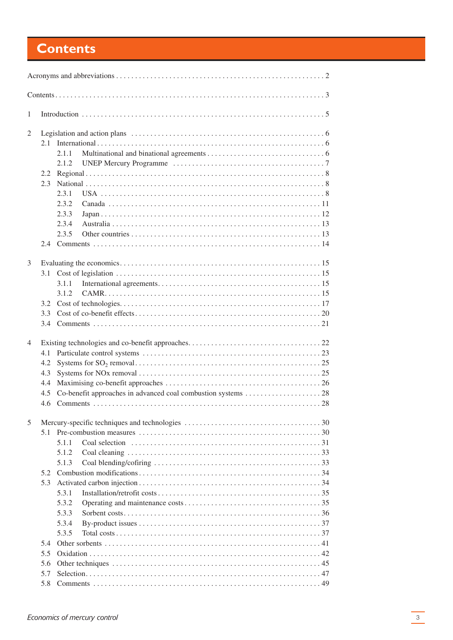# <span id="page-2-0"></span>**Contents**

| $\mathbf{1}$ |     |       |  |  |  |  |  |  |  |  |
|--------------|-----|-------|--|--|--|--|--|--|--|--|
| 2            |     |       |  |  |  |  |  |  |  |  |
|              | 2.1 |       |  |  |  |  |  |  |  |  |
|              |     | 2.1.1 |  |  |  |  |  |  |  |  |
|              |     | 2.1.2 |  |  |  |  |  |  |  |  |
|              | 2.2 |       |  |  |  |  |  |  |  |  |
|              | 2.3 |       |  |  |  |  |  |  |  |  |
|              |     | 2.3.1 |  |  |  |  |  |  |  |  |
|              |     | 2.3.2 |  |  |  |  |  |  |  |  |
|              |     | 2.3.3 |  |  |  |  |  |  |  |  |
|              |     | 2.3.4 |  |  |  |  |  |  |  |  |
|              |     | 2.3.5 |  |  |  |  |  |  |  |  |
|              |     |       |  |  |  |  |  |  |  |  |
|              |     |       |  |  |  |  |  |  |  |  |
| 3            |     |       |  |  |  |  |  |  |  |  |
|              |     |       |  |  |  |  |  |  |  |  |
|              |     | 3.1.1 |  |  |  |  |  |  |  |  |
|              |     | 3.1.2 |  |  |  |  |  |  |  |  |
|              | 3.2 |       |  |  |  |  |  |  |  |  |
|              | 3.3 |       |  |  |  |  |  |  |  |  |
|              |     |       |  |  |  |  |  |  |  |  |
|              |     |       |  |  |  |  |  |  |  |  |
| 4            |     |       |  |  |  |  |  |  |  |  |
|              | 4.1 |       |  |  |  |  |  |  |  |  |
|              | 4.2 |       |  |  |  |  |  |  |  |  |
|              | 4.3 |       |  |  |  |  |  |  |  |  |
|              | 4.4 |       |  |  |  |  |  |  |  |  |
|              | 4.5 |       |  |  |  |  |  |  |  |  |
|              | 4.6 |       |  |  |  |  |  |  |  |  |
|              |     |       |  |  |  |  |  |  |  |  |
| 5            |     |       |  |  |  |  |  |  |  |  |
|              | 5.1 |       |  |  |  |  |  |  |  |  |
|              |     | 5.1.1 |  |  |  |  |  |  |  |  |
|              |     | 5.1.2 |  |  |  |  |  |  |  |  |
|              |     | 5.1.3 |  |  |  |  |  |  |  |  |
|              | 5.2 |       |  |  |  |  |  |  |  |  |
|              | 5.3 |       |  |  |  |  |  |  |  |  |
|              |     | 5.3.1 |  |  |  |  |  |  |  |  |
|              |     | 5.3.2 |  |  |  |  |  |  |  |  |
|              |     | 5.3.3 |  |  |  |  |  |  |  |  |
|              |     | 5.3.4 |  |  |  |  |  |  |  |  |
|              |     | 5.3.5 |  |  |  |  |  |  |  |  |
|              | 5.4 |       |  |  |  |  |  |  |  |  |
|              | 5.5 |       |  |  |  |  |  |  |  |  |
|              | 5.6 |       |  |  |  |  |  |  |  |  |
|              | 5.7 |       |  |  |  |  |  |  |  |  |
|              | 5.8 |       |  |  |  |  |  |  |  |  |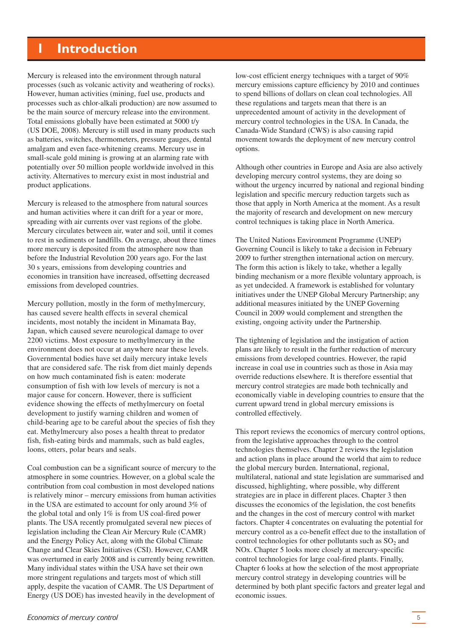# <span id="page-4-0"></span>**1 Introduction**

Mercury is released into the environment through natural processes (such as volcanic activity and weathering of rocks). However, human activities (mining, fuel use, products and processes such as chlor-alkali production) are now assumed to be the main source of mercury release into the environment. Total emissions globally have been estimated at 5000 t/y (US DOE, 2008). Mercury is still used in many products such as batteries, switches, thermometers, pressure gauges, dental amalgam and even face-whitening creams. Mercury use in small-scale gold mining is growing at an alarming rate with potentially over 50 million people worldwide involved in this activity. Alternatives to mercury exist in most industrial and product applications.

Mercury is released to the atmosphere from natural sources and human activities where it can drift for a year or more, spreading with air currents over vast regions of the globe. Mercury circulates between air, water and soil, until it comes to rest in sediments or landfills. On average, about three times more mercury is deposited from the atmosphere now than before the Industrial Revolution 200 years ago. For the last 30 s years, emissions from developing countries and economies in transition have increased, offsetting decreased emissions from developed countries.

Mercury pollution, mostly in the form of methylmercury, has caused severe health effects in several chemical incidents, most notably the incident in Minamata Bay, Japan, which caused severe neurological damage to over 2200 victims. Most exposure to methylmercury in the environment does not occur at anywhere near these levels. Governmental bodies have set daily mercury intake levels that are considered safe. The risk from diet mainly depends on how much contaminated fish is eaten: moderate consumption of fish with low levels of mercury is not a major cause for concern. However, there is sufficient evidence showing the effects of methylmercury on foetal development to justify warning children and women of child-bearing age to be careful about the species of fish they eat. Methylmercury also poses a health threat to predator fish, fish-eating birds and mammals, such as bald eagles, loons, otters, polar bears and seals.

Coal combustion can be a significant source of mercury to the atmosphere in some countries. However, on a global scale the contribution from coal combustion in most developed nations is relatively minor – mercury emissions from human activities in the USA are estimated to account for only around 3% of the global total and only 1% is from US coal-fired power plants. The USA recently promulgated several new pieces of legislation including the Clean Air Mercury Rule (CAMR) and the Energy Policy Act, along with the Global Climate Change and Clear Skies Initiatives (CSI). However, CAMR was overturned in early 2008 and is currently being rewritten. Many individual states within the USA have set their own more stringent regulations and targets most of which still apply, despite the vacation of CAMR. The US Department of Energy (US DOE) has invested heavily in the development of

low-cost efficient energy techniques with a target of 90% mercury emissions capture efficiency by 2010 and continues to spend billions of dollars on clean coal technologies. All these regulations and targets mean that there is an unprecedented amount of activity in the development of mercury control technologies in the USA. In Canada, the Canada-Wide Standard (CWS) is also causing rapid movement towards the deployment of new mercury control options.

Although other countries in Europe and Asia are also actively developing mercury control systems, they are doing so without the urgency incurred by national and regional binding legislation and specific mercury reduction targets such as those that apply in North America at the moment. As a result the majority of research and development on new mercury control techniques is taking place in North America.

The United Nations Environment Programme (UNEP) Governing Council is likely to take a decision in February 2009 to further strengthen international action on mercury. The form this action is likely to take, whether a legally binding mechanism or a more flexible voluntary approach, is as yet undecided. A framework is established for voluntary initiatives under the UNEP Global Mercury Partnership; any additional measures initiated by the UNEP Governing Council in 2009 would complement and strengthen the existing, ongoing activity under the Partnership.

The tightening of legislation and the instigation of action plans are likely to result in the further reduction of mercury emissions from developed countries. However, the rapid increase in coal use in countries such as those in Asia may override reductions elsewhere. It is therefore essential that mercury control strategies are made both technically and economically viable in developing countries to ensure that the current upward trend in global mercury emissions is controlled effectively.

This report reviews the economics of mercury control options, from the legislative approaches through to the control technologies themselves. Chapter 2 reviews the legislation and action plans in place around the world that aim to reduce the global mercury burden. International, regional, multilateral, national and state legislation are summarised and discussed, highlighting, where possible, why different strategies are in place in different places. Chapter 3 then discusses the economics of the legislation, the cost benefits and the changes in the cost of mercury control with market factors. Chapter 4 concentrates on evaluating the potential for mercury control as a co-benefit effect due to the installation of control technologies for other pollutants such as  $SO<sub>2</sub>$  and NOx. Chapter 5 looks more closely at mercury-specific control technologies for large coal-fired plants. Finally, Chapter 6 looks at how the selection of the most appropriate mercury control strategy in developing countries will be determined by both plant specific factors and greater legal and economic issues.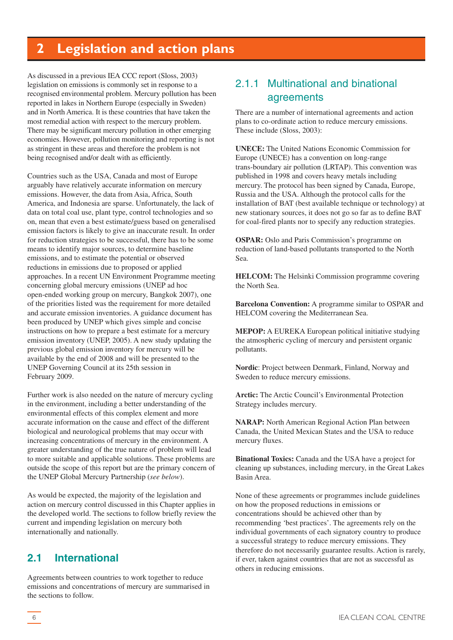# <span id="page-5-0"></span>**2 Legislation and action plans**

As discussed in a previous IEA CCC report (Sloss, 2003) legislation on emissions is commonly set in response to a recognised environmental problem. Mercury pollution has been reported in lakes in Northern Europe (especially in Sweden) and in North America. It is these countries that have taken the most remedial action with respect to the mercury problem. There may be significant mercury pollution in other emerging economies. However, pollution monitoring and reporting is not as stringent in these areas and therefore the problem is not being recognised and/or dealt with as efficiently.

Countries such as the USA, Canada and most of Europe arguably have relatively accurate information on mercury emissions. However, the data from Asia, Africa, South America, and Indonesia are sparse. Unfortunately, the lack of data on total coal use, plant type, control technologies and so on, mean that even a best estimate/guess based on generalised emission factors is likely to give an inaccurate result. In order for reduction strategies to be successful, there has to be some means to identify major sources, to determine baseline emissions, and to estimate the potential or observed reductions in emissions due to proposed or applied approaches. In a recent UN Environment Programme meeting concerning global mercury emissions (UNEP ad hoc open-ended working group on mercury, Bangkok 2007), one of the priorities listed was the requirement for more detailed and accurate emission inventories. A guidance document has been produced by UNEP which gives simple and concise instructions on how to prepare a best estimate for a mercury emission inventory (UNEP, 2005). A new study updating the previous global emission inventory for mercury will be available by the end of 2008 and will be presented to the UNEP Governing Council at its 25th session in February 2009.

Further work is also needed on the nature of mercury cycling in the environment, including a better understanding of the environmental effects of this complex element and more accurate information on the cause and effect of the different biological and neurological problems that may occur with increasing concentrations of mercury in the environment. A greater understanding of the true nature of problem will lead to more suitable and applicable solutions. These problems are outside the scope of this report but are the primary concern of the UNEP Global Mercury Partnership (*see below*).

As would be expected, the majority of the legislation and action on mercury control discussed in this Chapter applies in the developed world. The sections to follow briefly review the current and impending legislation on mercury both internationally and nationally.

# **2.1 International**

Agreements between countries to work together to reduce emissions and concentrations of mercury are summarised in the sections to follow.

# 2.1.1 Multinational and binational agreements

There are a number of international agreements and action plans to co-ordinate action to reduce mercury emissions. These include (Sloss, 2003):

**UNECE:** The United Nations Economic Commission for Europe (UNECE) has a convention on long-range trans-boundary air pollution (LRTAP). This convention was published in 1998 and covers heavy metals including mercury. The protocol has been signed by Canada, Europe, Russia and the USA. Although the protocol calls for the installation of BAT (best available technique or technology) at new stationary sources, it does not go so far as to define BAT for coal-fired plants nor to specify any reduction strategies.

**OSPAR:** Oslo and Paris Commission's programme on reduction of land-based pollutants transported to the North Sea.

**HELCOM:** The Helsinki Commission programme covering the North Sea.

**Barcelona Convention:** A programme similar to OSPAR and HELCOM covering the Mediterranean Sea.

**MEPOP:** A EUREKA European political initiative studying the atmospheric cycling of mercury and persistent organic pollutants.

**Nordic**: Project between Denmark, Finland, Norway and Sweden to reduce mercury emissions.

**Arctic:** The Arctic Council's Environmental Protection Strategy includes mercury.

**NARAP:** North American Regional Action Plan between Canada, the United Mexican States and the USA to reduce mercury fluxes.

**Binational Toxics:** Canada and the USA have a project for cleaning up substances, including mercury, in the Great Lakes Basin Area.

None of these agreements or programmes include guidelines on how the proposed reductions in emissions or concentrations should be achieved other than by recommending 'best practices'. The agreements rely on the individual governments of each signatory country to produce a successful strategy to reduce mercury emissions. They therefore do not necessarily guarantee results. Action is rarely, if ever, taken against countries that are not as successful as others in reducing emissions.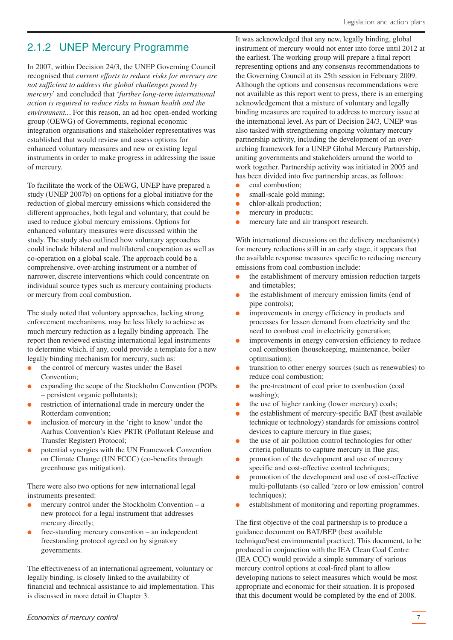# <span id="page-6-0"></span>2.1.2 UNEP Mercury Programme

In 2007, within Decision 24/3, the UNEP Governing Council recognised that *current efforts to reduce risks for mercury are not sufficient to address the global challenges posed by mercury*' and concluded that '*further long-term international action is required to reduce risks to human health and the environment..*. For this reason, an ad hoc open-ended working group (OEWG) of Governments, regional economic integration organisations and stakeholder representatives was established that would review and assess options for enhanced voluntary measures and new or existing legal instruments in order to make progress in addressing the issue of mercury.

To facilitate the work of the OEWG, UNEP have prepared a study (UNEP 2007b) on options for a global initiative for the reduction of global mercury emissions which considered the different approaches, both legal and voluntary, that could be used to reduce global mercury emissions. Options for enhanced voluntary measures were discussed within the study. The study also outlined how voluntary approaches could include bilateral and multilateral cooperation as well as co-operation on a global scale. The approach could be a comprehensive, over-arching instrument or a number of narrower, discrete interventions which could concentrate on individual source types such as mercury containing products or mercury from coal combustion.

The study noted that voluntary approaches, lacking strong enforcement mechanisms, may be less likely to achieve as much mercury reduction as a legally binding approach. The report then reviewed existing international legal instruments to determine which, if any, could provide a template for a new legally binding mechanism for mercury, such as:

- the control of mercury wastes under the Basel Convention;
- expanding the scope of the Stockholm Convention (POPs – persistent organic pollutants);
- restriction of international trade in mercury under the Rotterdam convention;
- inclusion of mercury in the 'right to know' under the Aarhus Convention's Kiev PRTR (Pollutant Release and Transfer Register) Protocol;
- potential synergies with the UN Framework Convention on Climate Change (UN FCCC) (co-benefits through greenhouse gas mitigation).

There were also two options for new international legal instruments presented:

- mercury control under the Stockholm Convention  $-$  a new protocol for a legal instrument that addresses mercury directly;
- $free$ -standing mercury convention an independent freestanding protocol agreed on by signatory governments.

The effectiveness of an international agreement, voluntary or legally binding, is closely linked to the availability of financial and technical assistance to aid implementation. This is discussed in more detail in Chapter 3.

It was acknowledged that any new, legally binding, global instrument of mercury would not enter into force until 2012 at the earliest. The working group will prepare a final report representing options and any consensus recommendations to the Governing Council at its 25th session in February 2009. Although the options and consensus recommendations were not available as this report went to press, there is an emerging acknowledgement that a mixture of voluntary and legally binding measures are required to address to mercury issue at the international level. As part of Decision 24/3, UNEP was also tasked with strengthening ongoing voluntary mercury partnership activity, including the development of an overarching framework for a UNEP Global Mercury Partnership, uniting governments and stakeholders around the world to work together. Partnership activity was initiated in 2005 and has been divided into five partnership areas, as follows:

- coal combustion;
- small-scale gold mining;
- chlor-alkali production;
- mercury in products;
- mercury fate and air transport research.

With international discussions on the delivery mechanism(s) for mercury reductions still in an early stage, it appears that the available response measures specific to reducing mercury emissions from coal combustion include:

- the establishment of mercury emission reduction targets and timetables;
- the establishment of mercury emission limits (end of pipe controls);
- improvements in energy efficiency in products and processes for lessen demand from electricity and the need to combust coal in electricity generation;
- improvements in energy conversion efficiency to reduce coal combustion (housekeeping, maintenance, boiler optimisation);
- transition to other energy sources (such as renewables) to reduce coal combustion;
- the pre-treatment of coal prior to combustion (coal washing);
- the use of higher ranking (lower mercury) coals;
- the establishment of mercury-specific BAT (best available technique or technology) standards for emissions control devices to capture mercury in flue gases;
- the use of air pollution control technologies for other criteria pollutants to capture mercury in flue gas;
- promotion of the development and use of mercury specific and cost-effective control techniques;
- promotion of the development and use of cost-effective multi-pollutants (so called 'zero or low emission' control techniques):
- establishment of monitoring and reporting programmes.

The first objective of the coal partnership is to produce a guidance document on BAT/BEP (best available technique/best environmental practice). This document, to be produced in conjunction with the IEA Clean Coal Centre (IEA CCC) would provide a simple summary of various mercury control options at coal-fired plant to allow developing nations to select measures which would be most appropriate and economic for their situation. It is proposed that this document would be completed by the end of 2008.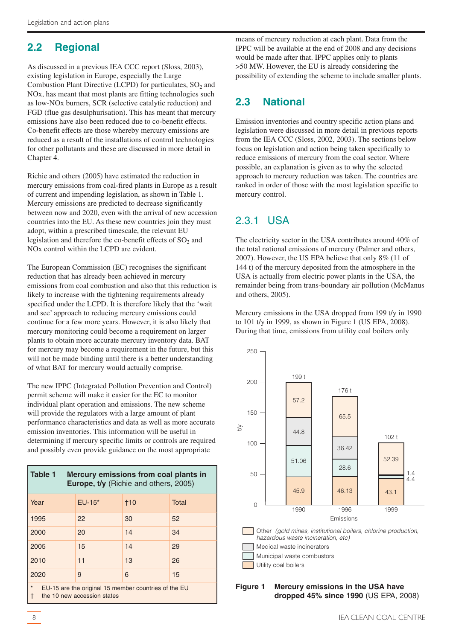# <span id="page-7-0"></span>**2.2 Regional**

As discussed in a previous IEA CCC report (Sloss, 2003), existing legislation in Europe, especially the Large Combustion Plant Directive (LCPD) for particulates,  $SO<sub>2</sub>$  and NOx, has meant that most plants are fitting technologies such as low-NOx burners, SCR (selective catalytic reduction) and FGD (flue gas desulphurisation). This has meant that mercury emissions have also been reduced due to co-benefit effects. Co-benefit effects are those whereby mercury emissions are reduced as a result of the installations of control technologies for other pollutants and these are discussed in more detail in Chapter 4.

Richie and others (2005) have estimated the reduction in mercury emissions from coal-fired plants in Europe as a result of current and impending legislation, as shown in Table 1. Mercury emissions are predicted to decrease significantly between now and 2020, even with the arrival of new accession countries into the EU. As these new countries join they must adopt, within a prescribed timescale, the relevant EU legislation and therefore the co-benefit effects of  $SO<sub>2</sub>$  and NOx control within the LCPD are evident.

The European Commission (EC) recognises the significant reduction that has already been achieved in mercury emissions from coal combustion and also that this reduction is likely to increase with the tightening requirements already specified under the LCPD. It is therefore likely that the 'wait and see' approach to reducing mercury emissions could continue for a few more years. However, it is also likely that mercury monitoring could become a requirement on larger plants to obtain more accurate mercury inventory data. BAT for mercury may become a requirement in the future, but this will not be made binding until there is a better understanding of what BAT for mercury would actually comprise.

The new IPPC (Integrated Pollution Prevention and Control) permit scheme will make it easier for the EC to monitor individual plant operation and emissions. The new scheme will provide the regulators with a large amount of plant performance characteristics and data as well as more accurate emission inventories. This information will be useful in determining if mercury specific limits or controls are required and possibly even provide guidance on the most appropriate

| Table 1<br>Mercury emissions from coal plants in<br>Europe, t/y (Richie and others, 2005)             |          |       |       |  |  |  |  |
|-------------------------------------------------------------------------------------------------------|----------|-------|-------|--|--|--|--|
| Year                                                                                                  | $EU-15*$ | $+10$ | Total |  |  |  |  |
| 1995                                                                                                  | 22       | 30    | 52    |  |  |  |  |
| 2000                                                                                                  | 20       | 14    | 34    |  |  |  |  |
| 2005                                                                                                  | 15       | 14    | 29    |  |  |  |  |
| 2010                                                                                                  | 11       | 13    | 26    |  |  |  |  |
| 2020                                                                                                  | 9        | 6     | 15    |  |  |  |  |
| $\star$<br>EU-15 are the original 15 member countries of the EU<br>the 10 new accession states<br>l t |          |       |       |  |  |  |  |

means of mercury reduction at each plant. Data from the IPPC will be available at the end of 2008 and any decisions would be made after that. IPPC applies only to plants >50 MW. However, the EU is already considering the possibility of extending the scheme to include smaller plants.

# **2.3 National**

Emission inventories and country specific action plans and legislation were discussed in more detail in previous reports from the IEA CCC (Sloss, 2002, 2003). The sections below focus on legislation and action being taken specifically to reduce emissions of mercury from the coal sector. Where possible, an explanation is given as to why the selected approach to mercury reduction was taken. The countries are ranked in order of those with the most legislation specific to mercury control.

# 2.3.1 USA

The electricity sector in the USA contributes around 40% of the total national emissions of mercury (Palmer and others, 2007). However, the US EPA believe that only 8% (11 of 144 t) of the mercury deposited from the atmosphere in the USA is actually from electric power plants in the USA, the remainder being from trans-boundary air pollution (McManus and others, 2005).

Mercury emissions in the USA dropped from 199 t/y in 1990 to 101 t/y in 1999, as shown in Figure 1 (US EPA, 2008). During that time, emissions from utility coal boilers only



**Figure 1 Mercury emissions in the USA have dropped 45% since 1990** (US EPA, 2008)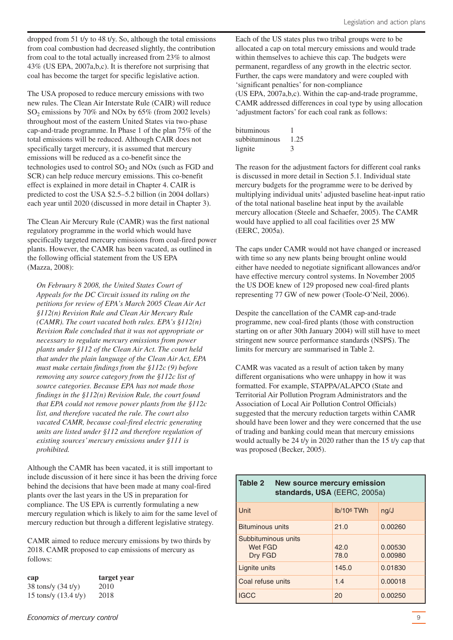dropped from 51 t/y to 48 t/y. So, although the total emissions from coal combustion had decreased slightly, the contribution from coal to the total actually increased from 23% to almost 43% (US EPA, 2007a,b,c). It is therefore not surprising that coal has become the target for specific legislative action.

The USA proposed to reduce mercury emissions with two new rules. The Clean Air Interstate Rule (CAIR) will reduce  $SO_2$  emissions by 70% and NOx by 65% (from 2002 levels) throughout most of the eastern United States via two-phase cap-and-trade programme. In Phase 1 of the plan 75% of the total emissions will be reduced. Although CAIR does not specifically target mercury, it is assumed that mercury emissions will be reduced as a co-benefit since the technologies used to control  $SO_2$  and  $NOx$  (such as FGD and SCR) can help reduce mercury emissions. This co-benefit effect is explained in more detail in Chapter 4. CAIR is predicted to cost the USA \$2.5–5.2 billion (in 2004 dollars) each year until 2020 (discussed in more detail in Chapter 3).

The Clean Air Mercury Rule (CAMR) was the first national regulatory programme in the world which would have specifically targeted mercury emissions from coal-fired power plants. However, the CAMR has been vacated, as outlined in the following official statement from the US EPA (Mazza, 2008):

*On February 8 2008, the United States Court of Appeals for the DC Circuit issued its ruling on the petitions for review of EPA's March 2005 Clean Air Act §112(n) Revision Rule and Clean Air Mercury Rule (CAMR). The court vacated both rules. EPA's §112(n) Revision Rule concluded that it was not appropriate or necessary to regulate mercury emissions from power plants under §112 of the Clean Air Act. The court held that under the plain language of the Clean Air Act, EPA must make certain findings from the §112c (9) before removing any source category from the §112c list of source categories. Because EPA has not made those findings in the §112(n) Revision Rule, the court found that EPA could not remove power plants from the §112c list, and therefore vacated the rule. The court also vacated CAMR, because coal-fired electric generating units are listed under §112 and therefore regulation of existing sources'mercury emissions under §111 is prohibited.*

Although the CAMR has been vacated, it is still important to include discussion of it here since it has been the driving force behind the decisions that have been made at many coal-fired plants over the last years in the US in preparation for compliance. The US EPA is currently formulating a new mercury regulation which is likely to aim for the same level of mercury reduction but through a different legislative strategy.

CAMR aimed to reduce mercury emissions by two thirds by 2018. CAMR proposed to cap emissions of mercury as follows:

| cap                            | target year |
|--------------------------------|-------------|
| $38$ tons/y $(34 \frac{t}{y})$ | 2010        |
| 15 tons/y $(13.4 \text{ t/y})$ | 2018        |

Each of the US states plus two tribal groups were to be allocated a cap on total mercury emissions and would trade within themselves to achieve this cap. The budgets were permanent, regardless of any growth in the electric sector. Further, the caps were mandatory and were coupled with 'significant penalties' for non-compliance (US EPA, 2007a,b,c). Within the cap-and-trade programme, CAMR addressed differences in coal type by using allocation 'adjustment factors' for each coal rank as follows:

| hituminous    |      |
|---------------|------|
| subbituminous | 1.25 |
| lignite       | 3    |

The reason for the adjustment factors for different coal ranks is discussed in more detail in Section 5.1. Individual state mercury budgets for the programme were to be derived by multiplying individual units' adjusted baseline heat-input ratio of the total national baseline heat input by the available mercury allocation (Steele and Schaefer, 2005). The CAMR would have applied to all coal facilities over 25 MW (EERC, 2005a).

The caps under CAMR would not have changed or increased with time so any new plants being brought online would either have needed to negotiate significant allowances and/or have effective mercury control systems. In November 2005 the US DOE knew of 129 proposed new coal-fired plants representing 77 GW of new power (Toole-O'Neil, 2006).

Despite the cancellation of the CAMR cap-and-trade programme, new coal-fired plants (those with construction starting on or after 30th January 2004) will still have to meet stringent new source performance standards (NSPS). The limits for mercury are summarised in Table 2.

CAMR was vacated as a result of action taken by many different organisations who were unhappy in how it was formatted. For example, STAPPA/ALAPCO (State and Territorial Air Pollution Program Administrators and the Association of Local Air Pollution Control Officials) suggested that the mercury reduction targets within CAMR should have been lower and they were concerned that the use of trading and banking could mean that mercury emissions would actually be 24 t/y in 2020 rather than the 15 t/y cap that was proposed (Becker, 2005).

| Table 2<br><b>New source mercury emission</b><br>standards, USA (EERC, 2005a) |              |                    |  |  |  |  |  |
|-------------------------------------------------------------------------------|--------------|--------------------|--|--|--|--|--|
| Unit                                                                          | $lb/106$ TWh | nq/J               |  |  |  |  |  |
| <b>Bituminous units</b>                                                       | 21.0         | 0.00260            |  |  |  |  |  |
| Subbituminous units<br>Wet FGD<br>Dry FGD                                     | 42.0<br>78.0 | 0.00530<br>0.00980 |  |  |  |  |  |
| Lignite units                                                                 | 145.0        | 0.01830            |  |  |  |  |  |
| Coal refuse units                                                             | 1.4          | 0.00018            |  |  |  |  |  |
| <b>IGCC</b>                                                                   | 20           | 0.00250            |  |  |  |  |  |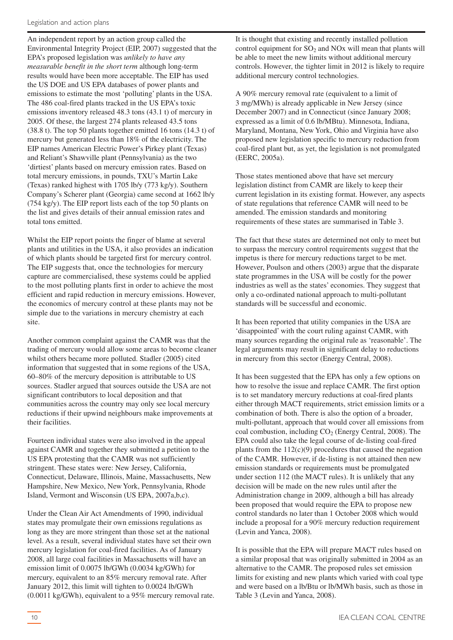An independent report by an action group called the Environmental Integrity Project (EIP, 2007) suggested that the EPA's proposed legislation was *unlikely to have any measurable benefit in the short term* although long-term results would have been more acceptable. The EIP has used the US DOE and US EPA databases of power plants and emissions to estimate the most 'polluting' plants in the USA. The 486 coal-fired plants tracked in the US EPA's toxic emissions inventory released 48.3 tons (43.1 t) of mercury in 2005. Of these, the largest 274 plants released 43.5 tons (38.8 t). The top 50 plants together emitted 16 tons (14.3 t) of mercury but generated less than 18% of the electricity. The EIP names American Electric Power's Pirkey plant (Texas) and Reliant's Shawville plant (Pennsylvania) as the two 'dirtiest' plants based on mercury emission rates. Based on total mercury emissions, in pounds, TXU's Martin Lake (Texas) ranked highest with 1705 lb/y (773 kg/y). Southern Company's Scherer plant (Georgia) came second at 1662 lb/y (754 kg/y). The EIP report lists each of the top 50 plants on the list and gives details of their annual emission rates and total tons emitted.

Whilst the EIP report points the finger of blame at several plants and utilities in the USA, it also provides an indication of which plants should be targeted first for mercury control. The EIP suggests that, once the technologies for mercury capture are commercialised, these systems could be applied to the most polluting plants first in order to achieve the most efficient and rapid reduction in mercury emissions. However, the economics of mercury control at these plants may not be simple due to the variations in mercury chemistry at each site.

Another common complaint against the CAMR was that the trading of mercury would allow some areas to become cleaner whilst others became more polluted. Stadler (2005) cited information that suggested that in some regions of the USA, 60–80% of the mercury deposition is attributable to US sources. Stadler argued that sources outside the USA are not significant contributors to local deposition and that communities across the country may only see local mercury reductions if their upwind neighbours make improvements at their facilities.

Fourteen individual states were also involved in the appeal against CAMR and together they submitted a petition to the US EPA protesting that the CAMR was not sufficiently stringent. These states were: New Jersey, California, Connecticut, Delaware, Illinois, Maine, Massachusetts, New Hampshire, New Mexico, New York, Pennsylvania, Rhode Island, Vermont and Wisconsin (US EPA, 2007a,b,c).

Under the Clean Air Act Amendments of 1990, individual states may promulgate their own emissions regulations as long as they are more stringent than those set at the national level. As a result, several individual states have set their own mercury legislation for coal-fired facilities. As of January 2008, all large coal facilities in Massachusetts will have an emission limit of 0.0075 lb/GWh (0.0034 kg/GWh) for mercury, equivalent to an 85% mercury removal rate. After January 2012, this limit will tighten to 0.0024 lb/GWh (0.0011 kg/GWh), equivalent to a 95% mercury removal rate. It is thought that existing and recently installed pollution control equipment for  $SO<sub>2</sub>$  and NOx will mean that plants will be able to meet the new limits without additional mercury controls. However, the tighter limit in 2012 is likely to require additional mercury control technologies.

A 90% mercury removal rate (equivalent to a limit of 3 mg/MWh) is already applicable in New Jersey (since December 2007) and in Connecticut (since January 2008; expressed as a limit of 0.6 lb/MBtu). Minnesota, Indiana, Maryland, Montana, New York, Ohio and Virginia have also proposed new legislation specific to mercury reduction from coal-fired plant but, as yet, the legislation is not promulgated (EERC, 2005a).

Those states mentioned above that have set mercury legislation distinct from CAMR are likely to keep their current legislation in its existing format. However, any aspects of state regulations that reference CAMR will need to be amended. The emission standards and monitoring requirements of these states are summarised in Table 3.

The fact that these states are determined not only to meet but to surpass the mercury control requirements suggest that the impetus is there for mercury reductions target to be met. However, Poulson and others (2003) argue that the disparate state programmes in the USA will be costly for the power industries as well as the states' economies. They suggest that only a co-ordinated national approach to multi-pollutant standards will be successful and economic.

It has been reported that utility companies in the USA are 'disappointed' with the court ruling against CAMR, with many sources regarding the original rule as 'reasonable'. The legal arguments may result in significant delay to reductions in mercury from this sector (Energy Central, 2008).

It has been suggested that the EPA has only a few options on how to resolve the issue and replace CAMR. The first option is to set mandatory mercury reductions at coal-fired plants either through MACT requirements, strict emission limits or a combination of both. There is also the option of a broader, multi-pollutant, approach that would cover all emissions from coal combustion, including  $CO<sub>2</sub>$  (Energy Central, 2008). The EPA could also take the legal course of de-listing coal-fired plants from the  $112(c)(9)$  procedures that caused the negation of the CAMR. However, if de-listing is not attained then new emission standards or requirements must be promulgated under section 112 (the MACT rules). It is unlikely that any decision will be made on the new rules until after the Administration change in 2009, although a bill has already been proposed that would require the EPA to propose new control standards no later than 1 October 2008 which would include a proposal for a 90% mercury reduction requirement (Levin and Yanca, 2008).

It is possible that the EPA will prepare MACT rules based on a similar proposal that was originally submitted in 2004 as an alternative to the CAMR. The proposed rules set emission limits for existing and new plants which varied with coal type and were based on a lb/Btu or lb/MWh basis, such as those in Table 3 (Levin and Yanca, 2008).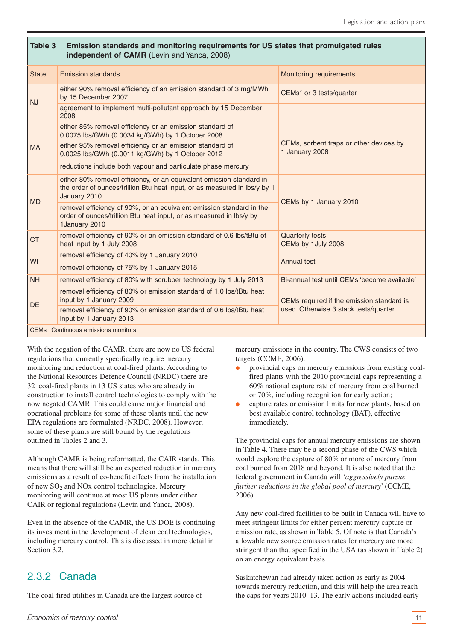#### <span id="page-10-0"></span>**Table 3 Emission standards and monitoring requirements for US states that promulgated rules independent of CAMR** (Levin and Yanca, 2008) State Emission standards Monitoring requirements  $N<sub>1</sub>$ either 90% removal efficiency of an emission standard of 3 mg/MWh by 15 December 2007 CEMs<sup>\*</sup> or 3 tests/quarter agreement to implement multi-pollutant approach by 15 December 2008 MA either 85% removal efficiency or an emission standard of 0.0075 lbs/GWh (0.0034 kg/GWh) by 1 October 2008 CEMs, sorbent traps or other devices by 1 January 2008 either 95% removal efficiency or an emission standard of 0.0025 lbs/GWh (0.0011 kg/GWh) by 1 October 2012 reductions include both vapour and particulate phase mercury MD either 80% removal efficiency, or an equivalent emission standard in the order of ounces/trillion Btu heat input, or as measured in lbs/y by 1 January 2010 CEMs by 1 January 2010 removal efficiency of 90%, or an equivalent emission standard in the order of ounces/trillion Btu heat input, or as measured in lbs/y by 1January 2010 ctrangeleficiency of 90% or an emission standard of 0.6 lbs/tBtu of heat input by 1 July 2008 Quarterly tests CEMs by 1July 2008 removal efficiency of 40% by 1 January 2010

NH removal efficiency of 80% with scrubber technology by 1 July 2013 Bi-annual test until CEMs 'become available'

input by 1 January 2009 CEMs required if the emission standard is removal efficiency of 90% or emission standard of 0.6 lbs/tBtu heat used. Otherwise 3 stack tests/quarter

With the negation of the CAMR, there are now no US federal regulations that currently specifically require mercury monitoring and reduction at coal-fired plants. According to the National Resources Defence Council (NRDC) there are 32 coal-fired plants in 13 US states who are already in construction to install control technologies to comply with the now negated CAMR. This could cause major financial and operational problems for some of these plants until the new EPA regulations are formulated (NRDC, 2008). However, some of these plants are still bound by the regulations outlined in Tables 2 and 3.

input by 1 January 2013

CEMs Continuous emissions monitors

removal efficiency of 75% by 1 January 2015

removal efficiency of 80% or emission standard of 1.0 lbs/tBtu heat

Although CAMR is being reformatted, the CAIR stands. This means that there will still be an expected reduction in mercury emissions as a result of co-benefit effects from the installation of new  $SO<sub>2</sub>$  and NOx control technologies. Mercury monitoring will continue at most US plants under either CAIR or regional regulations (Levin and Yanca, 2008).

Even in the absence of the CAMR, the US DOE is continuing its investment in the development of clean coal technologies, including mercury control. This is discussed in more detail in Section 3.2.

# 2.3.2 Canada

WI

**DE** 

The coal-fired utilities in Canada are the largest source of

mercury emissions in the country. The CWS consists of two targets (CCME, 2006):

Annual test

- provincial caps on mercury emissions from existing coalfired plants with the 2010 provincial caps representing a 60% national capture rate of mercury from coal burned or 70%, including recognition for early action;
- capture rates or emission limits for new plants, based on best available control technology (BAT), effective immediately.

The provincial caps for annual mercury emissions are shown in Table 4. There may be a second phase of the CWS which would explore the capture of 80% or more of mercury from coal burned from 2018 and beyond. It is also noted that the federal government in Canada will *'aggressively pursue further reductions in the global pool of mercury*' (CCME, 2006).

Any new coal-fired facilities to be built in Canada will have to meet stringent limits for either percent mercury capture or emission rate, as shown in Table 5. Of note is that Canada's allowable new source emission rates for mercury are more stringent than that specified in the USA (as shown in Table 2) on an energy equivalent basis.

Saskatchewan had already taken action as early as 2004 towards mercury reduction, and this will help the area reach the caps for years 2010–13. The early actions included early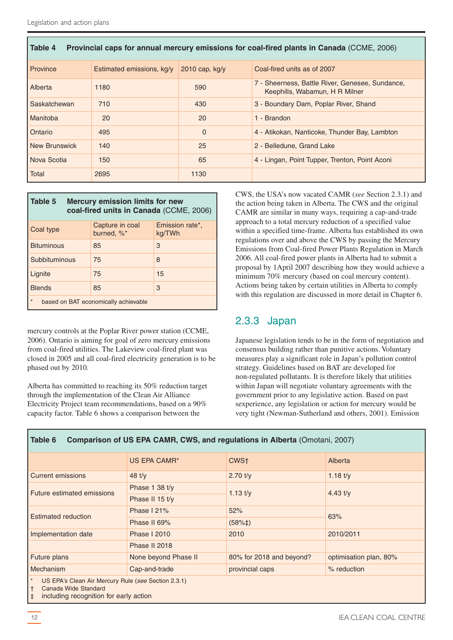<span id="page-11-0"></span>

| Provincial caps for annual mercury emissions for coal-fired plants in Canada (CCME, 2006)<br>l Table 4 |                           |                  |                                                                                   |  |  |  |  |
|--------------------------------------------------------------------------------------------------------|---------------------------|------------------|-----------------------------------------------------------------------------------|--|--|--|--|
| Province                                                                                               | Estimated emissions, kg/y | 2010 cap, $kg/y$ | Coal-fired units as of 2007                                                       |  |  |  |  |
| Alberta                                                                                                | 1180                      | 590              | 7 - Sheerness, Battle River, Genesee, Sundance,<br>Keephills, Wabamun, H R Milner |  |  |  |  |
| Saskatchewan                                                                                           | 710                       | 430              | 3 - Boundary Dam, Poplar River, Shand                                             |  |  |  |  |
| <b>Manitoba</b>                                                                                        | 20                        | 20               | 1 - Brandon                                                                       |  |  |  |  |
| Ontario                                                                                                | 495                       | $\Omega$         | 4 - Atikokan, Nanticoke, Thunder Bay, Lambton                                     |  |  |  |  |
| New Brunswick                                                                                          | 140                       | 25               | 2 - Belledune, Grand Lake                                                         |  |  |  |  |
| Nova Scotia                                                                                            | 150                       | 65               | 4 - Lingan, Point Tupper, Trenton, Point Aconi                                    |  |  |  |  |
| Total                                                                                                  | 2695                      | 1130             |                                                                                   |  |  |  |  |

| Table 5<br><b>Mercury emission limits for new</b><br>coal-fired units in Canada (CCME, 2006) |                               |                           |  |  |  |  |  |
|----------------------------------------------------------------------------------------------|-------------------------------|---------------------------|--|--|--|--|--|
| Coal type                                                                                    | Capture in coal<br>burned, %* | Emission rate*,<br>kg/TWh |  |  |  |  |  |
| <b>Bituminous</b>                                                                            | 85                            | 3                         |  |  |  |  |  |
| Subbituminous                                                                                | 75                            | 8                         |  |  |  |  |  |
| Lignite                                                                                      | 75                            | 15                        |  |  |  |  |  |
| <b>Blends</b>                                                                                | 85                            | 3                         |  |  |  |  |  |
| $\star$<br>based on BAT economically achievable                                              |                               |                           |  |  |  |  |  |

mercury controls at the Poplar River power station (CCME, 2006). Ontario is aiming for goal of zero mercury emissions from coal-fired utilities. The Lakeview coal-fired plant was closed in 2005 and all coal-fired electricity generation is to be phased out by 2010.

Alberta has committed to reaching its 50% reduction target through the implementation of the Clean Air Alliance Electricity Project team recommendations, based on a 90% capacity factor. Table 6 shows a comparison between the

CWS, the USA's now vacated CAMR (*see* Section 2.3.1) and the action being taken in Alberta. The CWS and the original CAMR are similar in many ways, requiring a cap-and-trade approach to a total mercury reduction of a specified value within a specified time-frame. Alberta has established its own regulations over and above the CWS by passing the Mercury Emissions from Coal-fired Power Plants Regulation in March 2006. All coal-fired power plants in Alberta had to submit a proposal by 1April 2007 describing how they would achieve a minimum 70% mercury (based on coal mercury content). Actions being taken by certain utilities in Alberta to comply with this regulation are discussed in more detail in Chapter 6.

# 2.3.3 Japan

Japanese legislation tends to be in the form of negotiation and consensus building rather than punitive actions. Voluntary measures play a significant role in Japan's pollution control strategy. Guidelines based on BAT are developed for non-regulated pollutants. It is therefore likely that utilities within Japan will negotiate voluntary agreements with the government prior to any legislative action. Based on past sexperience, any legislation or action for mercury would be very tight (Newman-Sutherland and others, 2001). Emission

| Comparison of US EPA CAMR, CWS, and regulations in Alberta (Omotani, 2007)<br>Table 6                                               |                                  |                          |                        |  |  |  |  |
|-------------------------------------------------------------------------------------------------------------------------------------|----------------------------------|--------------------------|------------------------|--|--|--|--|
|                                                                                                                                     | US EPA CAMR*                     | CWS <sup>+</sup>         | Alberta                |  |  |  |  |
| <b>Current emissions</b>                                                                                                            | 48 $t/v$                         | $2.70$ t/y               | 1.18 $t/y$             |  |  |  |  |
| Future estimated emissions                                                                                                          | Phase 1 38 $t/v$                 | $1.13$ t/y               | 4.43 $t/v$             |  |  |  |  |
|                                                                                                                                     | Phase II 15 t/y                  |                          |                        |  |  |  |  |
| <b>Estimated reduction</b>                                                                                                          | Phase $121%$                     | 52%                      | 63%                    |  |  |  |  |
|                                                                                                                                     | Phase II 69%                     | $(58% \ddagger)$         |                        |  |  |  |  |
| Implementation date                                                                                                                 | <b>Phase   2010</b>              | 2010                     | 2010/2011              |  |  |  |  |
|                                                                                                                                     | Phase II 2018                    |                          |                        |  |  |  |  |
| Future plans                                                                                                                        | None beyond Phase II             | 80% for 2018 and beyond? | optimisation plan, 80% |  |  |  |  |
| Mechanism                                                                                                                           | Cap-and-trade<br>provincial caps |                          | % reduction            |  |  |  |  |
| US EPA's Clean Air Mercury Rule (see Section 2.3.1)<br>Canada Wide Standard<br>including recognition for early action<br>$\ddagger$ |                                  |                          |                        |  |  |  |  |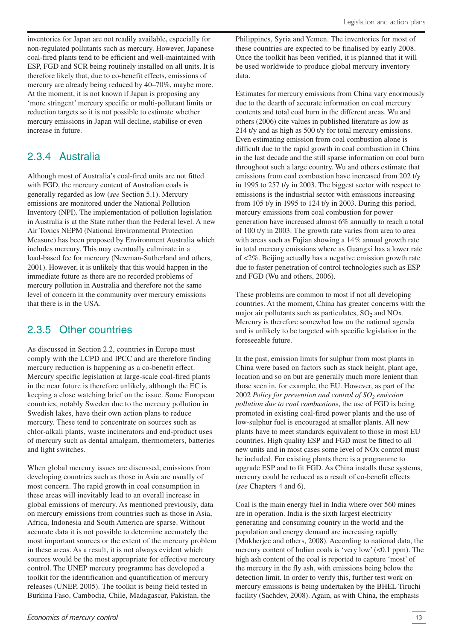<span id="page-12-0"></span>inventories for Japan are not readily available, especially for non-regulated pollutants such as mercury. However, Japanese coal-fired plants tend to be efficient and well-maintained with ESP, FGD and SCR being routinely installed on all units. It is therefore likely that, due to co-benefit effects, emissions of mercury are already being reduced by 40–70%, maybe more. At the moment, it is not known if Japan is proposing any 'more stringent' mercury specific or multi-pollutant limits or reduction targets so it is not possible to estimate whether mercury emissions in Japan will decline, stabilise or even increase in future.

### 2.3.4 Australia

Although most of Australia's coal-fired units are not fitted with FGD, the mercury content of Australian coals is generally regarded as low (*see* Section 5.1). Mercury emissions are monitored under the National Pollution Inventory (NPI). The implementation of pollution legislation in Australia is at the State rather than the Federal level. A new Air Toxics NEPM (National Environmental Protection Measure) has been proposed by Environment Australia which includes mercury. This may eventually culminate in a load-based fee for mercury (Newman-Sutherland and others, 2001). However, it is unlikely that this would happen in the immediate future as there are no recorded problems of mercury pollution in Australia and therefore not the same level of concern in the community over mercury emissions that there is in the USA.

# 2.3.5 Other countries

As discussed in Section 2.2, countries in Europe must comply with the LCPD and IPCC and are therefore finding mercury reduction is happening as a co-benefit effect. Mercury specific legislation at large-scale coal-fired plants in the near future is therefore unlikely, although the EC is keeping a close watching brief on the issue. Some European countries, notably Sweden due to the mercury pollution in Swedish lakes, have their own action plans to reduce mercury. These tend to concentrate on sources such as chlor-alkali plants, waste incinerators and end-product uses of mercury such as dental amalgam, thermometers, batteries and light switches.

When global mercury issues are discussed, emissions from developing countries such as those in Asia are usually of most concern. The rapid growth in coal consumption in these areas will inevitably lead to an overall increase in global emissions of mercury. As mentioned previously, data on mercury emissions from countries such as those in Asia, Africa, Indonesia and South America are sparse. Without accurate data it is not possible to determine accurately the most important sources or the extent of the mercury problem in these areas. As a result, it is not always evident which sources would be the most appropriate for effective mercury control. The UNEP mercury programme has developed a toolkit for the identification and quantification of mercury releases (UNEP, 2005). The toolkit is being field tested in Burkina Faso, Cambodia, Chile, Madagascar, Pakistan, the

Philippines, Syria and Yemen. The inventories for most of these countries are expected to be finalised by early 2008. Once the toolkit has been verified, it is planned that it will be used worldwide to produce global mercury inventory data.

Estimates for mercury emissions from China vary enormously due to the dearth of accurate information on coal mercury contents and total coal burn in the different areas. Wu and others (2006) cite values in published literature as low as 214 t/y and as high as 500 t/y for total mercury emissions. Even estimating emission from coal combustion alone is difficult due to the rapid growth in coal combustion in China in the last decade and the still sparse information on coal burn throughout such a large country. Wu and others estimate that emissions from coal combustion have increased from 202 t/y in 1995 to 257 t/y in 2003. The biggest sector with respect to emissions is the industrial sector with emissions increasing from 105 t/y in 1995 to 124 t/y in 2003. During this period, mercury emissions from coal combustion for power generation have increased almost 6% annually to reach a total of 100 t/y in 2003. The growth rate varies from area to area with areas such as Fujian showing a 14% annual growth rate in total mercury emissions where as Guangxi has a lower rate of <2%. Beijing actually has a negative emission growth rate due to faster penetration of control technologies such as ESP and FGD (Wu and others, 2006).

These problems are common to most if not all developing countries. At the moment, China has greater concerns with the major air pollutants such as particulates,  $SO<sub>2</sub>$  and NOx. Mercury is therefore somewhat low on the national agenda and is unlikely to be targeted with specific legislation in the foreseeable future.

In the past, emission limits for sulphur from most plants in China were based on factors such as stack height, plant age, location and so on but are generally much more lenient than those seen in, for example, the EU. However, as part of the 2002 *Policy for prevention and control of SO2 emission pollution due to coal combustion*s, the use of FGD is being promoted in existing coal-fired power plants and the use of low-sulphur fuel is encouraged at smaller plants. All new plants have to meet standards equivalent to those in most EU countries. High quality ESP and FGD must be fitted to all new units and in most cases some level of NOx control must be included. For existing plants there is a programme to upgrade ESP and to fit FGD. As China installs these systems, mercury could be reduced as a result of co-benefit effects (*see* Chapters 4 and 6).

Coal is the main energy fuel in India where over 560 mines are in operation. India is the sixth largest electricity generating and consuming country in the world and the population and energy demand are increasing rapidly (Mukherjee and others, 2008). According to national data, the mercury content of Indian coals is 'very low' (<0.1 ppm). The high ash content of the coal is reported to capture 'most' of the mercury in the fly ash, with emissions being below the detection limit. In order to verify this, further test work on mercury emissions is being undertaken by the BHEL Tiruchi facility (Sachdev, 2008). Again, as with China, the emphasis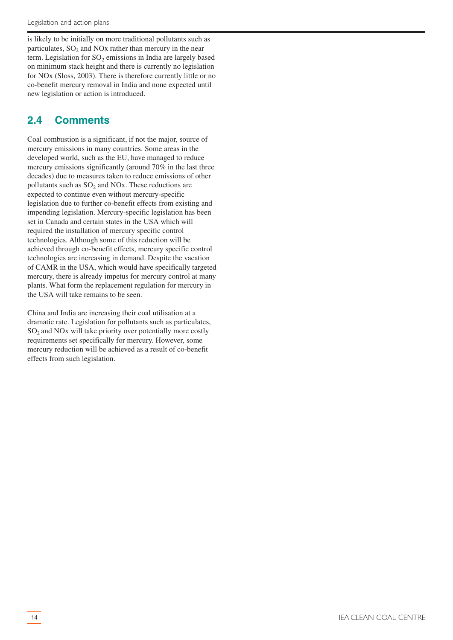<span id="page-13-0"></span>is likely to be initially on more traditional pollutants such as particulates,  $SO<sub>2</sub>$  and NO<sub>x</sub> rather than mercury in the near term. Legislation for  $SO<sub>2</sub>$  emissions in India are largely based on minimum stack height and there is currently no legislation for NOx (Sloss, 2003). There is therefore currently little or no co-benefit mercury removal in India and none expected until new legislation or action is introduced.

# **2.4 Comments**

Coal combustion is a significant, if not the major, source of mercury emissions in many countries. Some areas in the developed world, such as the EU, have managed to reduce mercury emissions significantly (around 70% in the last three decades) due to measures taken to reduce emissions of other pollutants such as  $SO<sub>2</sub>$  and NOx. These reductions are expected to continue even without mercury-specific legislation due to further co-benefit effects from existing and impending legislation. Mercury-specific legislation has been set in Canada and certain states in the USA which will required the installation of mercury specific control technologies. Although some of this reduction will be achieved through co-benefit effects, mercury specific control technologies are increasing in demand. Despite the vacation of CAMR in the USA, which would have specifically targeted mercury, there is already impetus for mercury control at many plants. What form the replacement regulation for mercury in the USA will take remains to be seen.

China and India are increasing their coal utilisation at a dramatic rate. Legislation for pollutants such as particulates,  $SO<sub>2</sub>$  and NO<sub>x</sub> will take priority over potentially more costly requirements set specifically for mercury. However, some mercury reduction will be achieved as a result of co-benefit effects from such legislation.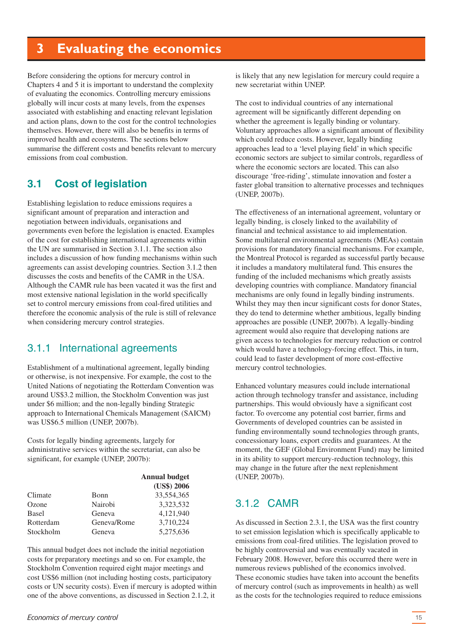# <span id="page-14-0"></span>**3 Evaluating the economics**

Before considering the options for mercury control in Chapters 4 and 5 it is important to understand the complexity of evaluating the economics. Controlling mercury emissions globally will incur costs at many levels, from the expenses associated with establishing and enacting relevant legislation and action plans, down to the cost for the control technologies themselves. However, there will also be benefits in terms of improved health and ecosystems. The sections below summarise the different costs and benefits relevant to mercury emissions from coal combustion.

# **3.1 Cost of legislation**

Establishing legislation to reduce emissions requires a significant amount of preparation and interaction and negotiation between individuals, organisations and governments even before the legislation is enacted. Examples of the cost for establishing international agreements within the UN are summarised in Section 3.1.1. The section also includes a discussion of how funding mechanisms within such agreements can assist developing countries. Section 3.1.2 then discusses the costs and benefits of the CAMR in the USA. Although the CAMR rule has been vacated it was the first and most extensive national legislation in the world specifically set to control mercury emissions from coal-fired utilities and therefore the economic analysis of the rule is still of relevance when considering mercury control strategies.

# 3.1.1 International agreements

Establishment of a multinational agreement, legally binding or otherwise, is not inexpensive. For example, the cost to the United Nations of negotiating the Rotterdam Convention was around US\$3.2 million, the Stockholm Convention was just under \$6 million; and the non-legally binding Strategic approach to International Chemicals Management (SAICM) was US\$6.5 million (UNEP, 2007b).

Costs for legally binding agreements, largely for administrative services within the secretariat, can also be significant, for example (UNEP, 2007b):

|              |             | <b>Annual budget</b><br>(US\$) 2006 |
|--------------|-------------|-------------------------------------|
| Climate      | Bonn        | 33,554,365                          |
| Ozone        | Nairobi     | 3,323,532                           |
| <b>Basel</b> | Geneva      | 4,121,940                           |
| Rotterdam    | Geneva/Rome | 3,710,224                           |
| Stockholm    | Geneva      | 5,275,636                           |

This annual budget does not include the initial negotiation costs for preparatory meetings and so on. For example, the Stockholm Convention required eight major meetings and cost US\$6 million (not including hosting costs, participatory costs or UN security costs). Even if mercury is adopted within one of the above conventions, as discussed in Section 2.1.2, it

is likely that any new legislation for mercury could require a new secretariat within UNEP.

The cost to individual countries of any international agreement will be significantly different depending on whether the agreement is legally binding or voluntary. Voluntary approaches allow a significant amount of flexibility which could reduce costs. However, legally binding approaches lead to a 'level playing field' in which specific economic sectors are subject to similar controls, regardless of where the economic sectors are located. This can also discourage 'free-riding', stimulate innovation and foster a faster global transition to alternative processes and techniques (UNEP, 2007b).

The effectiveness of an international agreement, voluntary or legally binding, is closely linked to the availability of financial and technical assistance to aid implementation. Some multilateral environmental agreements (MEAs) contain provisions for mandatory financial mechanisms. For example, the Montreal Protocol is regarded as successful partly because it includes a mandatory multilateral fund. This ensures the funding of the included mechanisms which greatly assists developing countries with compliance. Mandatory financial mechanisms are only found in legally binding instruments. Whilst they may then incur significant costs for donor States, they do tend to determine whether ambitious, legally binding approaches are possible (UNEP, 2007b). A legally-binding agreement would also require that developing nations are given access to technologies for mercury reduction or control which would have a technology-forcing effect. This, in turn, could lead to faster development of more cost-effective mercury control technologies.

Enhanced voluntary measures could include international action through technology transfer and assistance, including partnerships. This would obviously have a significant cost factor. To overcome any potential cost barrier, firms and Governments of developed countries can be assisted in funding environmentally sound technologies through grants, concessionary loans, export credits and guarantees. At the moment, the GEF (Global Environment Fund) may be limited in its ability to support mercury-reduction technology, this may change in the future after the next replenishment (UNEP, 2007b).

# 312 CAMR

As discussed in Section 2.3.1, the USA was the first country to set emission legislation which is specifically applicable to emissions from coal-fired utilities. The legislation proved to be highly controversial and was eventually vacated in February 2008. However, before this occurred there were in numerous reviews published of the economics involved. These economic studies have taken into account the benefits of mercury control (such as improvements in health) as well as the costs for the technologies required to reduce emissions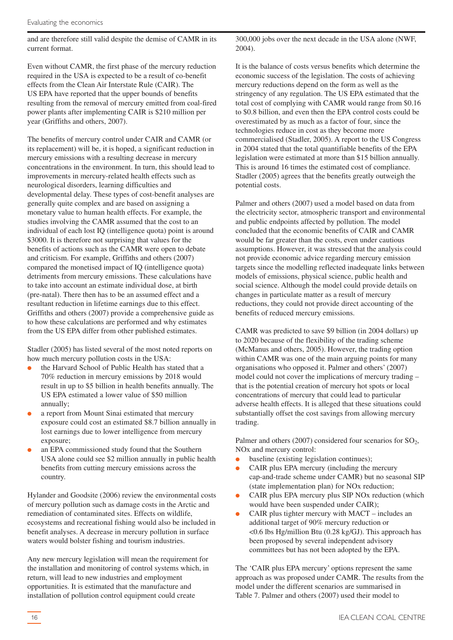and are therefore still valid despite the demise of CAMR in its current format.

Even without CAMR, the first phase of the mercury reduction required in the USA is expected to be a result of co-benefit effects from the Clean Air Interstate Rule (CAIR). The US EPA have reported that the upper bounds of benefits resulting from the removal of mercury emitted from coal-fired power plants after implementing CAIR is \$210 million per year (Griffiths and others, 2007).

The benefits of mercury control under CAIR and CAMR (or its replacement) will be, it is hoped, a significant reduction in mercury emissions with a resulting decrease in mercury concentrations in the environment. In turn, this should lead to improvements in mercury-related health effects such as neurological disorders, learning difficulties and developmental delay. These types of cost-benefit analyses are generally quite complex and are based on assigning a monetary value to human health effects. For example, the studies involving the CAMR assumed that the cost to an individual of each lost IQ (intelligence quota) point is around \$3000. It is therefore not surprising that values for the benefits of actions such as the CAMR were open to debate and criticism. For example, Griffiths and others (2007) compared the monetised impact of IQ (intelligence quota) detriments from mercury emissions. These calculations have to take into account an estimate individual dose, at birth (pre-natal). There then has to be an assumed effect and a resultant reduction in lifetime earnings due to this effect. Griffiths and others (2007) provide a comprehensive guide as to how these calculations are performed and why estimates from the US EPA differ from other published estimates.

Stadler (2005) has listed several of the most noted reports on how much mercury pollution costs in the USA:

- the Harvard School of Public Health has stated that a 70% reduction in mercury emissions by 2018 would result in up to \$5 billion in health benefits annually. The US EPA estimated a lower value of \$50 million annually;
- a report from Mount Sinai estimated that mercury exposure could cost an estimated \$8.7 billion annually in lost earnings due to lower intelligence from mercury exposure;
- an EPA commissioned study found that the Southern USA alone could see \$2 million annually in public health benefits from cutting mercury emissions across the country.

Hylander and Goodsite (2006) review the environmental costs of mercury pollution such as damage costs in the Arctic and remediation of contaminated sites. Effects on wildlife, ecosystems and recreational fishing would also be included in benefit analyses. A decrease in mercury pollution in surface waters would bolster fishing and tourism industries.

Any new mercury legislation will mean the requirement for the installation and monitoring of control systems which, in return, will lead to new industries and employment opportunities. It is estimated that the manufacture and installation of pollution control equipment could create

300,000 jobs over the next decade in the USA alone (NWF, 2004).

It is the balance of costs versus benefits which determine the economic success of the legislation. The costs of achieving mercury reductions depend on the form as well as the stringency of any regulation. The US EPA estimated that the total cost of complying with CAMR would range from \$0.16 to \$0.8 billion, and even then the EPA control costs could be overestimated by as much as a factor of four, since the technologies reduce in cost as they become more commercialised (Stadler, 2005). A report to the US Congress in 2004 stated that the total quantifiable benefits of the EPA legislation were estimated at more than \$15 billion annually. This is around 16 times the estimated cost of compliance. Stadler (2005) agrees that the benefits greatly outweigh the potential costs.

Palmer and others (2007) used a model based on data from the electricity sector, atmospheric transport and environmental and public endpoints affected by pollution. The model concluded that the economic benefits of CAIR and CAMR would be far greater than the costs, even under cautious assumptions. However, it was stressed that the analysis could not provide economic advice regarding mercury emission targets since the modelling reflected inadequate links between models of emissions, physical science, public health and social science. Although the model could provide details on changes in particulate matter as a result of mercury reductions, they could not provide direct accounting of the benefits of reduced mercury emissions.

CAMR was predicted to save \$9 billion (in 2004 dollars) up to 2020 because of the flexibility of the trading scheme (McManus and others, 2005). However, the trading option within CAMR was one of the main arguing points for many organisations who opposed it. Palmer and others' (2007) model could not cover the implications of mercury trading – that is the potential creation of mercury hot spots or local concentrations of mercury that could lead to particular adverse health effects. It is alleged that these situations could substantially offset the cost savings from allowing mercury trading.

Palmer and others  $(2007)$  considered four scenarios for  $SO<sub>2</sub>$ , NOx and mercury control:

- baseline (existing legislation continues);
- CAIR plus EPA mercury (including the mercury cap-and-trade scheme under CAMR) but no seasonal SIP (state implementation plan) for NOx reduction;
- CAIR plus EPA mercury plus SIP NO<sub>x</sub> reduction (which would have been suspended under CAIR);
- CAIR plus tighter mercury with  $MACT -$  includes an additional target of 90% mercury reduction or <0.6 lbs Hg/million Btu (0.28 kg/GJ). This approach has been proposed by several independent advisory committees but has not been adopted by the EPA.

The 'CAIR plus EPA mercury' options represent the same approach as was proposed under CAMR. The results from the model under the different scenarios are summarised in Table 7. Palmer and others (2007) used their model to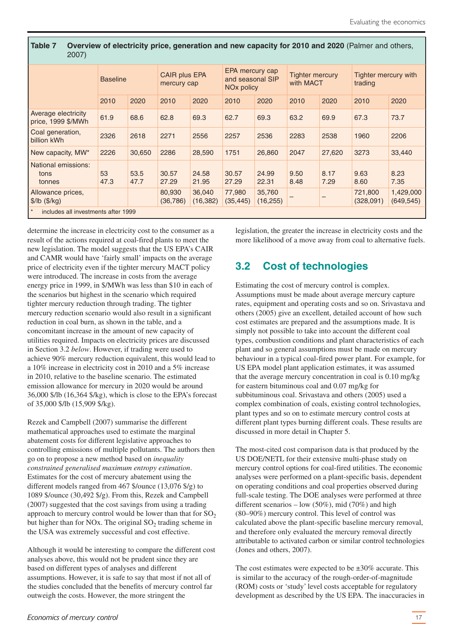<span id="page-16-0"></span>**Table 7 Overview of electricity price, generation and new capacity for 2010 and 2020** (Palmer and others, 2007)

|                                                            | <b>Baseline</b> |              | CAIR plus EPA<br>mercury cap |                     | EPA mercury cap<br>and seasonal SIP<br>NO <sub>x</sub> policy |                     | <b>Tighter mercury</b><br>with MACT |              | Tighter mercury with<br>trading |                         |
|------------------------------------------------------------|-----------------|--------------|------------------------------|---------------------|---------------------------------------------------------------|---------------------|-------------------------------------|--------------|---------------------------------|-------------------------|
|                                                            | 2010            | 2020         | 2010                         | 2020                | 2010                                                          | 2020                | 2010                                | 2020         | 2010                            | 2020                    |
| Average electricity<br>price, 1999 \$/MWh                  | 61.9            | 68.6         | 62.8                         | 69.3                | 62.7                                                          | 69.3                | 63.2                                | 69.9         | 67.3                            | 73.7                    |
| Coal generation,<br>billion kWh                            | 2326            | 2618         | 2271                         | 2556                | 2257                                                          | 2536                | 2283                                | 2538         | 1960                            | 2206                    |
| New capacity, MW*                                          | 2226            | 30,650       | 2286                         | 28,590              | 1751                                                          | 26,860              | 2047                                | 27,620       | 3273                            | 33,440                  |
| National emissions:<br>tons<br>tonnes                      | 53<br>47.3      | 53.5<br>47.7 | 30.57<br>27.29               | 24.58<br>21.95      | 30.57<br>27.29                                                | 24.99<br>22.31      | 9.50<br>8.48                        | 8.17<br>7.29 | 9.63<br>8.60                    | 8.23<br>7.35            |
| Allowance prices,<br>$\frac{1}{2}$ lb ( $\frac{1}{2}$ /kg) |                 |              | 80,930<br>(36, 786)          | 36,040<br>(16, 382) | 77,980<br>(35, 445)                                           | 35,760<br>(16, 255) |                                     |              | 721,800<br>(328,091)            | 1,429,000<br>(649, 545) |
| $\vert$ *<br>includes all investments after 1999           |                 |              |                              |                     |                                                               |                     |                                     |              |                                 |                         |

determine the increase in electricity cost to the consumer as a result of the actions required at coal-fired plants to meet the new legislation. The model suggests that the US EPA's CAIR and CAMR would have 'fairly small' impacts on the average price of electricity even if the tighter mercury MACT policy were introduced. The increase in costs from the average energy price in 1999, in \$/MWh was less than \$10 in each of the scenarios but highest in the scenario which required tighter mercury reduction through trading. The tighter mercury reduction scenario would also result in a significant reduction in coal burn, as shown in the table, and a concomitant increase in the amount of new capacity of utilities required. Impacts on electricity prices are discussed in Section 3.2 *below*. However, if trading were used to achieve 90% mercury reduction equivalent, this would lead to a 10% increase in electricity cost in 2010 and a 5% increase in 2010, relative to the baseline scenario. The estimated emission allowance for mercury in 2020 would be around 36,000 \$/lb (16,364 \$/kg), which is close to the EPA's forecast of 35,000 \$/lb (15,909 \$/kg).

Rezek and Campbell (2007) summarise the different mathematical approaches used to estimate the marginal abatement costs for different legislative approaches to controlling emissions of multiple pollutants. The authors then go on to propose a new method based on *inequality constrained generalised maximum entropy estimation*. Estimates for the cost of mercury abatement using the different models ranged from 467 \$/ounce (13,076 \$/g) to 1089 \$/ounce (30,492 \$/g). From this, Rezek and Campbell (2007) suggested that the cost savings from using a trading approach to mercury control would be lower than that for  $SO<sub>2</sub>$ but higher than for NOx. The original  $SO<sub>2</sub>$  trading scheme in the USA was extremely successful and cost effective.

Although it would be interesting to compare the different cost analyses above, this would not be prudent since they are based on different types of analyses and different assumptions. However, it is safe to say that most if not all of the studies concluded that the benefits of mercury control far outweigh the costs. However, the more stringent the

legislation, the greater the increase in electricity costs and the more likelihood of a move away from coal to alternative fuels.

# **3.2 Cost of technologies**

Estimating the cost of mercury control is complex. Assumptions must be made about average mercury capture rates, equipment and operating costs and so on. Srivastava and others (2005) give an excellent, detailed account of how such cost estimates are prepared and the assumptions made. It is simply not possible to take into account the different coal types, combustion conditions and plant characteristics of each plant and so general assumptions must be made on mercury behaviour in a typical coal-fired power plant. For example, for US EPA model plant application estimates, it was assumed that the average mercury concentration in coal is 0.10 mg/kg for eastern bituminous coal and 0.07 mg/kg for subbituminous coal. Srivastava and others (2005) used a complex combination of coals, existing control technologies, plant types and so on to estimate mercury control costs at different plant types burning different coals. These results are discussed in more detail in Chapter 5.

The most-cited cost comparison data is that produced by the US DOE/NETL for their extensive multi-phase study on mercury control options for coal-fired utilities. The economic analyses were performed on a plant-specific basis, dependent on operating conditions and coal properties observed during full-scale testing. The DOE analyses were performed at three different scenarios – low  $(50\%)$ , mid  $(70\%)$  and high (80–90%) mercury control. This level of control was calculated above the plant-specific baseline mercury removal, and therefore only evaluated the mercury removal directly attributable to activated carbon or similar control technologies (Jones and others, 2007).

The cost estimates were expected to be  $\pm 30\%$  accurate. This is similar to the accuracy of the rough-order-of-magnitude (ROM) costs or 'study' level costs acceptable for regulatory development as described by the US EPA. The inaccuracies in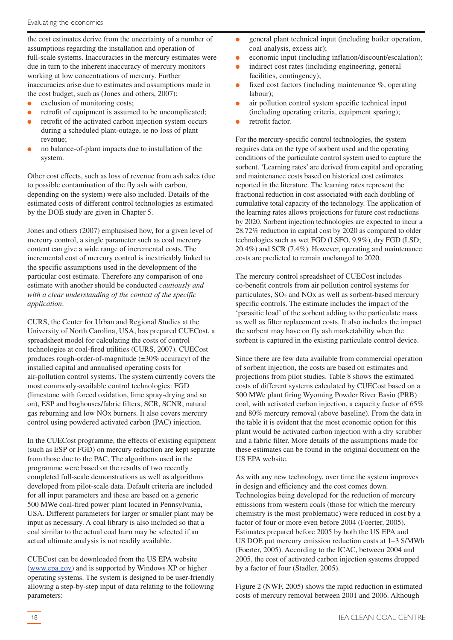the cost estimates derive from the uncertainty of a number of assumptions regarding the installation and operation of full-scale systems. Inaccuracies in the mercury estimates were due in turn to the inherent inaccuracy of mercury monitors working at low concentrations of mercury. Further inaccuracies arise due to estimates and assumptions made in the cost budget, such as (Jones and others, 2007):

- exclusion of monitoring costs;
- retrofit of equipment is assumed to be uncomplicated;
- retrofit of the activated carbon injection system occurs during a scheduled plant-outage, ie no loss of plant revenue;
- no balance-of-plant impacts due to installation of the system.

Other cost effects, such as loss of revenue from ash sales (due to possible contamination of the fly ash with carbon, depending on the system) were also included. Details of the estimated costs of different control technologies as estimated by the DOE study are given in Chapter 5.

Jones and others (2007) emphasised how, for a given level of mercury control, a single parameter such as coal mercury content can give a wide range of incremental costs. The incremental cost of mercury control is inextricably linked to the specific assumptions used in the development of the particular cost estimate. Therefore any comparison of one estimate with another should be conducted *cautiously and with a clear understanding of the context of the specific application*.

CURS, the Center for Urban and Regional Studies at the University of North Carolina, USA, has prepared CUECost, a spreadsheet model for calculating the costs of control technologies at coal-fired utilities (CURS, 2007). CUECost produces rough-order-of-magnitude  $(\pm 30\%$  accuracy) of the installed capital and annualised operating costs for air-pollution control systems. The system currently covers the most commonly-available control technologies: FGD (limestone with forced oxidation, lime spray-drying and so on), ESP and baghouses/fabric filters, SCR, SCNR, natural gas reburning and low NOx burners. It also covers mercury control using powdered activated carbon (PAC) injection.

In the CUECost programme, the effects of existing equipment (such as ESP or FGD) on mercury reduction are kept separate from those due to the PAC. The algorithms used in the programme were based on the results of two recently completed full-scale demonstrations as well as algorithms developed from pilot-scale data. Default criteria are included for all input parameters and these are based on a generic 500 MWe coal-fired power plant located in Pennsylvania, USA. Different parameters for larger or smaller plant may be input as necessary. A coal library is also included so that a coal similar to the actual coal burn may be selected if an actual ultimate analysis is not readily available.

CUECost can be downloaded from the US EPA website (www.epa.gov) and is supported by Windows XP or higher operating systems. The system is designed to be user-friendly allowing a step-by-step input of data relating to the following parameters:

- economic input (including inflation/discount/escalation);
- indirect cost rates (including engineering, general facilities, contingency);
- fixed cost factors (including maintenance  $\%$ , operating labour);
- air pollution control system specific technical input (including operating criteria, equipment sparing);
- retrofit factor.

For the mercury-specific control technologies, the system requires data on the type of sorbent used and the operating conditions of the particulate control system used to capture the sorbent. 'Learning rates' are derived from capital and operating and maintenance costs based on historical cost estimates reported in the literature. The learning rates represent the fractional reduction in cost associated with each doubling of cumulative total capacity of the technology. The application of the learning rates allows projections for future cost reductions by 2020. Sorbent injection technologies are expected to incur a 28.72% reduction in capital cost by 2020 as compared to older technologies such as wet FGD (LSFO, 9.9%), dry FGD (LSD; 20.4%) and SCR (7.4%). However, operating and maintenance costs are predicted to remain unchanged to 2020.

The mercury control spreadsheet of CUECost includes co-benefit controls from air pollution control systems for particulates,  $SO_2$  and  $NOx$  as well as sorbent-based mercury specific controls. The estimate includes the impact of the 'parasitic load' of the sorbent adding to the particulate mass as well as filter replacement costs. It also includes the impact the sorbent may have on fly ash marketability when the sorbent is captured in the existing particulate control device.

Since there are few data available from commercial operation of sorbent injection, the costs are based on estimates and projections from pilot studies. Table 8 shows the estimated costs of different systems calculated by CUECost based on a 500 MWe plant firing Wyoming Powder River Basin (PRB) coal, with activated carbon injection, a capacity factor of 65% and 80% mercury removal (above baseline). From the data in the table it is evident that the most economic option for this plant would be activated carbon injection with a dry scrubber and a fabric filter. More details of the assumptions made for these estimates can be found in the original document on the US EPA website.

As with any new technology, over time the system improves in design and efficiency and the cost comes down. Technologies being developed for the reduction of mercury emissions from western coals (those for which the mercury chemistry is the most problematic) were reduced in cost by a factor of four or more even before 2004 (Foerter, 2005). Estimates prepared before 2005 by both the US EPA and US DOE put mercury emission reduction costs at 1–3 \$/MWh (Foerter, 2005). According to the ICAC, between 2004 and 2005, the cost of activated carbon injection systems dropped by a factor of four (Stadler, 2005).

Figure 2 (NWF, 2005) shows the rapid reduction in estimated costs of mercury removal between 2001 and 2006. Although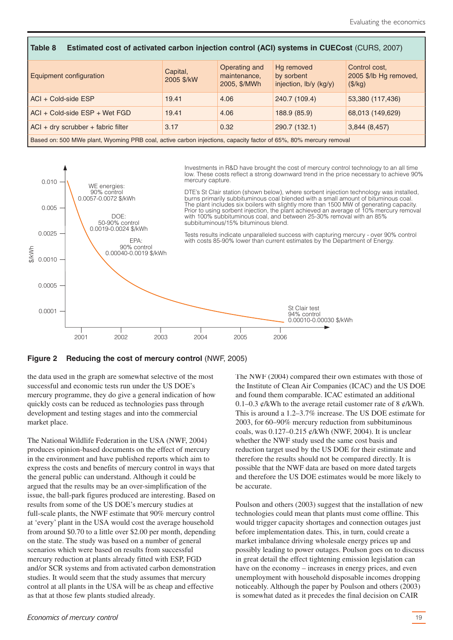| Table 8<br>Estimated cost of activated carbon injection control (ACI) systems in CUECost (CURS, 2007)            |                        |                                               |                                                    |                                                    |  |  |
|------------------------------------------------------------------------------------------------------------------|------------------------|-----------------------------------------------|----------------------------------------------------|----------------------------------------------------|--|--|
| <b>Equipment configuration</b>                                                                                   | Capital,<br>2005 \$/kW | Operating and<br>maintenance,<br>2005, \$/MWh | Hg removed<br>by sorbent<br>injection, lb/y (kg/y) | Control cost.<br>2005 \$/lb Hg removed,<br>(\$/kg) |  |  |
| $ACI + Cold-side ESP$                                                                                            | 19.41                  | 4.06                                          | 240.7 (109.4)                                      | 53,380 (117,436)                                   |  |  |
| $ACI + Cold-side ESP + Wet FGD$                                                                                  | 19.41                  | 4.06                                          | 188.9 (85.9)                                       | 68,013 (149,629)                                   |  |  |
| $ACI + dry$ scrubber + fabric filter<br>0.32<br>290.7 (132.1)<br>3.17<br>3,844(8,457)                            |                        |                                               |                                                    |                                                    |  |  |
| Based on: 500 MWe plant, Wyoming PRB coal, active carbon injections, capacity factor of 65%, 80% mercury removal |                        |                                               |                                                    |                                                    |  |  |



#### **Figure 2 Reducing the cost of mercury control** (NWF, 2005)

the data used in the graph are somewhat selective of the most successful and economic tests run under the US DOE's mercury programme, they do give a general indication of how quickly costs can be reduced as technologies pass through development and testing stages and into the commercial market place.

The National Wildlife Federation in the USA (NWF, 2004) produces opinion-based documents on the effect of mercury in the environment and have published reports which aim to express the costs and benefits of mercury control in ways that the general public can understand. Although it could be argued that the results may be an over-simplification of the issue, the ball-park figures produced are interesting. Based on results from some of the US DOE's mercury studies at full-scale plants, the NWF estimate that 90% mercury control at 'every' plant in the USA would cost the average household from around \$0.70 to a little over \$2.00 per month, depending on the state. The study was based on a number of general scenarios which were based on results from successful mercury reduction at plants already fitted with ESP, FGD and/or SCR systems and from activated carbon demonstration studies. It would seem that the study assumes that mercury control at all plants in the USA will be as cheap and effective as that at those few plants studied already.

The NWF (2004) compared their own estimates with those of the Institute of Clean Air Companies (ICAC) and the US DOE and found them comparable. ICAC estimated an additional 0.1–0.3  $\mathcal{C}/kWh$  to the average retail customer rate of 8  $\mathcal{C}/kWh$ . This is around a 1.2–3.7% increase. The US DOE estimate for 2003, for 60–90% mercury reduction from subbituminous coals, was 0.127–0.215 ¢/kWh (NWF, 2004). It is unclear whether the NWF study used the same cost basis and reduction target used by the US DOE for their estimate and therefore the results should not be compared directly. It is possible that the NWF data are based on more dated targets and therefore the US DOE estimates would be more likely to be accurate.

Poulson and others (2003) suggest that the installation of new technologies could mean that plants must come offline. This would trigger capacity shortages and connection outages just before implementation dates. This, in turn, could create a market imbalance driving wholesale energy prices up and possibly leading to power outages. Poulson goes on to discuss in great detail the effect tightening emission legislation can have on the economy – increases in energy prices, and even unemployment with household disposable incomes dropping noticeably. Although the paper by Poulson and others (2003) is somewhat dated as it precedes the final decision on CAIR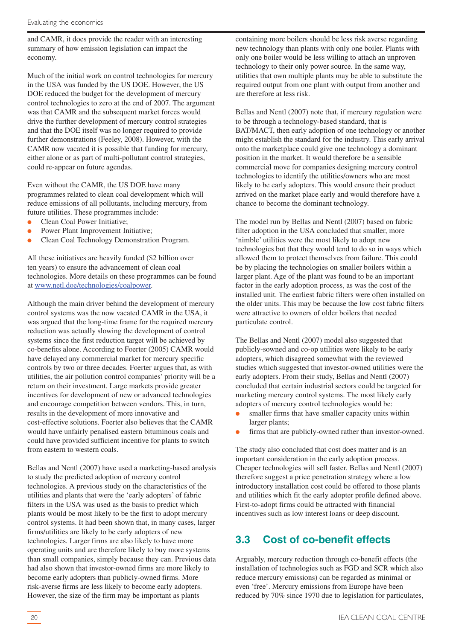<span id="page-19-0"></span>and CAMR, it does provide the reader with an interesting summary of how emission legislation can impact the economy.

Much of the initial work on control technologies for mercury in the USA was funded by the US DOE. However, the US DOE reduced the budget for the development of mercury control technologies to zero at the end of 2007. The argument was that CAMR and the subsequent market forces would drive the further development of mercury control strategies and that the DOE itself was no longer required to provide further demonstrations (Feeley, 2008). However, with the CAMR now vacated it is possible that funding for mercury, either alone or as part of multi-pollutant control strategies, could re-appear on future agendas.

Even without the CAMR, the US DOE have many programmes related to clean coal development which will reduce emissions of all pollutants, including mercury, from future utilities. These programmes include:

- Clean Coal Power Initiative:
- Power Plant Improvement Initiative:
- Clean Coal Technology Demonstration Program.

All these initiatives are heavily funded (\$2 billion over ten years) to ensure the advancement of clean coal technologies. More details on these programmes can be found at www.netl.doe/technologies/coalpower.

Although the main driver behind the development of mercury control systems was the now vacated CAMR in the USA, it was argued that the long-time frame for the required mercury reduction was actually slowing the development of control systems since the first reduction target will be achieved by co-benefits alone. According to Foerter (2005) CAMR would have delayed any commercial market for mercury specific controls by two or three decades. Foerter argues that, as with utilities, the air pollution control companies' priority will be a return on their investment. Large markets provide greater incentives for development of new or advanced technologies and encourage competition between vendors. This, in turn, results in the development of more innovative and cost-effective solutions. Foerter also believes that the CAMR would have unfairly penalised eastern bituminous coals and could have provided sufficient incentive for plants to switch from eastern to western coals.

Bellas and Nentl (2007) have used a marketing-based analysis to study the predicted adoption of mercury control technologies. A previous study on the characteristics of the utilities and plants that were the 'early adopters' of fabric filters in the USA was used as the basis to predict which plants would be most likely to be the first to adopt mercury control systems. It had been shown that, in many cases, larger firms/utilities are likely to be early adopters of new technologies. Larger firms are also likely to have more operating units and are therefore likely to buy more systems than small companies, simply because they can. Previous data had also shown that investor-owned firms are more likely to become early adopters than publicly-owned firms. More risk-averse firms are less likely to become early adopters. However, the size of the firm may be important as plants

containing more boilers should be less risk averse regarding new technology than plants with only one boiler. Plants with only one boiler would be less willing to attach an unproven technology to their only power source. In the same way, utilities that own multiple plants may be able to substitute the required output from one plant with output from another and are therefore at less risk.

Bellas and Nentl (2007) note that, if mercury regulation were to be through a technology-based standard, that is BAT/MACT, then early adoption of one technology or another might establish the standard for the industry. This early arrival onto the marketplace could give one technology a dominant position in the market. It would therefore be a sensible commercial move for companies designing mercury control technologies to identify the utilities/owners who are most likely to be early adopters. This would ensure their product arrived on the market place early and would therefore have a chance to become the dominant technology.

The model run by Bellas and Nentl (2007) based on fabric filter adoption in the USA concluded that smaller, more 'nimble' utilities were the most likely to adopt new technologies but that they would tend to do so in ways which allowed them to protect themselves from failure. This could be by placing the technologies on smaller boilers within a larger plant. Age of the plant was found to be an important factor in the early adoption process, as was the cost of the installed unit. The earliest fabric filters were often installed on the older units. This may be because the low cost fabric filters were attractive to owners of older boilers that needed particulate control.

The Bellas and Nentl (2007) model also suggested that publicly-sowned and co-op utilities were likely to be early adopters, which disagreed somewhat with the reviewed studies which suggested that investor-owned utilities were the early adopters. From their study, Bellas and Nentl (2007) concluded that certain industrial sectors could be targeted for marketing mercury control systems. The most likely early adopters of mercury control technologies would be:

- smaller firms that have smaller capacity units within larger plants;
- firms that are publicly-owned rather than investor-owned.

The study also concluded that cost does matter and is an important consideration in the early adoption process. Cheaper technologies will sell faster. Bellas and Nentl (2007) therefore suggest a price penetration strategy where a low introductory installation cost could be offered to those plants and utilities which fit the early adopter profile defined above. First-to-adopt firms could be attracted with financial incentives such as low interest loans or deep discount.

# **3.3 Cost of co-benefit effects**

Arguably, mercury reduction through co-benefit effects (the installation of technologies such as FGD and SCR which also reduce mercury emissions) can be regarded as minimal or even 'free'. Mercury emissions from Europe have been reduced by 70% since 1970 due to legislation for particulates,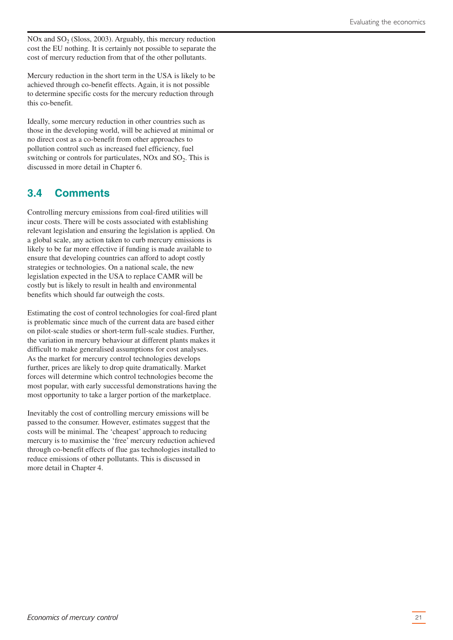<span id="page-20-0"></span>NOx and  $SO<sub>2</sub>$  (Sloss, 2003). Arguably, this mercury reduction cost the EU nothing. It is certainly not possible to separate the cost of mercury reduction from that of the other pollutants.

Mercury reduction in the short term in the USA is likely to be achieved through co-benefit effects. Again, it is not possible to determine specific costs for the mercury reduction through this co-benefit.

Ideally, some mercury reduction in other countries such as those in the developing world, will be achieved at minimal or no direct cost as a co-benefit from other approaches to pollution control such as increased fuel efficiency, fuel switching or controls for particulates,  $NOx$  and  $SO<sub>2</sub>$ . This is discussed in more detail in Chapter 6.

# **3.4 Comments**

Controlling mercury emissions from coal-fired utilities will incur costs. There will be costs associated with establishing relevant legislation and ensuring the legislation is applied. On a global scale, any action taken to curb mercury emissions is likely to be far more effective if funding is made available to ensure that developing countries can afford to adopt costly strategies or technologies. On a national scale, the new legislation expected in the USA to replace CAMR will be costly but is likely to result in health and environmental benefits which should far outweigh the costs.

Estimating the cost of control technologies for coal-fired plant is problematic since much of the current data are based either on pilot-scale studies or short-term full-scale studies. Further, the variation in mercury behaviour at different plants makes it difficult to make generalised assumptions for cost analyses. As the market for mercury control technologies develops further, prices are likely to drop quite dramatically. Market forces will determine which control technologies become the most popular, with early successful demonstrations having the most opportunity to take a larger portion of the marketplace.

Inevitably the cost of controlling mercury emissions will be passed to the consumer. However, estimates suggest that the costs will be minimal. The 'cheapest' approach to reducing mercury is to maximise the 'free' mercury reduction achieved through co-benefit effects of flue gas technologies installed to reduce emissions of other pollutants. This is discussed in more detail in Chapter 4.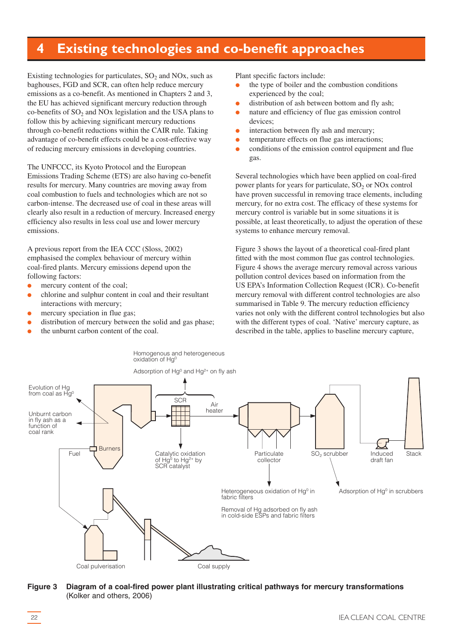# <span id="page-21-0"></span>**4 Existing technologies and co-benefit approaches**

Existing technologies for particulates,  $SO<sub>2</sub>$  and NOx, such as baghouses, FGD and SCR, can often help reduce mercury emissions as a co-benefit. As mentioned in Chapters 2 and 3, the EU has achieved significant mercury reduction through co-benefits of  $SO<sub>2</sub>$  and NO<sub>x</sub> legislation and the USA plans to follow this by achieving significant mercury reductions through co-benefit reductions within the CAIR rule. Taking advantage of co-benefit effects could be a cost-effective way of reducing mercury emissions in developing countries.

The UNFCCC, its Kyoto Protocol and the European Emissions Trading Scheme (ETS) are also having co-benefit results for mercury. Many countries are moving away from coal combustion to fuels and technologies which are not so carbon-intense. The decreased use of coal in these areas will clearly also result in a reduction of mercury. Increased energy efficiency also results in less coal use and lower mercury emissions.

A previous report from the IEA CCC (Sloss, 2002) emphasised the complex behaviour of mercury within coal-fired plants. Mercury emissions depend upon the following factors:

- mercury content of the coal;
- chlorine and sulphur content in coal and their resultant interactions with mercury;
- mercury speciation in flue gas:
- distribution of mercury between the solid and gas phase;
- the unburnt carbon content of the coal.

Plant specific factors include:

- the type of boiler and the combustion conditions experienced by the coal;
- distribution of ash between bottom and fly ash;
- nature and efficiency of flue gas emission control devices;
- interaction between fly ash and mercury;
- temperature effects on flue gas interactions;
- conditions of the emission control equipment and flue gas.

Several technologies which have been applied on coal-fired power plants for years for particulate,  $SO<sub>2</sub>$  or NOx control have proven successful in removing trace elements, including mercury, for no extra cost. The efficacy of these systems for mercury control is variable but in some situations it is possible, at least theoretically, to adjust the operation of these systems to enhance mercury removal.

Figure 3 shows the layout of a theoretical coal-fired plant fitted with the most common flue gas control technologies. Figure 4 shows the average mercury removal across various pollution control devices based on information from the US EPA's Information Collection Request (ICR). Co-benefit mercury removal with different control technologies are also summarised in Table 9. The mercury reduction efficiency varies not only with the different control technologies but also with the different types of coal. 'Native' mercury capture, as described in the table, applies to baseline mercury capture,



**Figure 3 Diagram of a coal-fired power plant illustrating critical pathways for mercury transformations** (Kolker and others, 2006)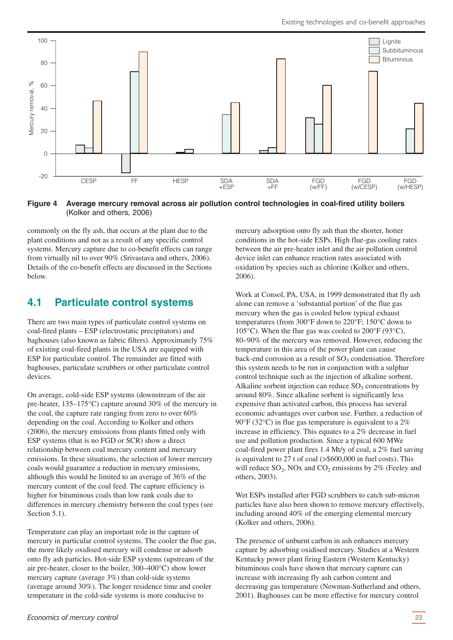<span id="page-22-0"></span>

**Figure 4 Average mercury removal across air pollution control technologies in coal-fired utility boilers** (Kolker and others, 2006)

commonly on the fly ash, that occurs at the plant due to the plant conditions and not as a result of any specific control systems. Mercury capture due to co-benefit effects can range from virtually nil to over 90% (Srivastava and others, 2006). Details of the co-benefit effects are discussed in the Sections below.

# **4.1 Particulate control systems**

There are two main types of particulate control systems on coal-fired plants – ESP (electrostatic precipitators) and baghouses (also known as fabric filters). Approximately 75% of existing coal-fired plants in the USA are equipped with ESP for particulate control. The remainder are fitted with baghouses, particulate scrubbers or other particulate control devices.

On average, cold-side ESP systems (downstream of the air pre-heater, 135–175°C) capture around 30% of the mercury in the coal, the capture rate ranging from zero to over 60% depending on the coal. According to Kolker and others (2006), the mercury emissions from plants fitted only with ESP systems (that is no FGD or SCR) show a direct relationship between coal mercury content and mercury emissions. In these situations, the selection of lower mercury coals would guarantee a reduction in mercury emissions, although this would be limited to an average of 36% of the mercury content of the coal feed. The capture efficiency is higher for bituminous coals than low rank coals due to differences in mercury chemistry between the coal types (see Section 5.1).

Temperature can play an important role in the capture of mercury in particular control systems. The cooler the flue gas, the more likely oxidised mercury will condense or adsorb onto fly ash particles. Hot-side ESP systems (upstream of the air pre-heater, closer to the boiler, 300–400°C) show lower mercury capture (average 3%) than cold-side systems (average around 30%). The longer residence time and cooler temperature in the cold-side systems is more conducive to

mercury adsorption onto fly ash than the shorter, hotter conditions in the hot-side ESPs. High flue-gas cooling rates between the air pre-heater inlet and the air pollution control device inlet can enhance reaction rates associated with oxidation by species such as chlorine (Kolker and others, 2006).

Work at Consol, PA, USA, in 1999 demonstrated that fly ash alone can remove a 'substantial portion' of the flue gas mercury when the gas is cooled below typical exhaust temperatures (from 300°F down to 220°F; 150°C down to 105 $\rm^{\circ}$ C). When the flue gas was cooled to 200 $\rm^{\circ}$ F (93 $\rm^{\circ}$ C), 80–90% of the mercury was removed. However, reducing the temperature in this area of the power plant can cause back-end corrosion as a result of  $SO<sub>3</sub>$  condensation. Therefore this system needs to be run in conjunction with a sulphur control technique such as the injection of alkaline sorbent. Alkaline sorbent injection can reduce  $SO<sub>3</sub>$  concentrations by around 80%. Since alkaline sorbent is significantly less expensive than activated carbon, this process has several economic advantages over carbon use. Further, a reduction of 90°F (32°C) in flue gas temperature is equivalent to a 2% increase in efficiency. This equates to a 2% decrease in fuel use and pollution production. Since a typical 600 MWe coal-fired power plant fires 1.4 Mt/y of coal, a 2% fuel saving is equivalent to 27 t of coal (>\$600,000 in fuel costs). This will reduce  $SO_2$ , NOx and  $CO_2$  emissions by 2% (Feeley and others, 2003).

Wet ESPs installed after FGD scrubbers to catch sub-micron particles have also been shown to remove mercury effectively, including around 40% of the emerging elemental mercury (Kolker and others, 2006).

The presence of unburnt carbon in ash enhances mercury capture by adsorbing oxidised mercury. Studies at a Western Kentucky power plant firing Eastern (Western Kentucky) bituminous coals have shown that mercury capture can increase with increasing fly ash carbon content and decreasing gas temperature (Newman-Sutherland and others, 2001). Baghouses can be more effective for mercury control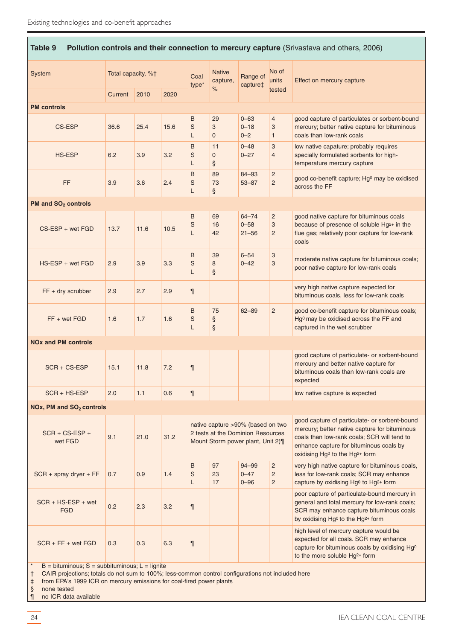| Table 9<br>Pollution controls and their connection to mercury capture (Srivastava and others, 2006) |                    |      |               |                           |                           |                                                                                                            |                                                    |                                                                                                                                                                                                                                                    |
|-----------------------------------------------------------------------------------------------------|--------------------|------|---------------|---------------------------|---------------------------|------------------------------------------------------------------------------------------------------------|----------------------------------------------------|----------------------------------------------------------------------------------------------------------------------------------------------------------------------------------------------------------------------------------------------------|
| System                                                                                              | Total capacity, %† |      | Coal<br>type* | <b>Native</b><br>capture, | Range of<br>capture‡      | No of<br>units                                                                                             | Effect on mercury capture                          |                                                                                                                                                                                                                                                    |
|                                                                                                     | Current            | 2010 | 2020          |                           | $\%$                      |                                                                                                            | tested                                             |                                                                                                                                                                                                                                                    |
| <b>PM</b> controls                                                                                  |                    |      |               |                           |                           |                                                                                                            |                                                    |                                                                                                                                                                                                                                                    |
| CS-ESP                                                                                              | 36.6               | 25.4 | 15.6          | B<br>S<br>L               | 29<br>3<br>$\overline{0}$ | $0 - 63$<br>$0 - 18$<br>$0 - 2$                                                                            | $\overline{4}$<br>3<br>$\mathbf{1}$                | good capture of particulates or sorbent-bound<br>mercury; better native capture for bituminous<br>coals than low-rank coals                                                                                                                        |
| <b>HS-ESP</b>                                                                                       | 6.2                | 3.9  | 3.2           | B<br>S<br>L               | 11<br>$\Omega$<br>ş       | $0 - 48$<br>$0 - 27$                                                                                       | 3<br>$\overline{4}$                                | low native capature; probably requires<br>specially formulated sorbents for high-<br>temperature mercury capture                                                                                                                                   |
| FF                                                                                                  | 3.9                | 3.6  | 2.4           | B<br>S<br>L               | 89<br>73<br>$\S$          | $84 - 93$<br>$53 - 87$                                                                                     | $\overline{2}$<br>$\overline{c}$                   | good co-benefit capture; Hg <sup>0</sup> may be oxidised<br>across the FF                                                                                                                                                                          |
| PM and SO <sub>2</sub> controls                                                                     |                    |      |               |                           |                           |                                                                                                            |                                                    |                                                                                                                                                                                                                                                    |
| $CS$ -ESP + wet FGD                                                                                 | 13.7               | 11.6 | 10.5          | B<br>$\mathbb S$<br>L     | 69<br>16<br>42            | $64 - 74$<br>$0 - 58$<br>$21 - 56$                                                                         | $\overline{2}$<br>3<br>$\overline{c}$              | good native capture for bituminous coals<br>because of presence of soluble Hg <sup>2+</sup> in the<br>flue gas; relatively poor capture for low-rank<br>coals                                                                                      |
| $HS$ -ESP + wet FGD                                                                                 | 2.9                | 3.9  | 3.3           | B<br>S<br>L               | 39<br>8<br>ş              | $6 - 54$<br>$0 - 42$                                                                                       | 3<br>3                                             | moderate native capture for bituminous coals;<br>poor native capture for low-rank coals                                                                                                                                                            |
| $FF + dry$ scrubber                                                                                 | 2.9                | 2.7  | 2.9           | 1                         |                           |                                                                                                            |                                                    | very high native capture expected for<br>bituminous coals, less for low-rank coals                                                                                                                                                                 |
| $FF + wet FGD$                                                                                      | 1.6                | 1.7  | 1.6           | B<br>S<br>L               | 75<br>$\S$<br>$\S$        | $62 - 89$                                                                                                  | $\overline{2}$                                     | good co-benefit capture for bituminous coals;<br>Hg <sup>0</sup> may be oxidised across the FF and<br>captured in the wet scrubber                                                                                                                 |
| <b>NO<sub>x</sub></b> and PM controls                                                               |                    |      |               |                           |                           |                                                                                                            |                                                    |                                                                                                                                                                                                                                                    |
| $SCR + CS-ESP$                                                                                      | 15.1               | 11.8 | 7.2           | $\P$                      |                           |                                                                                                            |                                                    | good capture of particulate- or sorbent-bound<br>mercury and better native capture for<br>bituminous coals than low-rank coals are<br>expected                                                                                                     |
| $SCR + HS-ESP$                                                                                      | 2.0                | 1.1  | 0.6           | 1                         |                           |                                                                                                            |                                                    | low native capture is expected                                                                                                                                                                                                                     |
| NOx, PM and SO <sub>2</sub> controls                                                                |                    |      |               |                           |                           |                                                                                                            |                                                    |                                                                                                                                                                                                                                                    |
| $SCR + CS-ESP +$<br>wet FGD                                                                         | 9.1                | 21.0 | 31.2          |                           |                           | native capture >90% (based on two<br>2 tests at the Dominion Resources<br>Mount Storm power plant, Unit 2) |                                                    | good capture of particulate- or sorbent-bound<br>mercury; better native capture for bituminous<br>coals than low-rank coals; SCR will tend to<br>enhance capture for bituminous coals by<br>oxidising Hg <sup>0</sup> to the Hg <sup>2+</sup> form |
| $SCR +$ spray dryer + FF                                                                            | 0.7                | 0.9  | 1.4           | B<br>S<br>L               | 97<br>23<br>17            | $94 - 99$<br>$0 - 47$<br>$0 - 96$                                                                          | $\overline{c}$<br>$\overline{c}$<br>$\overline{2}$ | very high native capture for bituminous coals,<br>less for low-rank coals; SCR may enhance<br>capture by oxidising Hg <sup>0</sup> to Hg <sup>2+</sup> form                                                                                        |
| $SCR + HS-ESP + wet$<br><b>FGD</b>                                                                  | 0.2                | 2.3  | 3.2           | 1                         |                           |                                                                                                            |                                                    | poor capture of particulate-bound mercury in<br>general and total mercury for low-rank coals;<br>SCR may enhance capture bituminous coals<br>by oxidising Hg <sup>o</sup> to the Hg <sup>2+</sup> form                                             |
| $SCR + FF + wet FGD$                                                                                | 0.3                | 0.3  | 6.3           | 1                         |                           |                                                                                                            |                                                    | high level of mercury capture would be<br>expected for all coals. SCR may enhance<br>capture for bituminous coals by oxidising Hg <sup>o</sup><br>to the more soluble Hg <sup>2+</sup> form                                                        |

‡ from EPA's 1999 ICR on mercury emissions for coal-fired power plants

‡ from EPA's 1<br>§ none tested<br>¶ no ICR data

no ICR data available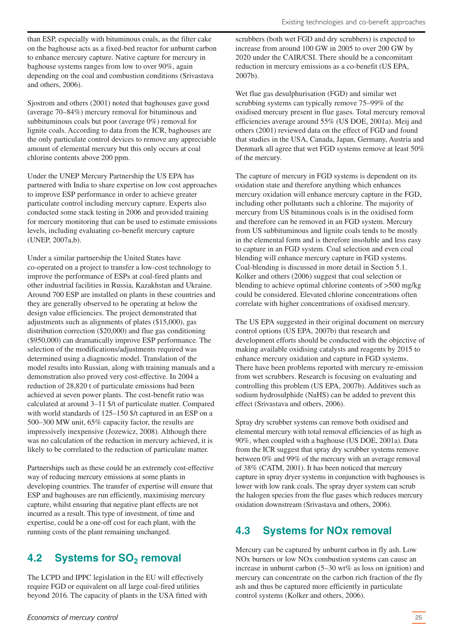<span id="page-24-0"></span>than ESP, especially with bituminous coals, as the filter cake on the baghouse acts as a fixed-bed reactor for unburnt carbon to enhance mercury capture. Native capture for mercury in baghouse systems ranges from low to over 90%, again depending on the coal and combustion conditions (Srivastava and others, 2006).

Sjostrom and others (2001) noted that baghouses gave good (average 70–84%) mercury removal for bituminous and subbituminous coals but poor (average 0%) removal for lignite coals. According to data from the ICR, baghouses are the only particulate control devices to remove any appreciable amount of elemental mercury but this only occurs at coal chlorine contents above 200 ppm.

Under the UNEP Mercury Partnership the US EPA has partnered with India to share expertise on low cost approaches to improve ESP performance in order to achieve greater particulate control including mercury capture. Experts also conducted some stack testing in 2006 and provided training for mercury monitoring that can be used to estimate emissions levels, including evaluating co-benefit mercury capture (UNEP, 2007a,b).

Under a similar partnership the United States have co-operated on a project to transfer a low-cost technology to improve the performance of ESPs at coal-fired plants and other industrial facilities in Russia, Kazakhstan and Ukraine. Around 700 ESP are installed on plants in these countries and they are generally observed to be operating at below the design value efficiencies. The project demonstrated that adjustments such as alignments of plates (\$15,000), gas distribution correction (\$20,000) and flue gas conditioning (\$950,000) can dramatically improve ESP performance. The selection of the modifications/adjustments required was determined using a diagnostic model. Translation of the model results into Russian, along with training manuals and a demonstration also proved very cost-effective. In 2004 a reduction of 28,820 t of particulate emissions had been achieved at seven power plants. The cost-benefit ratio was calculated at around 3–11 \$/t of particulate matter. Compared with world standards of 125–150  $t$  captured in an ESP on a 500–300 MW unit, 65% capacity factor, the results are impressively inexpensive (Jozewicz, 2008). Although there was no calculation of the reduction in mercury achieved, it is likely to be correlated to the reduction of particulate matter.

Partnerships such as these could be an extremely cost-effective way of reducing mercury emissions at some plants in developing countries. The transfer of expertise will ensure that ESP and baghouses are run efficiently, maximising mercury capture, whilst ensuring that negative plant effects are not incurred as a result. This type of investment, of time and expertise, could be a one-off cost for each plant, with the running costs of the plant remaining unchanged.

# **4.2 Systems for SO<sub>2</sub> removal**

The LCPD and IPPC legislation in the EU will effectively require FGD or equivalent on all large coal-fired utilities beyond 2016. The capacity of plants in the USA fitted with scrubbers (both wet FGD and dry scrubbers) is expected to increase from around 100 GW in 2005 to over 200 GW by 2020 under the CAIR/CSI. There should be a concomitant reduction in mercury emissions as a co-benefit (US EPA, 2007b).

Wet flue gas desulphurisation (FGD) and similar wet scrubbing systems can typically remove 75–99% of the oxidised mercury present in flue gases. Total mercury removal efficiencies average around 55% (US DOE, 2001a). Meij and others (2001) reviewed data on the effect of FGD and found that studies in the USA, Canada, Japan, Germany, Austria and Denmark all agree that wet FGD systems remove at least 50% of the mercury.

The capture of mercury in FGD systems is dependent on its oxidation state and therefore anything which enhances mercury oxidation will enhance mercury capture in the FGD, including other pollutants such a chlorine. The majority of mercury from US bituminous coals is in the oxidised form and therefore can be removed in an FGD system. Mercury from US subbituminous and lignite coals tends to be mostly in the elemental form and is therefore insoluble and less easy to capture in an FGD system. Coal selection and even coal blending will enhance mercury capture in FGD systems. Coal-blending is discussed in more detail in Section 5.1. Kolker and others (2006) suggest that coal selection or blending to achieve optimal chlorine contents of >500 mg/kg could be considered. Elevated chlorine concentrations often correlate with higher concentrations of oxidised mercury.

The US EPA suggested in their original document on mercury control options (US EPA, 2007b) that research and development efforts should be conducted with the objective of making available oxidising catalysts and reagents by 2015 to enhance mercury oxidation and capture in FGD systems. There have been problems reported with mercury re-emission from wet scrubbers. Research is focusing on evaluating and controlling this problem (US EPA, 2007b). Additives such as sodium hydrosulphide (NaHS) can be added to prevent this effect (Srivastava and others, 2006).

Spray dry scrubber systems can remove both oxidised and elemental mercury with total removal efficiencies of as high as 90%, when coupled with a baghouse (US DOE, 2001a). Data from the ICR suggest that spray dry scrubber systems remove between 0% and 99% of the mercury with an average removal of 38% (CATM, 2001). It has been noticed that mercury capture in spray dryer systems in conjunction with baghouses is lower with low rank coals. The spray dryer system can scrub the halogen species from the flue gases which reduces mercury oxidation downstream (Srivastava and others, 2006).

# **4.3 Systems for NOx removal**

Mercury can be captured by unburnt carbon in fly ash. Low NOx burners or low NOx combustion systems can cause an increase in unburnt carbon (5–30 wt% as loss on ignition) and mercury can concentrate on the carbon rich fraction of the fly ash and thus be captured more efficiently in particulate control systems (Kolker and others, 2006).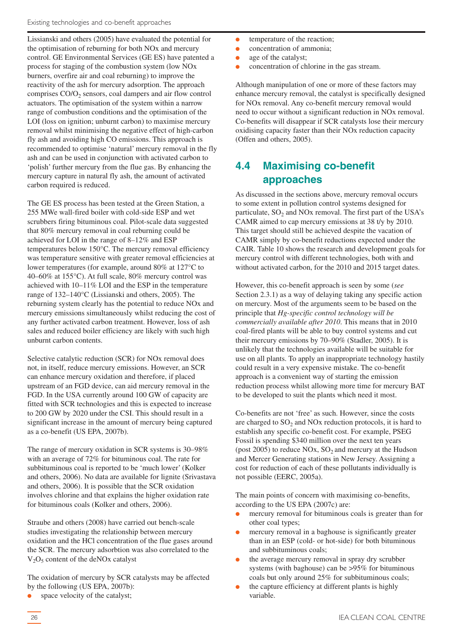<span id="page-25-0"></span>Lissianski and others (2005) have evaluated the potential for the optimisation of reburning for both NOx and mercury control. GE Environmental Services (GE ES) have patented a process for staging of the combustion system (low NOx burners, overfire air and coal reburning) to improve the reactivity of the ash for mercury adsorption. The approach comprises  $CO/O<sub>2</sub>$  sensors, coal dampers and air flow control actuators. The optimisation of the system within a narrow range of combustion conditions and the optimisation of the LOI (loss on ignition; unburnt carbon) to maximise mercury removal whilst minimising the negative effect of high-carbon fly ash and avoiding high CO emissions. This approach is recommended to optimise 'natural' mercury removal in the fly ash and can be used in conjunction with activated carbon to 'polish' further mercury from the flue gas. By enhancing the mercury capture in natural fly ash, the amount of activated carbon required is reduced.

The GE ES process has been tested at the Green Station, a 255 MWe wall-fired boiler with cold-side ESP and wet scrubbers firing bituminous coal. Pilot-scale data suggested that 80% mercury removal in coal reburning could be achieved for LOI in the range of 8–12% and ESP temperatures below 150°C. The mercury removal efficiency was temperature sensitive with greater removal efficiencies at lower temperatures (for example, around 80% at 127°C to 40–60% at 155°C). At full scale, 80% mercury control was achieved with 10–11% LOI and the ESP in the temperature range of 132–140°C (Lissianski and others, 2005). The reburning system clearly has the potential to reduce NOx and mercury emissions simultaneously whilst reducing the cost of any further activated carbon treatment. However, loss of ash sales and reduced boiler efficiency are likely with such high unburnt carbon contents.

Selective catalytic reduction (SCR) for NOx removal does not, in itself, reduce mercury emissions. However, an SCR can enhance mercury oxidation and therefore, if placed upstream of an FGD device, can aid mercury removal in the FGD. In the USA currently around 100 GW of capacity are fitted with SCR technologies and this is expected to increase to 200 GW by 2020 under the CSI. This should result in a significant increase in the amount of mercury being captured as a co-benefit (US EPA, 2007b).

The range of mercury oxidation in SCR systems is 30–98% with an average of 72% for bituminous coal. The rate for subbituminous coal is reported to be 'much lower' (Kolker and others, 2006). No data are available for lignite (Srivastava and others, 2006). It is possible that the SCR oxidation involves chlorine and that explains the higher oxidation rate for bituminous coals (Kolker and others, 2006).

Straube and others (2008) have carried out bench-scale studies investigating the relationship between mercury oxidation and the HCl concentration of the flue gases around the SCR. The mercury adsorbtion was also correlated to the  $V<sub>2</sub>O<sub>5</sub>$  content of the deNOx catalyst

The oxidation of mercury by SCR catalysts may be affected by the following (US EPA, 2007b):

space velocity of the catalyst;

- temperature of the reaction;
- concentration of ammonia;
- age of the catalyst;
- concentration of chlorine in the gas stream.

Although manipulation of one or more of these factors may enhance mercury removal, the catalyst is specifically designed for NOx removal. Any co-benefit mercury removal would need to occur without a significant reduction in NOx removal. Co-benefits will disappear if SCR catalysts lose their mercury oxidising capacity faster than their NOx reduction capacity (Offen and others, 2005).

# **4.4 Maximising co-benefit approaches**

As discussed in the sections above, mercury removal occurs to some extent in pollution control systems designed for particulate,  $SO<sub>2</sub>$  and NO<sub>x</sub> removal. The first part of the USA's CAMR aimed to cap mercury emissions at 38 t/y by 2010. This target should still be achieved despite the vacation of CAMR simply by co-benefit reductions expected under the CAIR. Table 10 shows the research and development goals for mercury control with different technologies, both with and without activated carbon, for the 2010 and 2015 target dates.

However, this co-benefit approach is seen by some (*see* Section 2.3.1) as a way of delaying taking any specific action on mercury. Most of the arguments seem to be based on the principle that *Hg-specific control technology will be commercially available after 2010*. This means that in 2010 coal-fired plants will be able to buy control systems and cut their mercury emissions by 70–90% (Stadler, 2005). It is unlikely that the technologies available will be suitable for use on all plants. To apply an inappropriate technology hastily could result in a very expensive mistake. The co-benefit approach is a convenient way of starting the emission reduction process whilst allowing more time for mercury BAT to be developed to suit the plants which need it most.

Co-benefits are not 'free' as such. However, since the costs are charged to  $SO<sub>2</sub>$  and NO<sub>x</sub> reduction protocols, it is hard to establish any specific co-benefit cost. For example, PSEG Fossil is spending \$340 million over the next ten years (post  $2005$ ) to reduce NOx, SO<sub>2</sub> and mercury at the Hudson and Mercer Generating stations in New Jersey. Assigning a cost for reduction of each of these pollutants individually is not possible (EERC, 2005a).

The main points of concern with maximising co-benefits, according to the US EPA (2007c) are:

- mercury removal for bituminous coals is greater than for other coal types;
- mercury removal in a baghouse is significantly greater than in an ESP (cold- or hot-side) for both bituminous and subbituminous coals;
- the average mercury removal in spray dry scrubber systems (with baghouse) can be >95% for bituminous coals but only around 25% for subbituminous coals;
- the capture efficiency at different plants is highly variable.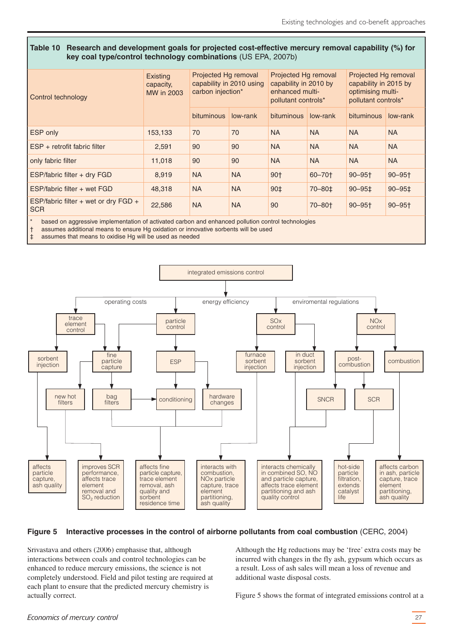#### **Table 10 Research and development goals for projected cost-effective mercury removal capability (%) for key coal type/control technology combinations** (US EPA, 2007b)

| Control technology                            | Existing<br>capacity,<br><b>MW</b> in 2003 | Projected Hg removal<br>capability in 2010 using<br>carbon injection* |           | Projected Hg removal<br>capability in 2010 by<br>enhanced multi-<br>pollutant controls* |           | Projected Hg removal<br>capability in 2015 by<br>optimising multi-<br>pollutant controls* |                        |
|-----------------------------------------------|--------------------------------------------|-----------------------------------------------------------------------|-----------|-----------------------------------------------------------------------------------------|-----------|-------------------------------------------------------------------------------------------|------------------------|
|                                               |                                            | bituminous                                                            | low-rank  | bituminous                                                                              | low-rank  | bituminous                                                                                | low-rank               |
| <b>ESP</b> only                               | 153,133                                    | 70                                                                    | 70        | <b>NA</b>                                                                               | <b>NA</b> | <b>NA</b>                                                                                 | <b>NA</b>              |
| LESP + retrofit fabric filter                 | 2,591                                      | 90                                                                    | 90        | <b>NA</b>                                                                               | <b>NA</b> | <b>NA</b>                                                                                 | <b>NA</b>              |
| only fabric filter                            | 11,018                                     | 90                                                                    | 90        | <b>NA</b>                                                                               | <b>NA</b> | <b>NA</b>                                                                                 | <b>NA</b>              |
| <b>ESP/fabric filter + dry FGD</b>            | 8,919                                      | <b>NA</b>                                                             | <b>NA</b> | 90†                                                                                     | 60-70+    | $90 - 95$ <sup>+</sup>                                                                    | $90 - 95$ <sup>+</sup> |
| ESP/fabric filter + wet FGD                   | 48,318                                     | <b>NA</b>                                                             | <b>NA</b> | 90‡                                                                                     | 70-80±    | $90 - 951$                                                                                | $90 - 951$             |
| ESP/fabric filter + wet or dry FGD +<br>l SCR | 22,586                                     | <b>NA</b>                                                             | <b>NA</b> | 90                                                                                      | 70-80+    | $90 - 95$ <sup>+</sup>                                                                    | $90 - 95$              |

based on aggressive implementation of activated carbon and enhanced pollution control technologies

† assumes additional means to ensure Hg oxidation or innovative sorbents will be used

‡ assumes that means to oxidise Hg will be used as needed



#### **Figure 5 Interactive processes in the control of airborne pollutants from coal combustion** (CERC, 2004)

Srivastava and others (2006) emphasise that, although interactions between coals and control technologies can be enhanced to reduce mercury emissions, the science is not completely understood. Field and pilot testing are required at each plant to ensure that the predicted mercury chemistry is actually correct.

Although the Hg reductions may be 'free' extra costs may be incurred with changes in the fly ash, gypsum which occurs as a result. Loss of ash sales will mean a loss of revenue and additional waste disposal costs.

Figure 5 shows the format of integrated emissions control at a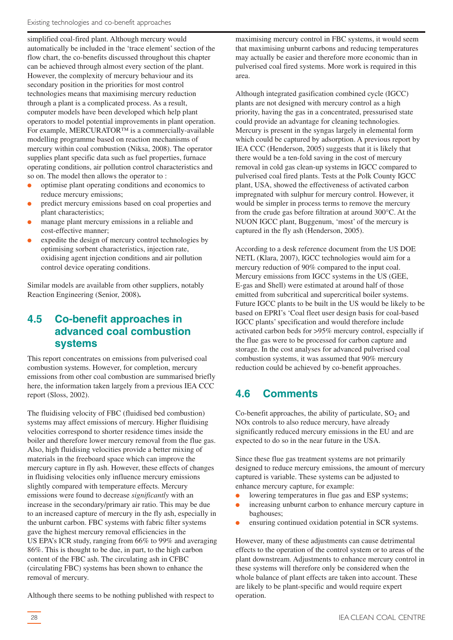<span id="page-27-0"></span>simplified coal-fired plant. Although mercury would automatically be included in the 'trace element'section of the flow chart, the co-benefits discussed throughout this chapter can be achieved through almost every section of the plant. However, the complexity of mercury behaviour and its secondary position in the priorities for most control technologies means that maximising mercury reduction through a plant is a complicated process. As a result, computer models have been developed which help plant operators to model potential improvements in plant operation. For example, MERCURATOR™ is a commercially-available modelling programme based on reaction mechanisms of mercury within coal combustion (Niksa, 2008). The operator supplies plant specific data such as fuel properties, furnace operating conditions, air pollution control characteristics and so on. The model then allows the operator to :

- optimise plant operating conditions and economics to reduce mercury emissions;
- predict mercury emissions based on coal properties and plant characteristics;
- manage plant mercury emissions in a reliable and cost-effective manner;
- expedite the design of mercury control technologies by optimising sorbent characteristics, injection rate, oxidising agent injection conditions and air pollution control device operating conditions.

Similar models are available from other suppliers, notably Reaction Engineering (Senior, 2008)**.**

# **4.5 Co-benefit approaches in advanced coal combustion systems**

This report concentrates on emissions from pulverised coal combustion systems. However, for completion, mercury emissions from other coal combustion are summarised briefly here, the information taken largely from a previous IEA CCC report (Sloss, 2002).

The fluidising velocity of FBC (fluidised bed combustion) systems may affect emissions of mercury. Higher fluidising velocities correspond to shorter residence times inside the boiler and therefore lower mercury removal from the flue gas. Also, high fluidising velocities provide a better mixing of materials in the freeboard space which can improve the mercury capture in fly ash. However, these effects of changes in fluidising velocities only influence mercury emissions slightly compared with temperature effects. Mercury emissions were found to decrease *significantly* with an increase in the secondary/primary air ratio. This may be due to an increased capture of mercury in the fly ash, especially in the unburnt carbon. FBC systems with fabric filter systems gave the highest mercury removal efficiencies in the US EPA's ICR study, ranging from 66% to 99% and averaging 86%. This is thought to be due, in part, to the high carbon content of the FBC ash. The circulating ash in CFBC (circulating FBC) systems has been shown to enhance the removal of mercury.

Although there seems to be nothing published with respect to

maximising mercury control in FBC systems, it would seem that maximising unburnt carbons and reducing temperatures may actually be easier and therefore more economic than in pulverised coal fired systems. More work is required in this area.

Although integrated gasification combined cycle (IGCC) plants are not designed with mercury control as a high priority, having the gas in a concentrated, pressurised state could provide an advantage for cleaning technologies. Mercury is present in the syngas largely in elemental form which could be captured by adsorption. A previous report by IEA CCC (Henderson, 2005) suggests that it is likely that there would be a ten-fold saving in the cost of mercury removal in cold gas clean-up systems in IGCC compared to pulverised coal fired plants. Tests at the Polk County IGCC plant, USA, showed the effectiveness of activated carbon impregnated with sulphur for mercury control. However, it would be simpler in process terms to remove the mercury from the crude gas before filtration at around 300°C. At the NUON IGCC plant, Buggenum, 'most' of the mercury is captured in the fly ash (Henderson, 2005).

According to a desk reference document from the US DOE NETL (Klara, 2007), IGCC technologies would aim for a mercury reduction of 90% compared to the input coal. Mercury emissions from IGCC systems in the US (GEE, E-gas and Shell) were estimated at around half of those emitted from subcritical and supercritical boiler systems. Future IGCC plants to be built in the US would be likely to be based on EPRI's 'Coal fleet user design basis for coal-based IGCC plants'specification and would therefore include activated carbon beds for >95% mercury control, especially if the flue gas were to be processed for carbon capture and storage. In the cost analyses for advanced pulverised coal combustion systems, it was assumed that 90% mercury reduction could be achieved by co-benefit approaches.

# **4.6 Comments**

Co-benefit approaches, the ability of particulate,  $SO<sub>2</sub>$  and NOx controls to also reduce mercury, have already significantly reduced mercury emissions in the EU and are expected to do so in the near future in the USA.

Since these flue gas treatment systems are not primarily designed to reduce mercury emissions, the amount of mercury captured is variable. These systems can be adjusted to enhance mercury capture, for example:

- lowering temperatures in flue gas and ESP systems;
- increasing unburnt carbon to enhance mercury capture in baghouses;
- ensuring continued oxidation potential in SCR systems.

However, many of these adjustments can cause detrimental effects to the operation of the control system or to areas of the plant downstream. Adjustments to enhance mercury control in these systems will therefore only be considered when the whole balance of plant effects are taken into account. These are likely to be plant-specific and would require expert operation.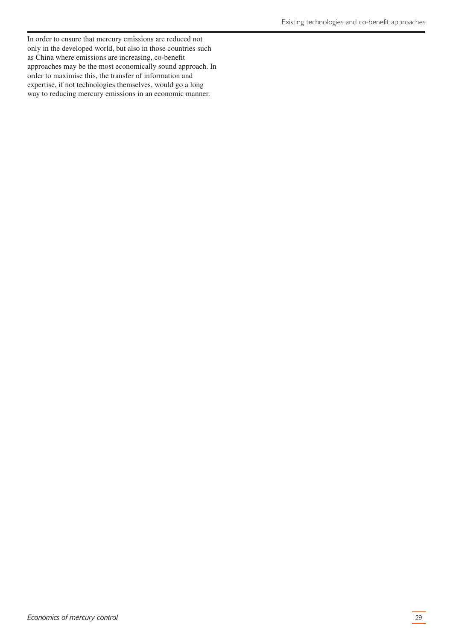In order to ensure that mercury emissions are reduced not only in the developed world, but also in those countries such as China where emissions are increasing, co-benefit approaches may be the most economically sound approach. In order to maximise this, the transfer of information and expertise, if not technologies themselves, would go a long way to reducing mercury emissions in an economic manner.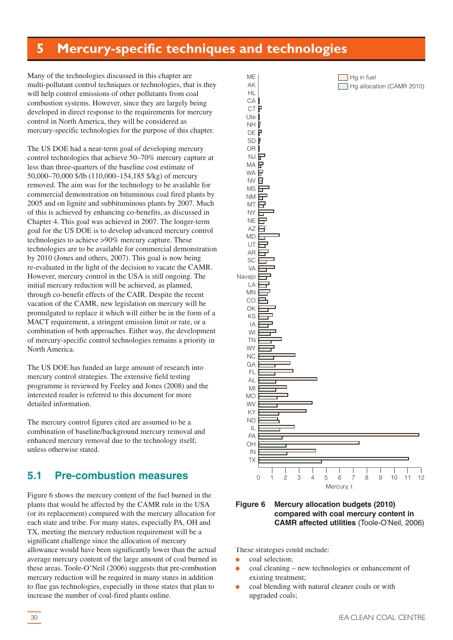# <span id="page-29-0"></span>**5 Mercury-specific techniques and technologies**

ME AK HL CA CT Ute

Many of the technologies discussed in this chapter are multi-pollutant control techniques or technologies, that is they will help control emissions of other pollutants from coal combustion systems. However, since they are largely being developed in direct response to the requirements for mercury control in North America, they will be considered as mercury-specific technologies for the purpose of this chapter.

The US DOE had a near-term goal of developing mercury control technologies that achieve 50–70% mercury capture at less than three-quarters of the baseline cost estimate of 50,000–70,000 \$/lb (110,000–154,185 \$/kg) of mercury removed. The aim was for the technology to be available for commercial demonstration on bituminous coal fired plants by 2005 and on lignite and subbituminous plants by 2007. Much of this is achieved by enhancing co-benefits, as discussed in Chapter 4. This goal was achieved in 2007. The longer-term goal for the US DOE is to develop advanced mercury control technologies to achieve >90% mercury capture. These technologies are to be available for commercial demonstration by 2010 (Jones and others, 2007). This goal is now being re-evaluated in the light of the decision to vacate the CAMR. However, mercury control in the USA is still ongoing. The initial mercury reduction will be achieved, as planned, through co-benefit effects of the CAIR. Despite the recent vacation of the CAMR, new legislation on mercury will be promulgated to replace it which will either be in the form of a MACT requirement, a stringent emission limit or rate, or a combination of both approaches. Either way, the development of mercury-specific control technologies remains a priority in North America.

The US DOE has funded an large amount of research into mercury control strategies. The extensive field testing programme is reviewed by Feeley and Jones (2008) and the interested reader is referred to this document for more detailed information.

The mercury control figures cited are assumed to be a combination of baseline/background mercury removal and enhanced mercury removal due to the technology itself, unless otherwise stated.

# **5.1 Pre-combustion measures**

Figure 6 shows the mercury content of the fuel burned in the plants that would be affected by the CAMR rule in the USA (or its replacement) compared with the mercury allocation for each state and tribe. For many states, especially PA, OH and TX, meeting the mercury reduction requirement will be a significant challenge since the allocation of mercury allowance would have been significantly lower than the actual average mercury content of the large amount of coal burned in these areas. Toole-O'Neil (2006) suggests that pre-combustion mercury reduction will be required in many states in addition to flue gas technologies, especially in those states that plan to increase the number of coal-fired plants online.



 $\Box$  Hg in fuel

Hg allocation (CAMR 2010)

#### **Figure 6 Mercury allocation budgets (2010) compared with coal mercury content in CAMR affected utilities** (Toole-O'Neil, 2006)

Mercury, t

These strategies could include:

- coal selection;
- coal cleaning new technologies or enhancement of existing treatment;
- coal blending with natural cleaner coals or with upgraded coals;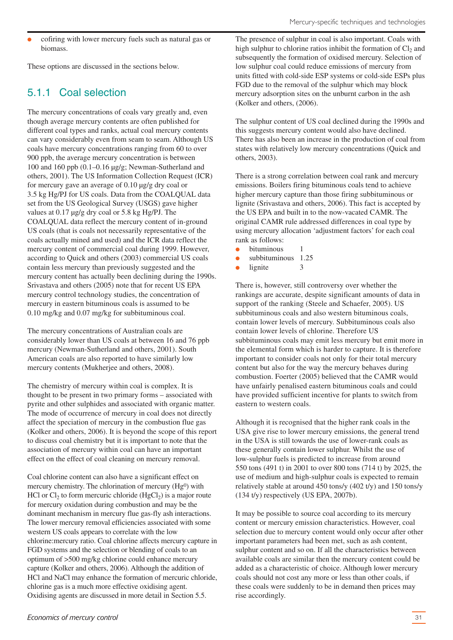<span id="page-30-0"></span>cofiring with lower mercury fuels such as natural gas or biomass.

These options are discussed in the sections below.

# 5.1.1 Coal selection

The mercury concentrations of coals vary greatly and, even though average mercury contents are often published for different coal types and ranks, actual coal mercury contents can vary considerably even from seam to seam. Although US coals have mercury concentrations ranging from 60 to over 900 ppb, the average mercury concentration is between 100 and 160 ppb (0.1–0.16 µg/g; Newman-Sutherland and others, 2001). The US Information Collection Request (ICR) for mercury gave an average of 0.10 µg/g dry coal or 3.5 kg Hg/PJ for US coals. Data from the COALQUAL data set from the US Geological Survey (USGS) gave higher values at 0.17 µg/g dry coal or 5.8 kg Hg/PJ. The COALQUAL data reflect the mercury content of in-ground US coals (that is coals not necessarily representative of the coals actually mined and used) and the ICR data reflect the mercury content of commercial coal during 1999. However, according to Quick and others (2003) commercial US coals contain less mercury than previously suggested and the mercury content has actually been declining during the 1990s. Srivastava and others (2005) note that for recent US EPA mercury control technology studies, the concentration of mercury in eastern bituminous coals is assumed to be 0.10 mg/kg and 0.07 mg/kg for subbituminous coal.

The mercury concentrations of Australian coals are considerably lower than US coals at between 16 and 76 ppb mercury (Newman-Sutherland and others, 2001). South American coals are also reported to have similarly low mercury contents (Mukherjee and others, 2008).

The chemistry of mercury within coal is complex. It is thought to be present in two primary forms – associated with pyrite and other sulphides and associated with organic matter. The mode of occurrence of mercury in coal does not directly affect the speciation of mercury in the combustion flue gas (Kolker and others, 2006). It is beyond the scope of this report to discuss coal chemistry but it is important to note that the association of mercury within coal can have an important effect on the effect of coal cleaning on mercury removal.

Coal chlorine content can also have a significant effect on mercury chemistry. The chlorination of mercury (Hg0) with HCl or  $Cl_2$  to form mercuric chloride (HgCl<sub>2</sub>) is a major route for mercury oxidation during combustion and may be the dominant mechanism in mercury flue gas-fly ash interactions. The lower mercury removal efficiencies associated with some western US coals appears to correlate with the low chlorine:mercury ratio. Coal chlorine affects mercury capture in FGD systems and the selection or blending of coals to an optimum of >500 mg/kg chlorine could enhance mercury capture (Kolker and others, 2006). Although the addition of HCl and NaCl may enhance the formation of mercuric chloride, chlorine gas is a much more effective oxidising agent. Oxidising agents are discussed in more detail in Section 5.5.

The presence of sulphur in coal is also important. Coals with high sulphur to chlorine ratios inhibit the formation of  $Cl<sub>2</sub>$  and subsequently the formation of oxidised mercury. Selection of low sulphur coal could reduce emissions of mercury from units fitted with cold-side ESP systems or cold-side ESPs plus FGD due to the removal of the sulphur which may block mercury adsorption sites on the unburnt carbon in the ash (Kolker and others, (2006).

The sulphur content of US coal declined during the 1990s and this suggests mercury content would also have declined. There has also been an increase in the production of coal from states with relatively low mercury concentrations (Quick and others, 2003).

There is a strong correlation between coal rank and mercury emissions. Boilers firing bituminous coals tend to achieve higher mercury capture than those firing subbituminous or lignite (Srivastava and others, 2006). This fact is accepted by the US EPA and built in to the now-vacated CAMR. The original CAMR rule addressed differences in coal type by using mercury allocation 'adjustment factors' for each coal rank as follows:

- bituminous 1
- subbituminous 1.25
- lignite 3

There is, however, still controversy over whether the rankings are accurate, despite significant amounts of data in support of the ranking (Steele and Schaefer, 2005). US subbituminous coals and also western bituminous coals, contain lower levels of mercury. Subbituminous coals also contain lower levels of chlorine. Therefore US subbituminous coals may emit less mercury but emit more in the elemental form which is harder to capture. It is therefore important to consider coals not only for their total mercury content but also for the way the mercury behaves during combustion. Foerter (2005) believed that the CAMR would have unfairly penalised eastern bituminous coals and could have provided sufficient incentive for plants to switch from eastern to western coals.

Although it is recognised that the higher rank coals in the USA give rise to lower mercury emissions, the general trend in the USA is still towards the use of lower-rank coals as these generally contain lower sulphur. Whilst the use of low-sulphur fuels is predicted to increase from around 550 tons (491 t) in 2001 to over 800 tons (714 t) by 2025, the use of medium and high-sulphur coals is expected to remain relatively stable at around 450 tons/y (402 t/y) and 150 tons/y (134 t/y) respectively (US EPA, 2007b).

It may be possible to source coal according to its mercury content or mercury emission characteristics. However, coal selection due to mercury content would only occur after other important parameters had been met, such as ash content, sulphur content and so on. If all the characteristics between available coals are similar then the mercury content could be added as a characteristic of choice. Although lower mercury coals should not cost any more or less than other coals, if these coals were suddenly to be in demand then prices may rise accordingly.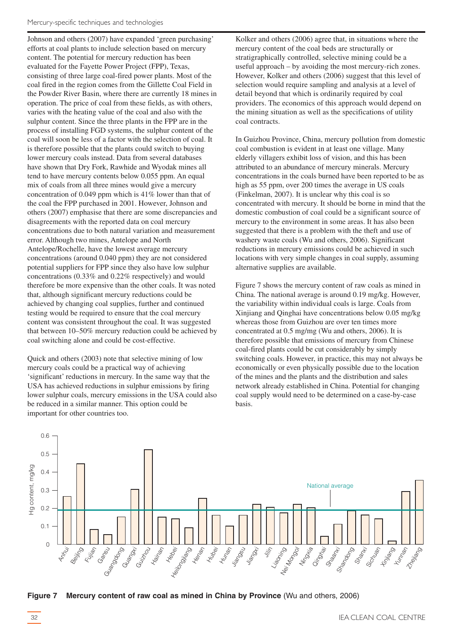Johnson and others (2007) have expanded 'green purchasing' efforts at coal plants to include selection based on mercury content. The potential for mercury reduction has been evaluated for the Fayette Power Project (FPP), Texas, consisting of three large coal-fired power plants. Most of the coal fired in the region comes from the Gillette Coal Field in the Powder River Basin, where there are currently 18 mines in operation. The price of coal from these fields, as with others, varies with the heating value of the coal and also with the sulphur content. Since the three plants in the FPP are in the process of installing FGD systems, the sulphur content of the coal will soon be less of a factor with the selection of coal. It is therefore possible that the plants could switch to buying lower mercury coals instead. Data from several databases have shown that Dry Fork, Rawhide and Wyodak mines all tend to have mercury contents below 0.055 ppm. An equal mix of coals from all three mines would give a mercury concentration of 0.049 ppm which is 41% lower than that of the coal the FPP purchased in 2001. However, Johnson and others (2007) emphasise that there are some discrepancies and disagreements with the reported data on coal mercury concentrations due to both natural variation and measurement error. Although two mines, Antelope and North Antelope/Rochelle, have the lowest average mercury concentrations (around 0.040 ppm) they are not considered potential suppliers for FPP since they also have low sulphur concentrations (0.33% and 0.22% respectively) and would therefore be more expensive than the other coals. It was noted that, although significant mercury reductions could be achieved by changing coal supplies, further and continued testing would be required to ensure that the coal mercury content was consistent throughout the coal. It was suggested that between 10–50% mercury reduction could be achieved by coal switching alone and could be cost-effective.

Quick and others (2003) note that selective mining of low mercury coals could be a practical way of achieving 'significant' reductions in mercury. In the same way that the USA has achieved reductions in sulphur emissions by firing lower sulphur coals, mercury emissions in the USA could also be reduced in a similar manner. This option could be important for other countries too.

Kolker and others (2006) agree that, in situations where the mercury content of the coal beds are structurally or stratigraphically controlled, selective mining could be a useful approach – by avoiding the most mercury-rich zones. However, Kolker and others (2006) suggest that this level of selection would require sampling and analysis at a level of detail beyond that which is ordinarily required by coal providers. The economics of this approach would depend on the mining situation as well as the specifications of utility coal contracts.

In Guizhou Province, China, mercury pollution from domestic coal combustion is evident in at least one village. Many elderly villagers exhibit loss of vision, and this has been attributed to an abundance of mercury minerals. Mercury concentrations in the coals burned have been reported to be as high as 55 ppm, over 200 times the average in US coals (Finkelman, 2007). It is unclear why this coal is so concentrated with mercury. It should be borne in mind that the domestic combustion of coal could be a significant source of mercury to the environment in some areas. It has also been suggested that there is a problem with the theft and use of washery waste coals (Wu and others, 2006). Significant reductions in mercury emissions could be achieved in such locations with very simple changes in coal supply, assuming alternative supplies are available.

Figure 7 shows the mercury content of raw coals as mined in China. The national average is around 0.19 mg/kg. However, the variability within individual coals is large. Coals from Xinjiang and Qinghai have concentrations below 0.05 mg/kg whereas those from Guizhou are over ten times more concentrated at 0.5 mg/mg (Wu and others, 2006). It is therefore possible that emissions of mercury from Chinese coal-fired plants could be cut considerably by simply switching coals. However, in practice, this may not always be economically or even physically possible due to the location of the mines and the plants and the distribution and sales network already established in China. Potential for changing coal supply would need to be determined on a case-by-case basis.



**Figure 7 Mercury content of raw coal as mined in China by Province** (Wu and others, 2006)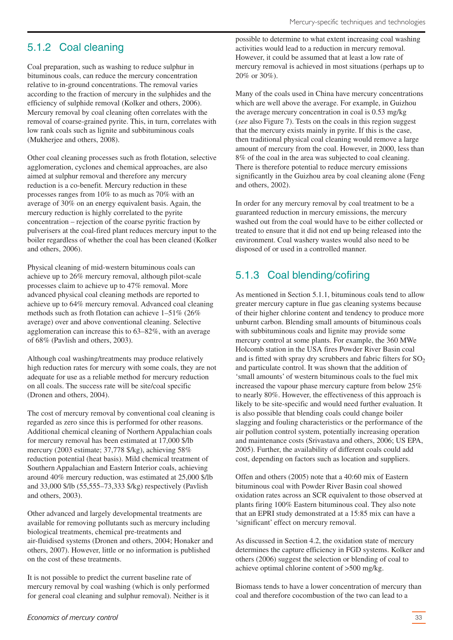# <span id="page-32-0"></span>5.1.2 Coal cleaning

Coal preparation, such as washing to reduce sulphur in bituminous coals, can reduce the mercury concentration relative to in-ground concentrations. The removal varies according to the fraction of mercury in the sulphides and the efficiency of sulphide removal (Kolker and others, 2006). Mercury removal by coal cleaning often correlates with the removal of coarse-grained pyrite. This, in turn, correlates with low rank coals such as lignite and subbituminous coals (Mukherjee and others, 2008).

Other coal cleaning processes such as froth flotation, selective agglomeration, cyclones and chemical approaches, are also aimed at sulphur removal and therefore any mercury reduction is a co-benefit. Mercury reduction in these processes ranges from 10% to as much as 70% with an average of 30% on an energy equivalent basis. Again, the mercury reduction is highly correlated to the pyrite concentration – rejection of the coarse pyritic fraction by pulverisers at the coal-fired plant reduces mercury input to the boiler regardless of whether the coal has been cleaned (Kolker and others, 2006).

Physical cleaning of mid-western bituminous coals can achieve up to 26% mercury removal, although pilot-scale processes claim to achieve up to 47% removal. More advanced physical coal cleaning methods are reported to achieve up to 64% mercury removal. Advanced coal cleaning methods such as froth flotation can achieve 1–51% (26% average) over and above conventional cleaning. Selective agglomeration can increase this to 63–82%, with an average of 68% (Pavlish and others, 2003).

Although coal washing/treatments may produce relatively high reduction rates for mercury with some coals, they are not adequate for use as a reliable method for mercury reduction on all coals. The success rate will be site/coal specific (Dronen and others, 2004).

The cost of mercury removal by conventional coal cleaning is regarded as zero since this is performed for other reasons. Additional chemical cleaning of Northern Appalachian coals for mercury removal has been estimated at 17,000 \$/lb mercury (2003 estimate; 37,778 \$/kg), achieving 58% reduction potential (heat basis). Mild chemical treatment of Southern Appalachian and Eastern Interior coals, achieving around 40% mercury reduction, was estimated at 25,000 \$/lb and 33,000 \$/lb (55,555–73,333 \$/kg) respectively (Pavlish and others, 2003).

Other advanced and largely developmental treatments are available for removing pollutants such as mercury including biological treatments, chemical pre-treatments and air-fluidised systems (Dronen and others, 2004; Honaker and others, 2007). However, little or no information is published on the cost of these treatments.

It is not possible to predict the current baseline rate of mercury removal by coal washing (which is only performed for general coal cleaning and sulphur removal). Neither is it possible to determine to what extent increasing coal washing activities would lead to a reduction in mercury removal. However, it could be assumed that at least a low rate of mercury removal is achieved in most situations (perhaps up to 20% or 30%).

Many of the coals used in China have mercury concentrations which are well above the average. For example, in Guizhou the average mercury concentration in coal is 0.53 mg/kg (*see* also Figure 7). Tests on the coals in this region suggest that the mercury exists mainly in pyrite. If this is the case, then traditional physical coal cleaning would remove a large amount of mercury from the coal. However, in 2000, less than 8% of the coal in the area was subjected to coal cleaning. There is therefore potential to reduce mercury emissions significantly in the Guizhou area by coal cleaning alone (Feng and others, 2002).

In order for any mercury removal by coal treatment to be a guaranteed reduction in mercury emissions, the mercury washed out from the coal would have to be either collected or treated to ensure that it did not end up being released into the environment. Coal washery wastes would also need to be disposed of or used in a controlled manner.

# 5.1.3 Coal blending/cofiring

As mentioned in Section 5.1.1, bituminous coals tend to allow greater mercury capture in flue gas cleaning systems because of their higher chlorine content and tendency to produce more unburnt carbon. Blending small amounts of bituminous coals with subbituminous coals and lignite may provide some mercury control at some plants. For example, the 360 MWe Holcomb station in the USA fires Powder River Basin coal and is fitted with spray dry scrubbers and fabric filters for  $SO<sub>2</sub>$ and particulate control. It was shown that the addition of 'small amounts' of western bituminous coals to the fuel mix increased the vapour phase mercury capture from below 25% to nearly 80%. However, the effectiveness of this approach is likely to be site-specific and would need further evaluation. It is also possible that blending coals could change boiler slagging and fouling characteristics or the performance of the air pollution control system, potentially increasing operation and maintenance costs (Srivastava and others, 2006; US EPA, 2005). Further, the availability of different coals could add cost, depending on factors such as location and suppliers.

Offen and others (2005) note that a 40:60 mix of Eastern bituminous coal with Powder River Basin coal showed oxidation rates across an SCR equivalent to those observed at plants firing 100% Eastern bituminous coal. They also note that an EPRI study demonstrated at a 15:85 mix can have a 'significant' effect on mercury removal.

As discussed in Section 4.2, the oxidation state of mercury determines the capture efficiency in FGD systems. Kolker and others (2006) suggest the selection or blending of coal to achieve optimal chlorine content of >500 mg/kg.

Biomass tends to have a lower concentration of mercury than coal and therefore cocombustion of the two can lead to a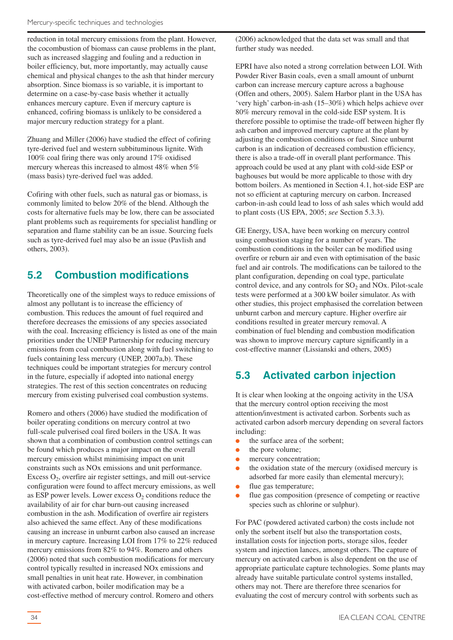<span id="page-33-0"></span>reduction in total mercury emissions from the plant. However, the cocombustion of biomass can cause problems in the plant, such as increased slagging and fouling and a reduction in boiler efficiency, but, more importantly, may actually cause chemical and physical changes to the ash that hinder mercury absorption. Since biomass is so variable, it is important to determine on a case-by-case basis whether it actually enhances mercury capture. Even if mercury capture is enhanced, cofiring biomass is unlikely to be considered a major mercury reduction strategy for a plant.

Zhuang and Miller (2006) have studied the effect of cofiring tyre-derived fuel and western subbituminous lignite. With 100% coal firing there was only around 17% oxidised mercury whereas this increased to almost 48% when 5% (mass basis) tyre-derived fuel was added.

Cofiring with other fuels, such as natural gas or biomass, is commonly limited to below 20% of the blend. Although the costs for alternative fuels may be low, there can be associated plant problems such as requirements for specialist handling or separation and flame stability can be an issue. Sourcing fuels such as tyre-derived fuel may also be an issue (Pavlish and others, 2003).

### **5.2 Combustion modifications**

Theoretically one of the simplest ways to reduce emissions of almost any pollutant is to increase the efficiency of combustion. This reduces the amount of fuel required and therefore decreases the emissions of any species associated with the coal. Increasing efficiency is listed as one of the main priorities under the UNEP Partnership for reducing mercury emissions from coal combustion along with fuel switching to fuels containing less mercury (UNEP, 2007a,b). These techniques could be important strategies for mercury control in the future, especially if adopted into national energy strategies. The rest of this section concentrates on reducing mercury from existing pulverised coal combustion systems.

Romero and others (2006) have studied the modification of boiler operating conditions on mercury control at two full-scale pulverised coal fired boilers in the USA. It was shown that a combination of combustion control settings can be found which produces a major impact on the overall mercury emission whilst minimising impact on unit constraints such as NOx emissions and unit performance. Excess  $O_2$ , overfire air register settings, and mill out-service configuration were found to affect mercury emissions, as well as ESP power levels. Lower excess  $O_2$  conditions reduce the availability of air for char burn-out causing increased combustion in the ash. Modification of overfire air registers also achieved the same effect. Any of these modifications causing an increase in unburnt carbon also caused an increase in mercury capture. Increasing LOI from 17% to 22% reduced mercury emissions from 82% to 94%. Romero and others (2006) noted that such combustion modifications for mercury control typically resulted in increased NOx emissions and small penalties in unit heat rate. However, in combination with activated carbon, boiler modification may be a cost-effective method of mercury control. Romero and others

(2006) acknowledged that the data set was small and that further study was needed.

EPRI have also noted a strong correlation between LOI. With Powder River Basin coals, even a small amount of unburnt carbon can increase mercury capture across a baghouse (Offen and others, 2005). Salem Harbor plant in the USA has 'very high' carbon-in-ash (15–30%) which helps achieve over 80% mercury removal in the cold-side ESP system. It is therefore possible to optimise the trade-off between higher fly ash carbon and improved mercury capture at the plant by adjusting the combustion conditions or fuel. Since unburnt carbon is an indication of decreased combustion efficiency, there is also a trade-off in overall plant performance. This approach could be used at any plant with cold-side ESP or baghouses but would be more applicable to those with dry bottom boilers. As mentioned in Section 4.1, hot-side ESP are not so efficient at capturing mercury on carbon. Increased carbon-in-ash could lead to loss of ash sales which would add to plant costs (US EPA, 2005; *see* Section 5.3.3).

GE Energy, USA, have been working on mercury control using combustion staging for a number of years. The combustion conditions in the boiler can be modified using overfire or reburn air and even with optimisation of the basic fuel and air controls. The modifications can be tailored to the plant configuration, depending on coal type, particulate control device, and any controls for  $SO<sub>2</sub>$  and NOx. Pilot-scale tests were performed at a 300 kW boiler simulator. As with other studies, this project emphasised the correlation between unburnt carbon and mercury capture. Higher overfire air conditions resulted in greater mercury removal. A combination of fuel blending and combustion modification was shown to improve mercury capture significantly in a cost-effective manner (Lissianski and others, 2005)

# **5.3 Activated carbon injection**

It is clear when looking at the ongoing activity in the USA that the mercury control option receiving the most attention/investment is activated carbon. Sorbents such as activated carbon adsorb mercury depending on several factors including:

- the surface area of the sorbent:
- the pore volume:
- mercury concentration:
- the oxidation state of the mercury (oxidised mercury is adsorbed far more easily than elemental mercury);
- flue gas temperature;
- flue gas composition (presence of competing or reactive species such as chlorine or sulphur).

For PAC (powdered activated carbon) the costs include not only the sorbent itself but also the transportation costs, installation costs for injection ports, storage silos, feeder system and injection lances, amongst others. The capture of mercury on activated carbon is also dependent on the use of appropriate particulate capture technologies. Some plants may already have suitable particulate control systems installed, others may not. There are therefore three scenarios for evaluating the cost of mercury control with sorbents such as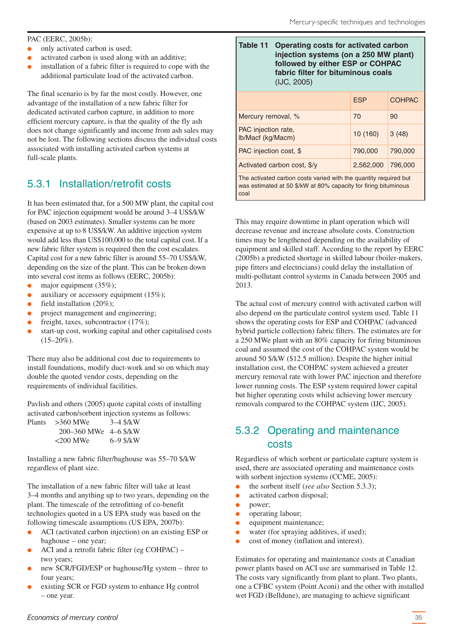#### <span id="page-34-0"></span>PAC (EERC, 2005b):

- only activated carbon is used;
- activated carbon is used along with an additive;
- installation of a fabric filter is required to cope with the additional particulate load of the activated carbon.

The final scenario is by far the most costly. However, one advantage of the installation of a new fabric filter for dedicated activated carbon capture, in addition to more efficient mercury capture, is that the quality of the fly ash does not change significantly and income from ash sales may not be lost. The following sections discuss the individual costs associated with installing activated carbon systems at full-scale plants.

# 5.3.1 Installation/retrofit costs

It has been estimated that, for a 500 MW plant, the capital cost for PAC injection equipment would be around 3–4 US\$/kW (based on 2003 estimates). Smaller systems can be more expensive at up to 8 US\$/kW. An additive injection system would add less than US\$100,000 to the total capital cost. If a new fabric filter system is required then the cost escalates. Capital cost for a new fabric filter is around 55–70 US\$/kW, depending on the size of the plant. This can be broken down into several cost items as follows (EERC, 2005b):

- major equipment  $(35\%)$ ;
- auxiliary or accessory equipment  $(15\%)$ ;
- field installation  $(20\%)$ ;
- project management and engineering;
- freight, taxes, subcontractor  $(17\%)$ ;
- start-up cost, working capital and other capitalised costs  $(15-20\%)$ .

There may also be additional cost due to requirements to install foundations, modify duct-work and so on which may double the quoted vendor costs, depending on the requirements of individual facilities.

Pavlish and others (2005) quote capital costs of installing activated carbon/sorbent injection systems as follows:

| Plants | $>360$ MWe                    | $3 - 4$ \$/kW |
|--------|-------------------------------|---------------|
|        | $200 - 360$ MWe $4 - 6$ \$/kW |               |
|        | $<200$ MWe                    | $6 - 9$ \$/kW |

Installing a new fabric filter/baghouse was 55–70 \$/kW regardless of plant size.

The installation of a new fabric filter will take at least 3–4 months and anything up to two years, depending on the plant. The timescale of the retrofitting of co-benefit technologies quoted in a US EPA study was based on the following timescale assumptions (US EPA, 2007b):

- ACI (activated carbon injection) on an existing ESP or baghouse – one year;
- ACI and a retrofit fabric filter (eg COHPAC) two years;
- new SCR/FGD/ESP or baghouse/Hg system three to four years;
- existing SCR or FGD system to enhance Hg control – one year.

| Table 11 Operating costs for activated carbon<br>injection systems (on a 250 MW plant)<br>followed by either ESP or COHPAC<br>fabric filter for bituminous coals<br>$($ IJC, 2005 $)$ |  |
|---------------------------------------------------------------------------------------------------------------------------------------------------------------------------------------|--|
|                                                                                                                                                                                       |  |

|                                                                  | <b>ESP</b> | <b>COHPAC</b> |  |  |  |  |
|------------------------------------------------------------------|------------|---------------|--|--|--|--|
| Mercury removal, %                                               | 70         | 90            |  |  |  |  |
| PAC injection rate,<br>Ib/Macf (kg/Macm)                         | 10(160)    | 3(48)         |  |  |  |  |
| PAC injection cost, \$                                           | 790,000    | 790,000       |  |  |  |  |
| Activated carbon cost, \$/y                                      | 2,562,000  | 796,000       |  |  |  |  |
| The activated carbon costs varied with the quantity required but |            |               |  |  |  |  |

was estimated at 50 \$/kW at 80% capacity for firing bituminous coal

This may require downtime in plant operation which will decrease revenue and increase absolute costs. Construction times may be lengthened depending on the availability of equipment and skilled staff. According to the report by EERC (2005b) a predicted shortage in skilled labour (boiler-makers, pipe fitters and electricians) could delay the installation of multi-pollutant control systems in Canada between 2005 and 2013.

The actual cost of mercury control with activated carbon will also depend on the particulate control system used. Table 11 shows the operating costs for ESP and COHPAC (advanced hybrid particle collection) fabric filters. The estimates are for a 250 MWe plant with an 80% capacity for firing bituminous coal and assumed the cost of the COHPAC system would be around 50 \$/kW (\$12.5 million). Despite the higher initial installation cost, the COHPAC system achieved a greater mercury removal rate with lower PAC injection and therefore lower running costs. The ESP system required lower capital but higher operating costs whilst achieving lower mercury removals compared to the COHPAC system (IJC, 2005).

# 5.3.2 Operating and maintenance costs

Regardless of which sorbent or particulate capture system is used, there are associated operating and maintenance costs with sorbent injection systems (CCME, 2005):

- the sorbent itself (*see also* Section 5.3.3);
- activated carbon disposal;
- power:
- operating labour;
- equipment maintenance;
- water (for spraying additives, if used);
- cost of money (inflation and interest).

Estimates for operating and maintenance costs at Canadian power plants based on ACI use are summarised in Table 12. The costs vary significantly from plant to plant. Two plants, one a CFBC system (Point Aconi) and the other with installed wet FGD (Belldune), are managing to achieve significant

#### *Economics of mercury control*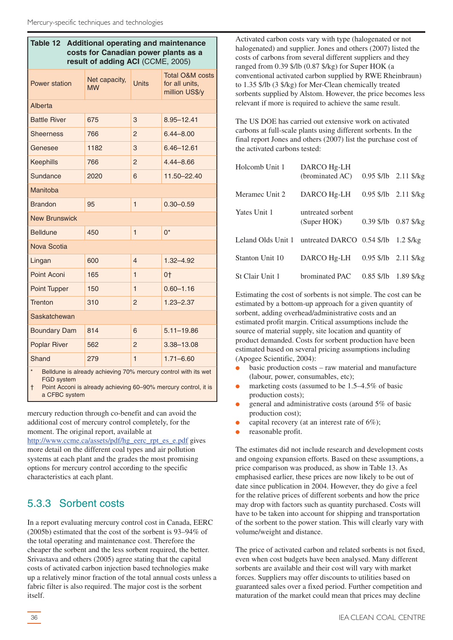<span id="page-35-0"></span>

| Table 12<br><b>Additional operating and maintenance</b><br>costs for Canadian power plants as a<br>result of adding ACI (CCME, 2005) |                                            |                |                                                                |  |  |
|--------------------------------------------------------------------------------------------------------------------------------------|--------------------------------------------|----------------|----------------------------------------------------------------|--|--|
| Power station                                                                                                                        | Net capacity,<br><b>Units</b><br><b>MW</b> |                | <b>Total O&amp;M costs</b><br>for all units,<br>million US\$/y |  |  |
| Alberta                                                                                                                              |                                            |                |                                                                |  |  |
| <b>Battle River</b>                                                                                                                  | 675                                        | 3              | 8.95-12.41                                                     |  |  |
| <b>Sheerness</b>                                                                                                                     | 766                                        | $\overline{2}$ | $6.44 - 8.00$                                                  |  |  |
| Genesee                                                                                                                              | 1182                                       | 3              | $6.46 - 12.61$                                                 |  |  |
| <b>Keephills</b>                                                                                                                     | 766                                        | $\overline{2}$ | $4.44 - 8.66$                                                  |  |  |
| Sundance                                                                                                                             | 2020                                       | 6              | 11.50-22.40                                                    |  |  |
| Manitoba                                                                                                                             |                                            |                |                                                                |  |  |
| <b>Brandon</b>                                                                                                                       | $\mathbf{1}$<br>95                         |                | $0.30 - 0.59$                                                  |  |  |
| <b>New Brunswick</b>                                                                                                                 |                                            |                |                                                                |  |  |
| <b>Belldune</b>                                                                                                                      | 450                                        | $\mathbf{1}$   | $0^*$                                                          |  |  |
| Nova Scotia                                                                                                                          |                                            |                |                                                                |  |  |
| Lingan                                                                                                                               | 600                                        | 4              | $1.32 - 4.92$                                                  |  |  |
| Point Aconi                                                                                                                          | 165                                        | 1              | 0†                                                             |  |  |
| Point Tupper                                                                                                                         | 150                                        | 1              | $0.60 - 1.16$                                                  |  |  |
| <b>Trenton</b>                                                                                                                       | 310                                        | $\overline{2}$ | $1.23 - 2.37$                                                  |  |  |
| <b>Saskatchewan</b>                                                                                                                  |                                            |                |                                                                |  |  |
| <b>Boundary Dam</b>                                                                                                                  | 814                                        | 6              | $5.11 - 19.86$                                                 |  |  |
| <b>Poplar River</b><br>$\overline{2}$<br>3.38-13.08<br>562                                                                           |                                            |                |                                                                |  |  |
| Shand                                                                                                                                | 279                                        | 1              | $1.71 - 6.60$                                                  |  |  |
| Belldune is already achieving 70% mercury control with its wet                                                                       |                                            |                |                                                                |  |  |

FGD system

† Point Acconi is already achieving 60–90% mercury control, it is a CFBC system

mercury reduction through co-benefit and can avoid the additional cost of mercury control completely, for the moment. The original report, available at

http://www.ccme.ca/assets/pdf/hg\_eerc\_rpt\_es\_e.pdf gives more detail on the different coal types and air pollution systems at each plant and the grades the most promising options for mercury control according to the specific characteristics at each plant.

# 5.3.3 Sorbent costs

In a report evaluating mercury control cost in Canada, EERC (2005b) estimated that the cost of the sorbent is 93–94% of the total operating and maintenance cost. Therefore the cheaper the sorbent and the less sorbent required, the better. Srivastava and others (2005) agree stating that the capital costs of activated carbon injection based technologies make up a relatively minor fraction of the total annual costs unless a fabric filter is also required. The major cost is the sorbent itself.

Activated carbon costs vary with type (halogenated or not halogenated) and supplier. Jones and others (2007) listed the costs of carbons from several different suppliers and they ranged from 0.39 \$/lb (0.87 \$/kg) for Super HOK (a conventional activated carbon supplied by RWE Rheinbraun) to 1.35 \$/lb (3 \$/kg) for Mer-Clean chemically treated sorbents supplied by Alstom. However, the price becomes less relevant if more is required to achieve the same result.

The US DOE has carried out extensive work on activated carbons at full-scale plants using different sorbents. In the final report Jones and others (2007) list the purchase cost of the activated carbons tested:

| Holcomb Unit 1     | DARCO Hg-LH<br>(brominated AC)   | $0.95$ \$/lb $2.11$ \$/kg |
|--------------------|----------------------------------|---------------------------|
| Meramec Unit 2     | DARCO Hg-LH                      | $0.95$ \$/lb $2.11$ \$/kg |
| Yates Unit 1       | untreated sorbent<br>(Super HOK) | $0.39$ \$/lb $0.87$ \$/kg |
| Leland Olds Unit 1 | untreated DARCO $0.54$ \$/lb     | $1.2$ \$/ $kg$            |
| Stanton Unit 10    | DARCO Hg-LH                      | 0.95 \$/lb 2.11 \$/kg     |
| St Clair Unit 1    | brominated PAC                   | $0.85$ \$/lb 1.89 \$/kg   |

Estimating the cost of sorbents is not simple. The cost can be estimated by a bottom-up approach for a given quantity of sorbent, adding overhead/administrative costs and an estimated profit margin. Critical assumptions include the source of material supply, site location and quantity of product demanded. Costs for sorbent production have been estimated based on several pricing assumptions including (Apogee Scientific, 2004):

- basic production costs raw material and manufacture (labour, power, consumables, etc);
- marketing costs (assumed to be  $1.5-4.5\%$  of basic production costs);
- general and administrative costs (around  $5\%$  of basic production cost);
- capital recovery (at an interest rate of  $6\%$ );
- reasonable profit.

The estimates did not include research and development costs and ongoing expansion efforts. Based on these assumptions, a price comparison was produced, as show in Table 13. As emphasised earlier, these prices are now likely to be out of date since publication in 2004. However, they do give a feel for the relative prices of different sorbents and how the price may drop with factors such as quantity purchased. Costs will have to be taken into account for shipping and transportation of the sorbent to the power station. This will clearly vary with volume/weight and distance.

The price of activated carbon and related sorbents is not fixed, even when cost budgets have been analysed. Many different sorbents are available and their cost will vary with market forces. Suppliers may offer discounts to utilities based on guaranteed sales over a fixed period. Further competition and maturation of the market could mean that prices may decline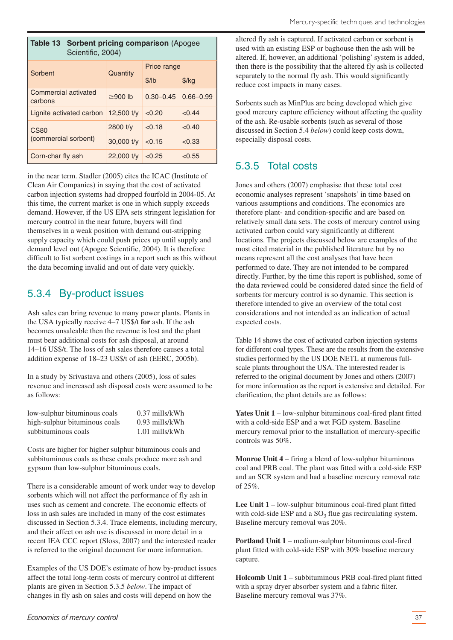<span id="page-36-0"></span>

| Table 13 Sorbent pricing comparison (Apogee<br>Scientific, 2004) |               |               |               |  |  |
|------------------------------------------------------------------|---------------|---------------|---------------|--|--|
| Sorbent                                                          | Quantity      | Price range   |               |  |  |
|                                                                  |               | \$/lb         | $$/$ kg       |  |  |
| Commercial activated<br>carbons                                  | $\geq$ 900 lb | $0.30 - 0.45$ | $0.66 - 0.99$ |  |  |
| Lignite activated carbon                                         | 12,500 $t/v$  | < 0.20        | < 0.44        |  |  |
| <b>CS80</b>                                                      | $2800$ t/y    | < 0.18        | < 0.40        |  |  |
| (commercial sorbent)                                             | $30,000$ t/y  | < 0.15        | < 0.33        |  |  |
| Corn-char fly ash                                                | $22,000$ t/y  | < 0.25        | < 0.55        |  |  |

in the near term. Stadler (2005) cites the ICAC (Institute of Clean Air Companies) in saying that the cost of activated carbon injection systems had dropped fourfold in 2004-05. At this time, the current market is one in which supply exceeds demand. However, if the US EPA sets stringent legislation for mercury control in the near future, buyers will find themselves in a weak position with demand out-stripping supply capacity which could push prices up until supply and demand level out (Apogee Scientific, 2004). It is therefore difficult to list sorbent costings in a report such as this without the data becoming invalid and out of date very quickly.

# 5.3.4 By-product issues

Ash sales can bring revenue to many power plants. Plants in the USA typically receive 4–7 US\$/t **for** ash. If the ash becomes unsaleable then the revenue is lost and the plant must bear additional costs for ash disposal, at around 14–16 US\$/t. The loss of ash sales therefore causes a total addition expense of 18–23 US\$/t of ash (EERC, 2005b).

In a study by Srivastava and others (2005), loss of sales revenue and increased ash disposal costs were assumed to be as follows:

| low-sulphur bituminous coals  | $0.37$ mills/kWh |
|-------------------------------|------------------|
| high-sulphur bituminous coals | $0.93$ mills/kWh |
| subbituminous coals           | 1.01 mills/kWh   |

Costs are higher for higher sulphur bituminous coals and subbituminous coals as these coals produce more ash and gypsum than low-sulphur bituminous coals.

There is a considerable amount of work under way to develop sorbents which will not affect the performance of fly ash in uses such as cement and concrete. The economic effects of loss in ash sales are included in many of the cost estimates discussed in Section 5.3.4. Trace elements, including mercury, and their affect on ash use is discussed in more detail in a recent IEA CCC report (Sloss, 2007) and the interested reader is referred to the original document for more information.

Examples of the US DOE's estimate of how by-product issues affect the total long-term costs of mercury control at different plants are given in Section 5.3.5 *below*. The impact of changes in fly ash on sales and costs will depend on how the

altered fly ash is captured. If activated carbon or sorbent is used with an existing ESP or baghouse then the ash will be altered. If, however, an additional 'polishing'system is added, then there is the possibility that the altered fly ash is collected separately to the normal fly ash. This would significantly reduce cost impacts in many cases.

Sorbents such as MinPlus are being developed which give good mercury capture efficiency without affecting the quality of the ash. Re-usable sorbents (such as several of those discussed in Section 5.4 *below*) could keep costs down, especially disposal costs.

# 5.3.5 Total costs

Jones and others (2007) emphasise that these total cost economic analyses represent 'snapshots' in time based on various assumptions and conditions. The economics are therefore plant- and condition-specific and are based on relatively small data sets. The costs of mercury control using activated carbon could vary significantly at different locations. The projects discussed below are examples of the most cited material in the published literature but by no means represent all the cost analyses that have been performed to date. They are not intended to be compared directly. Further, by the time this report is published, some of the data reviewed could be considered dated since the field of sorbents for mercury control is so dynamic. This section is therefore intended to give an overview of the total cost considerations and not intended as an indication of actual expected costs.

Table 14 shows the cost of activated carbon injection systems for different coal types. These are the results from the extensive studies performed by the US DOE NETL at numerous fullscale plants throughout the USA. The interested reader is referred to the original document by Jones and others (2007) for more information as the report is extensive and detailed. For clarification, the plant details are as follows:

**Yates Unit 1** – low-sulphur bituminous coal-fired plant fitted with a cold-side ESP and a wet FGD system. Baseline mercury removal prior to the installation of mercury-specific controls was 50%.

**Monroe Unit 4** – firing a blend of low-sulphur bituminous coal and PRB coal. The plant was fitted with a cold-side ESP and an SCR system and had a baseline mercury removal rate of 25%.

**Lee Unit 1** – low-sulphur bituminous coal-fired plant fitted with cold-side ESP and a  $SO<sub>3</sub>$  flue gas recirculating system. Baseline mercury removal was 20%.

**Portland Unit 1** – medium-sulphur bituminous coal-fired plant fitted with cold-side ESP with 30% baseline mercury capture.

**Holcomb Unit 1** – subbituminous PRB coal-fired plant fitted with a spray dryer absorber system and a fabric filter. Baseline mercury removal was 37%.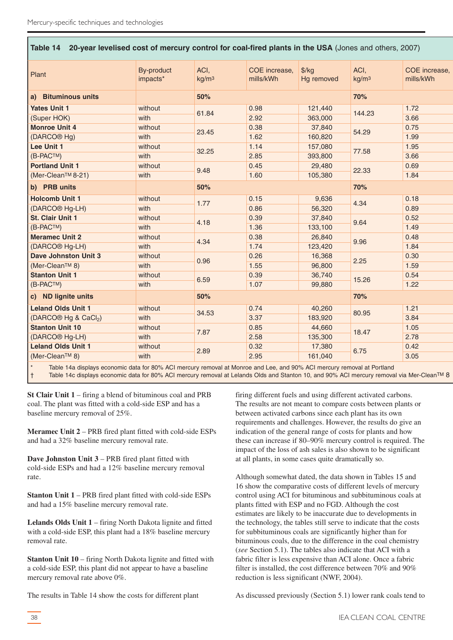| Table 14 20-year levelised cost of mercury control for coal-fired plants in the USA (Jones and others, 2007) |                                               |                           |                            |                             |                              |                            |
|--------------------------------------------------------------------------------------------------------------|-----------------------------------------------|---------------------------|----------------------------|-----------------------------|------------------------------|----------------------------|
| Plant                                                                                                        | By-product<br>impacts*                        | ACI,<br>kg/m <sup>3</sup> | COE increase,<br>mills/kWh | $\frac{f}{g}$<br>Hg removed | ACI,<br>kg/m <sup>3</sup>    | COE increase,<br>mills/kWh |
| a) Bituminous units                                                                                          |                                               | 50%                       |                            |                             | 70%                          |                            |
| <b>Yates Unit 1</b>                                                                                          | without                                       | 61.84                     | 0.98                       | 121,440                     | 144.23                       | 1.72                       |
| (Super HOK)                                                                                                  | with                                          |                           | 2.92                       | 363,000                     |                              | 3.66                       |
| <b>Monroe Unit 4</b>                                                                                         | without                                       | 23.45                     | 0.38                       | 37,840                      | 54.29                        | 0.75                       |
| (DARCO <sup>®</sup> Hg)                                                                                      | with                                          |                           | 1.62                       | 160,820                     |                              | 1.99                       |
| Lee Unit 1                                                                                                   | without                                       | 32.25                     | 1.14                       | 157,080                     | 77.58                        | 1.95                       |
| (B-PACTM)                                                                                                    | with                                          |                           | 2.85                       | 393,800                     |                              | 3.66                       |
| <b>Portland Unit 1</b>                                                                                       | without                                       | 9.48                      | 0.45                       | 29,480                      | 22.33                        | 0.69                       |
| (Mer-Clean™ 8-21)                                                                                            | with                                          |                           | 1.60                       | 105,380                     |                              | 1.84                       |
| b) PRB units                                                                                                 |                                               | 50%                       |                            |                             | 70%                          |                            |
| <b>Holcomb Unit 1</b>                                                                                        | without                                       | 1.77                      | 0.15                       | 9,636                       | 4.34                         | 0.18                       |
| (DARCO <sup>®</sup> Hg-LH)                                                                                   | with                                          |                           | 0.86                       | 56,320                      |                              | 0.89                       |
| <b>St. Clair Unit 1</b>                                                                                      | without                                       | 4.18                      | 0.39                       | 37,840                      | 9.64                         | 0.52                       |
| (B-PACTM)                                                                                                    | with                                          |                           | 1.36                       | 133,100                     |                              | 1.49                       |
| <b>Meramec Unit 2</b>                                                                                        | without                                       | 4.34                      | 0.38                       | 26,840                      | 9.96                         | 0.48                       |
| (DARCO <sup>®</sup> Hg-LH)                                                                                   | with                                          |                           | 1.74                       | 123,420                     |                              | 1.84                       |
| <b>Dave Johnston Unit 3</b>                                                                                  | without                                       | 0.96                      | 0.26                       | 16,368                      | 2.25                         | 0.30                       |
| (Mer-Clean™ 8)                                                                                               | with                                          |                           | 1.55                       | 96,800                      |                              | 1.59                       |
| <b>Stanton Unit 1</b>                                                                                        | without                                       | 6.59                      | 0.39                       | 36,740                      | 15.26                        | 0.54                       |
| (B-PACTM)                                                                                                    | with                                          |                           | 1.07                       | 99,880                      |                              | 1.22                       |
| c) ND lignite units                                                                                          |                                               | 50%                       |                            |                             | 70%                          |                            |
| <b>Leland Olds Unit 1</b>                                                                                    | without                                       | 34.53                     | 0.74                       | 40,260                      | 80.95                        | 1.21                       |
| (DARCO® Hg & CaCl <sub>2</sub> )                                                                             | with                                          |                           | 3.37                       | 183,920                     |                              | 3.84                       |
| <b>Stanton Unit 10</b>                                                                                       | without                                       | 7.87                      | 0.85                       | 44,660                      | 18.47                        | 1.05                       |
| (DARCO <sup>®</sup> Hg-LH)                                                                                   | with                                          |                           | 2.58                       | 135,300                     |                              | 2.78                       |
| <b>Leland Olds Unit 1</b>                                                                                    | without                                       | 2.89                      | 0.32                       | 17,380                      | 6.75                         | 0.42                       |
| (Mer-Clean <sup>TM</sup> 8)                                                                                  | with                                          |                           | 2.95                       | 161,040                     |                              | 3.05                       |
| The first constitution of the continuum                                                                      | $-1 - 1 - 1 - 000$ $\wedge$ $\wedge$ $\wedge$ |                           |                            | 1000/101                    | $-1$ $-1$ $\Box$ $-1$ $\Box$ |                            |

Table 14a displays economic data for 80% ACI mercury removal at Monroe and Lee, and 90% ACI mercury removal at Portland † Table 14c displays economic data for 80% ACI mercury removal at Lelands Olds and Stanton 10, and 90% ACI mercury removal via Mer-CleanTM 8

**St Clair Unit 1** – firing a blend of bituminous coal and PRB coal. The plant was fitted with a cold-side ESP and has a baseline mercury removal of 25%.

**Meramec Unit 2** – PRB fired plant fitted with cold-side ESPs and had a 32% baseline mercury removal rate.

**Dave Johnston Unit 3** – PRB fired plant fitted with cold-side ESPs and had a 12% baseline mercury removal rate.

**Stanton Unit 1** – PRB fired plant fitted with cold-side ESPs and had a 15% baseline mercury removal rate.

**Lelands Olds Unit 1** – firing North Dakota lignite and fitted with a cold-side ESP, this plant had a 18% baseline mercury removal rate.

**Stanton Unit 10** – firing North Dakota lignite and fitted with a cold-side ESP, this plant did not appear to have a baseline mercury removal rate above 0%.

The results in Table 14 show the costs for different plant

firing different fuels and using different activated carbons. The results are not meant to compare costs between plants or between activated carbons since each plant has its own requirements and challenges. However, the results do give an indication of the general range of costs for plants and how these can increase if 80–90% mercury control is required. The impact of the loss of ash sales is also shown to be significant at all plants, in some cases quite dramatically so.

Although somewhat dated, the data shown in Tables 15 and 16 show the comparative costs of different levels of mercury control using ACI for bituminous and subbituminous coals at plants fitted with ESP and no FGD. Although the cost estimates are likely to be inaccurate due to developments in the technology, the tables still serve to indicate that the costs for subbituminous coals are significantly higher than for bituminous coals, due to the difference in the coal chemistry (*see* Section 5.1). The tables also indicate that ACI with a fabric filter is less expensive than ACI alone. Once a fabric filter is installed, the cost difference between 70% and 90% reduction is less significant (NWF, 2004).

As discussed previously (Section 5.1) lower rank coals tend to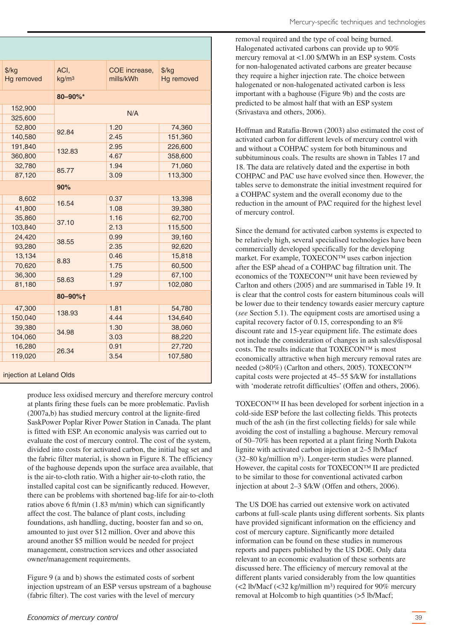| $\frac{f}{g}$<br>Hg removed                                                                                    | ACI,<br>kg/m <sup>3</sup> | COE increase,<br>mills/kWh | $\frac{f}{f}$<br>Hg removed |  |  |  |
|----------------------------------------------------------------------------------------------------------------|---------------------------|----------------------------|-----------------------------|--|--|--|
|                                                                                                                | 80-90%*                   |                            |                             |  |  |  |
| 152,900                                                                                                        | N/A                       |                            |                             |  |  |  |
| 325,600                                                                                                        |                           |                            |                             |  |  |  |
| 52,800                                                                                                         | 92.84                     | 1.20                       | 74,360                      |  |  |  |
| 140,580                                                                                                        |                           | 2.45                       | 151,360                     |  |  |  |
| 191,840                                                                                                        | 132.83                    | 2.95                       | 226,600                     |  |  |  |
| 360,800                                                                                                        |                           | 4.67                       | 358,600                     |  |  |  |
| 32,780                                                                                                         | 85.77                     | 1.94                       | 71,060                      |  |  |  |
| 87,120                                                                                                         |                           | 3.09                       | 113,300                     |  |  |  |
|                                                                                                                | 90%                       |                            |                             |  |  |  |
| 8,602                                                                                                          | 16.54                     | 0.37                       | 13,398                      |  |  |  |
| 41,800                                                                                                         |                           | 1.08                       | 39,380                      |  |  |  |
| 35,860                                                                                                         |                           | 1.16                       | 62,700                      |  |  |  |
| 103,840                                                                                                        | 37.10                     | 2.13                       | 115,500                     |  |  |  |
| 24,420                                                                                                         |                           | 0.99                       | 39,160                      |  |  |  |
| 93,280                                                                                                         | 38.55                     | 2.35                       | 92,620                      |  |  |  |
| 13,134                                                                                                         |                           | 0.46                       | 15,818                      |  |  |  |
| 70,620                                                                                                         | 8.83                      | 1.75                       | 60,500                      |  |  |  |
| 36,300                                                                                                         |                           | 1.29                       | 67,100                      |  |  |  |
| 81,180                                                                                                         | 58.63                     | 1.97                       | 102,080                     |  |  |  |
|                                                                                                                | 80-90%+                   |                            |                             |  |  |  |
| 47,300                                                                                                         |                           | 1.81                       | 54,780                      |  |  |  |
| 150,040                                                                                                        | 138.93                    | 4.44                       | 134,640                     |  |  |  |
| 39,380                                                                                                         |                           | 1.30                       | 38,060                      |  |  |  |
| 104,060                                                                                                        | 34.98                     | 3.03                       | 88,220                      |  |  |  |
| 16,280                                                                                                         | 26.34                     | 0.91                       | 27,720                      |  |  |  |
| 119,020                                                                                                        |                           | 3.54                       | 107,580                     |  |  |  |
| the transitional contract and a contract and a contract of the second and contract and contract and contract a |                           |                            |                             |  |  |  |

#### injection at Leland Olds

produce less oxidised mercury and therefore mercury control at plants firing these fuels can be more problematic. Pavlish (2007a,b) has studied mercury control at the lignite-fired SaskPower Poplar River Power Station in Canada. The plant is fitted with ESP. An economic analysis was carried out to evaluate the cost of mercury control. The cost of the system, divided into costs for activated carbon, the initial bag set and the fabric filter material, is shown in Figure 8. The efficiency of the baghouse depends upon the surface area available, that is the air-to-cloth ratio. With a higher air-to-cloth ratio, the installed capital cost can be significantly reduced. However, there can be problems with shortened bag-life for air-to-cloth ratios above 6 ft/min (1.83 m/min) which can significantly affect the cost. The balance of plant costs, including foundations, ash handling, ducting, booster fan and so on, amounted to just over \$12 million. Over and above this around another \$5 million would be needed for project management, construction services and other associated owner/management requirements.

Figure 9 (a and b) shows the estimated costs of sorbent injection upstream of an ESP versus upstream of a baghouse (fabric filter). The cost varies with the level of mercury

removal required and the type of coal being burned. Halogenated activated carbons can provide up to 90% mercury removal at <1.00 \$/MWh in an ESP system. Costs for non-halogenated activated carbons are greater because they require a higher injection rate. The choice between halogenated or non-halogenated activated carbon is less important with a baghouse (Figure 9b) and the costs are predicted to be almost half that with an ESP system (Srivastava and others, 2006).

Hoffman and Ratafia-Brown (2003) also estimated the cost of activated carbon for different levels of mercury control with and without a COHPAC system for both bituminous and subbituminous coals. The results are shown in Tables 17 and 18. The data are relatively dated and the expertise in both COHPAC and PAC use have evolved since then. However, the tables serve to demonstrate the initial investment required for a COHPAC system and the overall economy due to the reduction in the amount of PAC required for the highest level of mercury control.

Since the demand for activated carbon systems is expected to be relatively high, several specialised technologies have been commercially developed specifically for the developing market. For example, TOXECON™ uses carbon injection after the ESP ahead of a COHPAC bag filtration unit. The economics of the TOXECON™ unit have been reviewed by Carlton and others (2005) and are summarised in Table 19. It is clear that the control costs for eastern bituminous coals will be lower due to their tendency towards easier mercury capture (*see* Section 5.1). The equipment costs are amortised using a capital recovery factor of 0.15, corresponding to an 8% discount rate and 15-year equipment life. The estimate does not include the consideration of changes in ash sales/disposal costs. The results indicate that TOXECON™ is most economically attractive when high mercury removal rates are needed (>80%) (Carlton and others, 2005). TOXECON™ capital costs were projected at 45–55 \$/kW for installations with 'moderate retrofit difficulties' (Offen and others, 2006).

TOXECON™ II has been developed for sorbent injection in a cold-side ESP before the last collecting fields. This protects much of the ash (in the first collecting fields) for sale while avoiding the cost of installing a baghouse. Mercury removal of 50–70% has been reported at a plant firing North Dakota lignite with activated carbon injection at 2–5 lb/Macf (32–80 kg/million m3). Longer-term studies were planned. However, the capital costs for TOXECON™ II are predicted to be similar to those for conventional activated carbon injection at about 2–3 \$/kW (Offen and others, 2006).

The US DOE has carried out extensive work on activated carbons at full-scale plants using different sorbents. Six plants have provided significant information on the efficiency and cost of mercury capture. Significantly more detailed information can be found on these studies in numerous reports and papers published by the US DOE. Only data relevant to an economic evaluation of these sorbents are discussed here. The efficiency of mercury removal at the different plants varied considerably from the low quantities  $\approx$  1b/Macf  $\approx$  32 kg/million m<sup>3</sup>) required for 90% mercury removal at Holcomb to high quantities (>5 lb/Macf;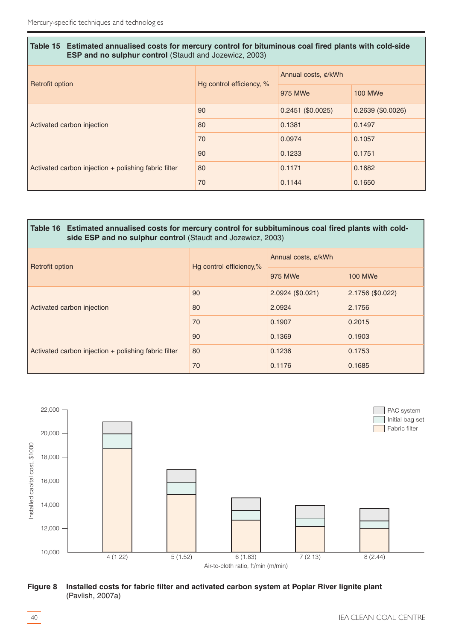| Table 15 Estimated annualised costs for mercury control for bituminous coal fired plants with cold-side<br><b>ESP and no sulphur control (Staudt and Jozewicz, 2003)</b> |                          |                     |                  |  |  |
|--------------------------------------------------------------------------------------------------------------------------------------------------------------------------|--------------------------|---------------------|------------------|--|--|
| <b>Retrofit option</b>                                                                                                                                                   | Hg control efficiency, % | Annual costs, ¢/kWh |                  |  |  |
|                                                                                                                                                                          |                          | 975 MWe             | <b>100 MWe</b>   |  |  |
|                                                                                                                                                                          | 90                       | $0.2451$ (\$0.0025) | 0.2639(\$0.0026) |  |  |
| Activated carbon injection                                                                                                                                               | 80                       | 0.1381              | 0.1497           |  |  |
|                                                                                                                                                                          | 70                       | 0.0974              | 0.1057           |  |  |
|                                                                                                                                                                          | 90                       | 0.1233              | 0.1751           |  |  |
| Activated carbon injection + polishing fabric filter                                                                                                                     | 80                       | 0.1171              | 0.1682           |  |  |
|                                                                                                                                                                          | 70                       | 0.1144              | 0.1650           |  |  |

#### **Table 16 Estimated annualised costs for mercury control for subbituminous coal fired plants with coldside ESP and no sulphur control** (Staudt and Jozewicz, 2003)

| <b>Retrofit option</b>                                 | Hg control efficiency,% | Annual costs, ¢/kWh |                  |  |  |
|--------------------------------------------------------|-------------------------|---------------------|------------------|--|--|
|                                                        |                         | 975 MWe             | <b>100 MWe</b>   |  |  |
|                                                        | 90                      | 2.0924 (\$0.021)    | 2.1756 (\$0.022) |  |  |
| Activated carbon injection                             | 80                      | 2.0924              | 2.1756           |  |  |
|                                                        | 70                      | 0.1907              | 0.2015           |  |  |
|                                                        | 90                      | 0.1369              | 0.1903           |  |  |
| Activated carbon injection $+$ polishing fabric filter | 80                      | 0.1236              | 0.1753           |  |  |
|                                                        | 70                      | 0.1176              | 0.1685           |  |  |



**Figure 8 Installed costs for fabric filter and activated carbon system at Poplar River lignite plant** (Pavlish, 2007a)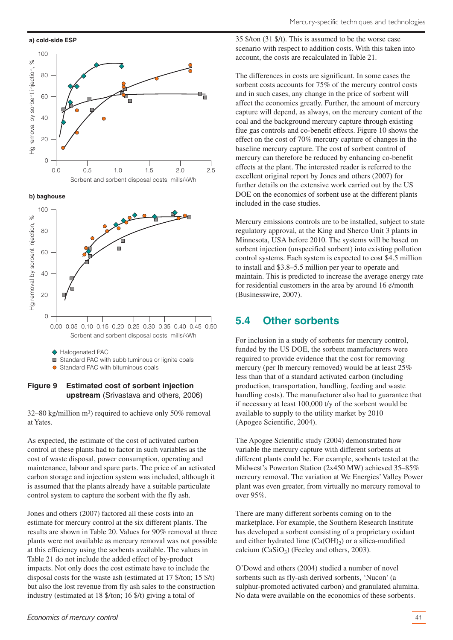

<span id="page-40-0"></span>**a) cold-side ESP**



**b) baghouse**



#### **Figure 9 Estimated cost of sorbent injection upstream** (Srivastava and others, 2006)

32–80 kg/million m3) required to achieve only 50% removal at Yates.

As expected, the estimate of the cost of activated carbon control at these plants had to factor in such variables as the cost of waste disposal, power consumption, operating and maintenance, labour and spare parts. The price of an activated carbon storage and injection system was included, although it is assumed that the plants already have a suitable particulate control system to capture the sorbent with the fly ash.

Jones and others (2007) factored all these costs into an estimate for mercury control at the six different plants. The results are shown in Table 20. Values for 90% removal at three plants were not available as mercury removal was not possible at this efficiency using the sorbents available. The values in Table 21 do not include the added effect of by-product impacts. Not only does the cost estimate have to include the disposal costs for the waste ash (estimated at 17 \$/ton; 15 \$/t) but also the lost revenue from fly ash sales to the construction industry (estimated at 18 \$/ton; 16 \$/t) giving a total of

The differences in costs are significant. In some cases the sorbent costs accounts for 75% of the mercury control costs and in such cases, any change in the price of sorbent will affect the economics greatly. Further, the amount of mercury capture will depend, as always, on the mercury content of the coal and the background mercury capture through existing flue gas controls and co-benefit effects. Figure 10 shows the effect on the cost of 70% mercury capture of changes in the baseline mercury capture. The cost of sorbent control of mercury can therefore be reduced by enhancing co-benefit effects at the plant. The interested reader is referred to the excellent original report by Jones and others (2007) for further details on the extensive work carried out by the US DOE on the economics of sorbent use at the different plants included in the case studies.

Mercury emissions controls are to be installed, subject to state regulatory approval, at the King and Sherco Unit 3 plants in Minnesota, USA before 2010. The systems will be based on sorbent injection (unspecified sorbent) into existing pollution control systems. Each system is expected to cost \$4.5 million to install and \$3.8–5.5 million per year to operate and maintain. This is predicted to increase the average energy rate for residential customers in the area by around  $16 \phi$ /month (Businesswire, 2007).

# **5.4 Other sorbents**

For inclusion in a study of sorbents for mercury control, funded by the US DOE, the sorbent manufacturers were required to provide evidence that the cost for removing mercury (per lb mercury removed) would be at least 25% less than that of a standard activated carbon (including production, transportation, handling, feeding and waste handling costs). The manufacturer also had to guarantee that if necessary at least 100,000 t/y of the sorbent would be available to supply to the utility market by 2010 (Apogee Scientific, 2004).

The Apogee Scientific study (2004) demonstrated how variable the mercury capture with different sorbents at different plants could be. For example, sorbents tested at the Midwest's Powerton Station (2x450 MW) achieved 35–85% mercury removal. The variation at We Energies' Valley Power plant was even greater, from virtually no mercury removal to over 95%.

There are many different sorbents coming on to the marketplace. For example, the Southern Research Institute has developed a sorbent consisting of a proprietary oxidant and either hydrated lime  $(Ca(OH)_2)$  or a silica-modified calcium  $(CaSiO<sub>3</sub>)$  (Feeley and others, 2003).

O'Dowd and others (2004) studied a number of novel sorbents such as fly-ash derived sorbents, 'Nucon' (a sulphur-promoted activated carbon) and granulated alumina. No data were available on the economics of these sorbents.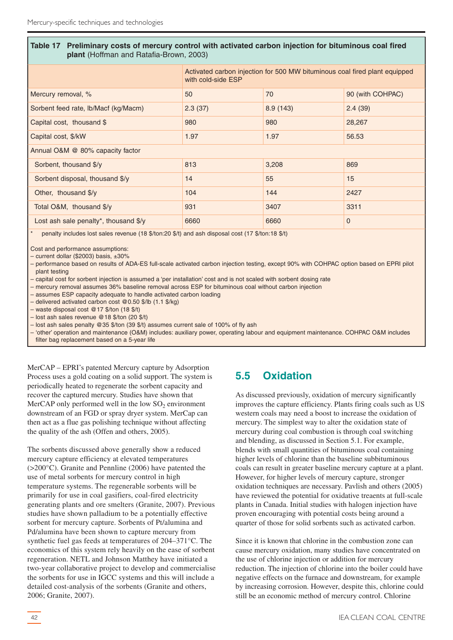#### <span id="page-41-0"></span>**Table 17 Preliminary costs of mercury control with activated carbon injection for bituminous coal fired plant** (Hoffman and Ratafia-Brown, 2003)

|                                                | Activated carbon injection for 500 MW bituminous coal fired plant equipped<br>with cold-side ESP |          |                  |  |
|------------------------------------------------|--------------------------------------------------------------------------------------------------|----------|------------------|--|
| Mercury removal, %                             | 50                                                                                               | 70       | 90 (with COHPAC) |  |
| Sorbent feed rate, lb/Macf (kg/Macm)           | 2.3(37)                                                                                          | 8.9(143) | 2.4(39)          |  |
| Capital cost, thousand \$                      | 980                                                                                              | 980      | 28,267           |  |
| Capital cost, \$/kW                            | 1.97                                                                                             | 1.97     | 56.53            |  |
| Annual O&M @ 80% capacity factor               |                                                                                                  |          |                  |  |
| Sorbent, thousand \$/y                         | 813                                                                                              | 3,208    | 869              |  |
| Sorbent disposal, thousand \$/y                | 14                                                                                               | 55       | 15               |  |
| Other, thousand \$/y                           | 104                                                                                              | 144      | 2427             |  |
| Total O&M, thousand \$/y                       | 931                                                                                              | 3407     | 3311             |  |
| Lost ash sale penalty*, thousand $\frac{6}{y}$ | 6660                                                                                             | 6660     | $\mathbf 0$      |  |

penalty includes lost sales revenue (18 \$/ton:20 \$/t) and ash disposal cost (17 \$/ton:18 \$/t)

Cost and performance assumptions:

– current dollar (\$2003) basis, ±30%

– performance based on results of ADA-ES full-scale activated carbon injection testing, except 90% with COHPAC option based on EPRI pilot plant testing

– capital cost for sorbent injection is assumed a 'per installation' cost and is not scaled with sorbent dosing rate

– mercury removal assumes 36% baseline removal across ESP for bituminous coal without carbon injection

– assumes ESP capacity adequate to handle activated carbon loading

– delivered activated carbon cost @0.50 \$/lb (1.1 \$/kg)

– waste disposal cost @17 \$/ton (18 \$/t)

– lost ash sales revenue @18 \$/ton (20 \$/t)

– lost ash sales penalty @35 \$/ton (39 \$/t) assumes current sale of 100% of fly ash

– 'other' operation and maintenance (O&M) includes: auxiliary power, operating labour and equipment maintenance. COHPAC O&M includes filter bag replacement based on a 5-year life

MerCAP – EPRI's patented Mercury capture by Adsorption Process uses a gold coating on a solid support. The system is periodically heated to regenerate the sorbent capacity and recover the captured mercury. Studies have shown that MerCAP only performed well in the low  $SO<sub>2</sub>$  environment downstream of an FGD or spray dryer system. MerCap can then act as a flue gas polishing technique without affecting the quality of the ash (Offen and others, 2005).

The sorbents discussed above generally show a reduced mercury capture efficiency at elevated temperatures (>200°C). Granite and Pennline (2006) have patented the use of metal sorbents for mercury control in high temperature systems. The regenerable sorbents will be primarily for use in coal gasifiers, coal-fired electricity generating plants and ore smelters (Granite, 2007). Previous studies have shown palladium to be a potentially effective sorbent for mercury capture. Sorbents of Pt/alumina and Pd/alumina have been shown to capture mercury from synthetic fuel gas feeds at temperatures of 204–371°C. The economics of this system rely heavily on the ease of sorbent regeneration. NETL and Johnson Matthey have initiated a two-year collaborative project to develop and commercialise the sorbents for use in IGCC systems and this will include a detailed cost-analysis of the sorbents (Granite and others, 2006; Granite, 2007).

# **5.5 Oxidation**

As discussed previously, oxidation of mercury significantly improves the capture efficiency. Plants firing coals such as US western coals may need a boost to increase the oxidation of mercury. The simplest way to alter the oxidation state of mercury during coal combustion is through coal switching and blending, as discussed in Section 5.1. For example, blends with small quantities of bituminous coal containing higher levels of chlorine than the baseline subbituminous coals can result in greater baseline mercury capture at a plant. However, for higher levels of mercury capture, stronger oxidation techniques are necessary. Pavlish and others (2005) have reviewed the potential for oxidative treaents at full-scale plants in Canada. Initial studies with halogen injection have proven encouraging with potential costs being around a quarter of those for solid sorbents such as activated carbon.

Since it is known that chlorine in the combustion zone can cause mercury oxidation, many studies have concentrated on the use of chlorine injection or addition for mercury reduction. The injection of chlorine into the boiler could have negative effects on the furnace and downstream, for example by increasing corrosion. However, despite this, chlorine could still be an economic method of mercury control. Chlorine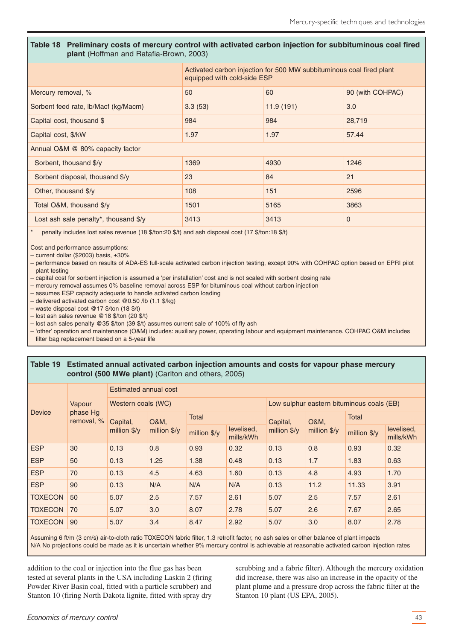#### **Table 18 Preliminary costs of mercury control with activated carbon injection for subbituminous coal fired plant** (Hoffman and Ratafia-Brown, 2003)

|                                       | Activated carbon injection for 500 MW subbituminous coal fired plant<br>equipped with cold-side ESP |           |                  |  |
|---------------------------------------|-----------------------------------------------------------------------------------------------------|-----------|------------------|--|
| Mercury removal, %                    | 50                                                                                                  | 60        | 90 (with COHPAC) |  |
| Sorbent feed rate, lb/Macf (kg/Macm)  | 3.3(53)                                                                                             | 11.9(191) | 3.0              |  |
| Capital cost, thousand \$             | 984                                                                                                 | 984       | 28,719           |  |
| Capital cost, \$/kW                   | 1.97                                                                                                | 1.97      | 57.44            |  |
| Annual O&M @ 80% capacity factor      |                                                                                                     |           |                  |  |
| Sorbent, thousand \$/y                | 1369                                                                                                | 4930      | 1246             |  |
| Sorbent disposal, thousand \$/y       | 23                                                                                                  | 84        | 21               |  |
| Other, thousand \$/y                  | 108                                                                                                 | 151       | 2596             |  |
| Total O&M, thousand \$/y              | 1501                                                                                                | 5165      | 3863             |  |
| Lost ash sale penalty*, thousand \$/y | 3413                                                                                                | 3413      | $\mathbf 0$      |  |
|                                       |                                                                                                     |           |                  |  |

penalty includes lost sales revenue (18 \$/ton:20 \$/t) and ash disposal cost (17 \$/ton:18 \$/t)

Cost and performance assumptions:

– current dollar (\$2003) basis, ±30%

– performance based on results of ADA-ES full-scale activated carbon injection testing, except 90% with COHPAC option based on EPRI pilot plant testing

– capital cost for sorbent injection is assumed a 'per installation' cost and is not scaled with sorbent dosing rate

– mercury removal assumes 0% baseline removal across ESP for bituminous coal without carbon injection

– assumes ESP capacity adequate to handle activated carbon loading

– delivered activated carbon cost @0.50 /lb (1.1 \$/kg)

– waste disposal cost @17 \$/ton (18 \$/t)

– lost ash sales revenue @18 \$/ton (20 \$/t)

– lost ash sales penalty @35 \$/ton (39 \$/t) assumes current sale of 100% of fly ash

– 'other' operation and maintenance (O&M) includes: auxiliary power, operating labour and equipment maintenance. COHPAC O&M includes filter bag replacement based on a 5-year life

#### **Table 19 Estimated annual activated carbon injection amounts and costs for vapour phase mercury control (500 MWe plant)** (Carlton and others, 2005)

|                |                        | Estimated annual cost |                 |              |                         |              |                       |                                           |                         |
|----------------|------------------------|-----------------------|-----------------|--------------|-------------------------|--------------|-----------------------|-------------------------------------------|-------------------------|
|                | Vapour                 | Western coals (WC)    |                 |              |                         |              |                       | Low sulphur eastern bituminous coals (EB) |                         |
| Device         | phase Hg<br>removal, % | Capital,              | <b>O&amp;M,</b> | <b>Total</b> |                         | Capital,     | <b>O&amp;M,</b>       | Total                                     |                         |
|                |                        | million $\sqrt{$}$ /y | million \$/y    | million \$/y | levelised,<br>mills/kWh | million \$/y | million $\sqrt{$}$ /y | million \$/y                              | levelised,<br>mills/kWh |
| <b>ESP</b>     | 30                     | 0.13                  | 0.8             | 0.93         | 0.32                    | 0.13         | 0.8                   | 0.93                                      | 0.32                    |
| <b>ESP</b>     | 50                     | 0.13                  | 1.25            | 1.38         | 0.48                    | 0.13         | 1.7                   | 1.83                                      | 0.63                    |
| <b>ESP</b>     | 70                     | 0.13                  | 4.5             | 4.63         | 1.60                    | 0.13         | 4.8                   | 4.93                                      | 1.70                    |
| <b>ESP</b>     | 90                     | 0.13                  | N/A             | N/A          | N/A                     | 0.13         | 11.2                  | 11.33                                     | 3.91                    |
| <b>TOXECON</b> | 50                     | 5.07                  | 2.5             | 7.57         | 2.61                    | 5.07         | 2.5                   | 7.57                                      | 2.61                    |
| <b>TOXECON</b> | 70                     | 5.07                  | 3.0             | 8.07         | 2.78                    | 5.07         | 2.6                   | 7.67                                      | 2.65                    |
| <b>TOXECON</b> | 90                     | 5.07                  | 3.4             | 8.47         | 2.92                    | 5.07         | 3.0                   | 8.07                                      | 2.78                    |
|                |                        |                       |                 |              |                         |              |                       |                                           |                         |

Assuming 6 ft/m (3 cm/s) air-to-cloth ratio TOXECON fabric filter, 1.3 retrofit factor, no ash sales or other balance of plant impacts N/A No projections could be made as it is uncertain whether 9% mercury control is achievable at reasonable activated carbon injection rates

addition to the coal or injection into the flue gas has been tested at several plants in the USA including Laskin 2 (firing Powder River Basin coal, fitted with a particle scrubber) and Stanton 10 (firing North Dakota lignite, fitted with spray dry scrubbing and a fabric filter). Although the mercury oxidation did increase, there was also an increase in the opacity of the plant plume and a pressure drop across the fabric filter at the Stanton 10 plant (US EPA, 2005).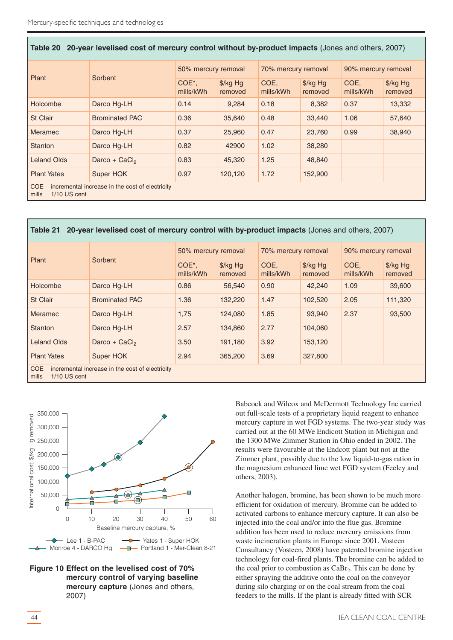| Table 20 20-year levelised cost of mercury control without by-product impacts (Jones and others, 2007) |                       |                                 |                                 |                     |                                 |                     |                     |
|--------------------------------------------------------------------------------------------------------|-----------------------|---------------------------------|---------------------------------|---------------------|---------------------------------|---------------------|---------------------|
| Plant                                                                                                  | Sorbent               | 50% mercury removal             |                                 | 70% mercury removal |                                 | 90% mercury removal |                     |
|                                                                                                        |                       | COE <sup>*</sup> ,<br>mills/kWh | $\frac{1}{2}$ /kg Hg<br>removed | COE.<br>mills/kWh   | $\frac{1}{2}$ /kg Hg<br>removed | COE.<br>mills/kWh   | \$/kg Hg<br>removed |
| Holcombe                                                                                               | Darco Hg-LH           | 0.14                            | 9,284                           | 0.18                | 8,382                           | 0.37                | 13,332              |
| <b>St Clair</b>                                                                                        | <b>Brominated PAC</b> | 0.36                            | 35,640                          | 0.48                | 33,440                          | 1.06                | 57,640              |
| <b>Meramec</b>                                                                                         | Darco Hg-LH           | 0.37                            | 25,960                          | 0.47                | 23,760                          | 0.99                | 38,940              |
| Stanton                                                                                                | Darco Hg-LH           | 0.82                            | 42900                           | 1.02                | 38,280                          |                     |                     |
| <b>Leland Olds</b>                                                                                     | Darco + $CaCl2$       | 0.83                            | 45,320                          | 1.25                | 48,840                          |                     |                     |
| <b>Plant Yates</b>                                                                                     | Super HOK             | 0.97                            | 120,120                         | 1.72                | 152,900                         |                     |                     |
| <b>COE</b><br>incremental increase in the cost of electricity<br>mills<br>1/10 US cent                 |                       |                                 |                                 |                     |                                 |                     |                     |

| 20-year levelised cost of mercury control with by-product impacts (Jones and others, 2007)<br>Table 21 |                       |                                 |                                 |                   |                                 |                   |                                 |  |
|--------------------------------------------------------------------------------------------------------|-----------------------|---------------------------------|---------------------------------|-------------------|---------------------------------|-------------------|---------------------------------|--|
|                                                                                                        |                       | 50% mercury removal             |                                 |                   | 70% mercury removal             |                   | 90% mercury removal             |  |
| Plant                                                                                                  | Sorbent               | COE <sup>*</sup> ,<br>mills/kWh | $\frac{1}{2}$ /kg Hg<br>removed | COE.<br>mills/kWh | $\frac{1}{2}$ /kg Hg<br>removed | COE.<br>mills/kWh | $\frac{1}{2}$ /kg Hg<br>removed |  |
| <b>Holcombe</b>                                                                                        | Darco Hg-LH           | 0.86                            | 56,540                          | 0.90              | 42,240                          | 1.09              | 39,600                          |  |
| <b>St Clair</b>                                                                                        | <b>Brominated PAC</b> | 1.36                            | 132,220                         | 1.47              | 102,520                         | 2.05              | 111,320                         |  |
| <b>Meramec</b>                                                                                         | Darco Hg-LH           | 1,75                            | 124,080                         | 1.85              | 93,940                          | 2.37              | 93,500                          |  |
| <b>Stanton</b>                                                                                         | Darco Hg-LH           | 2.57                            | 134,860                         | 2.77              | 104,060                         |                   |                                 |  |
| <b>Leland Olds</b>                                                                                     | Darco + $CaCl2$       | 3.50                            | 191,180                         | 3.92              | 153,120                         |                   |                                 |  |
| <b>Plant Yates</b>                                                                                     | Super HOK             | 2.94                            | 365,200                         | 3.69              | 327,800                         |                   |                                 |  |
| <b>COE</b><br>incremental increase in the cost of electricity<br>mills<br>1/10 US cent                 |                       |                                 |                                 |                   |                                 |                   |                                 |  |





Babcock and Wilcox and McDermott Technology Inc carried out full-scale tests of a proprietary liquid reagent to enhance mercury capture in wet FGD systems. The two-year study was carried out at the 60 MWe Endicott Station in Michigan and the 1300 MWe Zimmer Station in Ohio ended in 2002. The results were favourable at the Endcott plant but not at the Zimmer plant, possibly due to the low liquid-to-gas ration in the magnesium enhanced lime wet FGD system (Feeley and others, 2003).

Another halogen, bromine, has been shown to be much more efficient for oxidation of mercury. Bromine can be added to activated carbons to enhance mercury capture. It can also be injected into the coal and/or into the flue gas. Bromine addition has been used to reduce mercury emissions from waste incineration plants in Europe since 2001. Vosteen Consultancy (Vosteen, 2008) have patented bromine injection technology for coal-fired plants. The bromine can be added to the coal prior to combustion as  $CaBr<sub>2</sub>$ . This can be done by either spraying the additive onto the coal on the conveyor during silo charging or on the coal stream from the coal feeders to the mills. If the plant is already fitted with SCR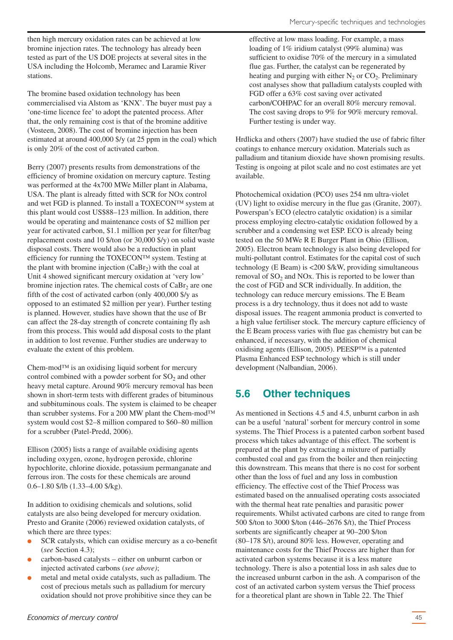<span id="page-44-0"></span>then high mercury oxidation rates can be achieved at low bromine injection rates. The technology has already been tested as part of the US DOE projects at several sites in the USA including the Holcomb, Meramec and Laramie River stations.

The bromine based oxidation technology has been commercialised via Alstom as 'KNX'. The buyer must pay a 'one-time licence fee' to adopt the patented process. After that, the only remaining cost is that of the bromine additive (Vosteen, 2008). The cost of bromine injection has been estimated at around 400,000 \$/y (at 25 ppm in the coal) which is only 20% of the cost of activated carbon.

Berry (2007) presents results from demonstrations of the efficiency of bromine oxidation on mercury capture. Testing was performed at the 4x700 MWe Miller plant in Alabama, USA. The plant is already fitted with SCR for NOx control and wet FGD is planned. To install a TOXECON™ system at this plant would cost US\$88–123 million. In addition, there would be operating and maintenance costs of \$2 million per year for activated carbon, \$1.1 million per year for filter/bag replacement costs and 10 \$/ton (or 30,000 \$/y) on solid waste disposal costs. There would also be a reduction in plant efficiency for running the TOXECON™ system. Testing at the plant with bromine injection  $(CaBr_2)$  with the coal at Unit 4 showed significant mercury oxidation at 'very low' bromine injection rates. The chemical costs of  $CaBr<sub>2</sub>$  are one fifth of the cost of activated carbon (only 400,000 \$/y as opposed to an estimated \$2 million per year). Further testing is planned. However, studies have shown that the use of Br can affect the 28-day strength of concrete containing fly ash from this process. This would add disposal costs to the plant in addition to lost revenue. Further studies are underway to evaluate the extent of this problem.

Chem-mod™ is an oxidising liquid sorbent for mercury control combined with a powder sorbent for  $SO_2$  and other heavy metal capture. Around 90% mercury removal has been shown in short-term tests with different grades of bituminous and subbituminous coals. The system is claimed to be cheaper than scrubber systems. For a 200 MW plant the Chem-mod™ system would cost \$2–8 million compared to \$60–80 million for a scrubber (Patel-Predd, 2006).

Ellison (2005) lists a range of available oxidising agents including oxygen, ozone, hydrogen peroxide, chlorine hypochlorite, chlorine dioxide, potassium permanganate and ferrous iron. The costs for these chemicals are around 0.6–1.80 \$/lb (1.33–4.00 \$/kg).

In addition to oxidising chemicals and solutions, solid catalysts are also being developed for mercury oxidation. Presto and Granite (2006) reviewed oxidation catalysts, of which there are three types:

- SCR catalysts, which can oxidise mercury as a co-benefit (*see* Section 4.3);
- carbon-based catalysts either on unburnt carbon or injected activated carbons (*see above)*;
- metal and metal oxide catalysts, such as palladium. The cost of precious metals such as palladium for mercury oxidation should not prove prohibitive since they can be

effective at low mass loading. For example, a mass loading of 1% iridium catalyst (99% alumina) was sufficient to oxidise 70% of the mercury in a simulated flue gas. Further, the catalyst can be regenerated by heating and purging with either  $N_2$  or  $CO_2$ . Preliminary cost analyses show that palladium catalysts coupled with FGD offer a 63% cost saving over activated carbon/COHPAC for an overall 80% mercury removal. The cost saving drops to 9% for 90% mercury removal. Further testing is under way.

Hrdlicka and others (2007) have studied the use of fabric filter coatings to enhance mercury oxidation. Materials such as palladium and titanium dioxide have shown promising results. Testing is ongoing at pilot scale and no cost estimates are yet available.

Photochemical oxidation (PCO) uses 254 nm ultra-violet (UV) light to oxidise mercury in the flue gas (Granite, 2007). Powerspan's ECO (electro catalytic oxidation) is a similar process employing electro-catalytic oxidation followed by a scrubber and a condensing wet ESP. ECO is already being tested on the 50 MWe R E Burger Plant in Ohio (Ellison, 2005). Electron beam technology is also being developed for multi-pollutant control. Estimates for the capital cost of such technology (E Beam) is <200 \$/kW, providing simultaneous removal of  $SO<sub>2</sub>$  and NOx. This is reported to be lower than the cost of FGD and SCR individually. In addition, the technology can reduce mercury emissions. The E Beam process is a dry technology, thus it does not add to waste disposal issues. The reagent ammonia product is converted to a high value fertiliser stock. The mercury capture efficiency of the E Beam process varies with flue gas chemistry but can be enhanced, if necessary, with the addition of chemical oxidising agents (Ellison, 2005). PEESP™ is a patented Plasma Enhanced ESP technology which is still under development (Nalbandian, 2006).

# **5.6 Other techniques**

As mentioned in Sections 4.5 and 4.5, unburnt carbon in ash can be a useful 'natural'sorbent for mercury control in some systems. The Thief Process is a patented carbon sorbent based process which takes advantage of this effect. The sorbent is prepared at the plant by extracting a mixture of partially combusted coal and gas from the boiler and then reinjecting this downstream. This means that there is no cost for sorbent other than the loss of fuel and any loss in combustion efficiency. The effective cost of the Thief Process was estimated based on the annualised operating costs associated with the thermal heat rate penalties and parasitic power requirements. Whilst activated carbons are cited to range from 500 \$/ton to 3000 \$/ton (446–2676 \$/t), the Thief Process sorbents are significantly cheaper at 90–200 \$/ton (80–178 \$/t), around 80% less. However, operating and maintenance costs for the Thief Process are higher than for activated carbon systems because it is a less mature technology. There is also a potential loss in ash sales due to the increased unburnt carbon in the ash. A comparison of the cost of an activated carbon system versus the Thief process for a theoretical plant are shown in Table 22. The Thief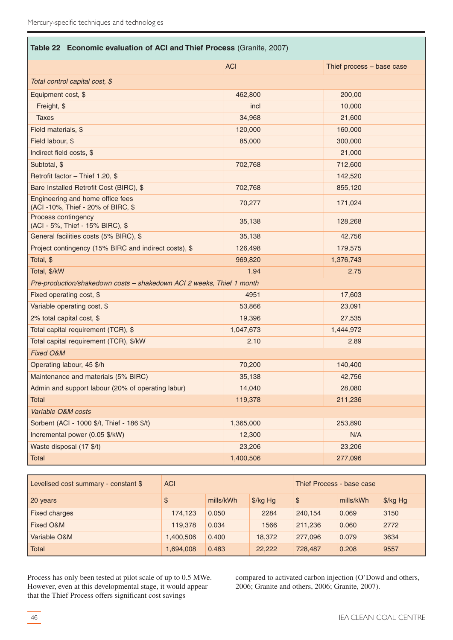| Table 22 Economic evaluation of ACI and Thief Process (Granite, 2007)  |            |                           |  |  |  |
|------------------------------------------------------------------------|------------|---------------------------|--|--|--|
|                                                                        | <b>ACI</b> | Thief process - base case |  |  |  |
| Total control capital cost, \$                                         |            |                           |  |  |  |
| Equipment cost, \$                                                     | 462,800    | 200,00                    |  |  |  |
| Freight, \$                                                            | incl       | 10,000                    |  |  |  |
| <b>Taxes</b>                                                           | 34,968     | 21,600                    |  |  |  |
| Field materials, \$                                                    | 120,000    | 160,000                   |  |  |  |
| Field labour, \$                                                       | 85,000     | 300,000                   |  |  |  |
| Indirect field costs, \$                                               |            | 21,000                    |  |  |  |
| Subtotal, \$                                                           | 702,768    | 712,600                   |  |  |  |
| Retrofit factor - Thief 1.20, \$                                       |            | 142,520                   |  |  |  |
| Bare Installed Retrofit Cost (BIRC), \$                                | 702,768    | 855,120                   |  |  |  |
| Engineering and home office fees<br>(ACI -10%, Thief - 20% of BIRC, \$ | 70,277     | 171,024                   |  |  |  |
| Process contingency<br>(ACI - 5%, Thief - 15% BIRC), \$                | 35,138     | 128,268                   |  |  |  |
| General facilities costs (5% BIRC), \$                                 | 35,138     | 42,756                    |  |  |  |
| Project contingency (15% BIRC and indirect costs), \$                  | 126,498    | 179,575                   |  |  |  |
| Total, \$                                                              | 969,820    | 1,376,743                 |  |  |  |
| Total, \$/kW                                                           | 1.94       | 2.75                      |  |  |  |
| Pre-production/shakedown costs - shakedown ACI 2 weeks, Thief 1 month  |            |                           |  |  |  |
| Fixed operating cost, \$                                               | 4951       | 17,603                    |  |  |  |
| Variable operating cost, \$                                            | 53,866     | 23,091                    |  |  |  |
| 2% total capital cost, \$                                              | 19,396     | 27,535                    |  |  |  |
| Total capital requirement (TCR), \$                                    | 1,047,673  | 1,444,972                 |  |  |  |
| Total capital requirement (TCR), \$/kW                                 | 2.10       | 2.89                      |  |  |  |
| Fixed O&M                                                              |            |                           |  |  |  |
| Operating labour, 45 \$/h                                              | 70,200     | 140,400                   |  |  |  |
| Maintenance and materials (5% BIRC)                                    | 35,138     | 42,756                    |  |  |  |
| Admin and support labour (20% of operating labur)                      | 14,040     | 28,080                    |  |  |  |
| Total                                                                  | 119,378    | 211,236                   |  |  |  |
| Variable O&M costs                                                     |            |                           |  |  |  |
| Sorbent (ACI - 1000 \$/t, Thief - 186 \$/t)                            | 1,365,000  | 253,890                   |  |  |  |
| Incremental power (0.05 \$/kW)                                         | 12,300     | N/A                       |  |  |  |
| Waste disposal (17 \$/t)                                               | 23,206     | 23,206                    |  |  |  |
| Total                                                                  | 1,400,506  | 277,096                   |  |  |  |

| Levelised cost summary - constant \$ | <b>ACI</b> |           |          | Thief Process - base case |           |          |
|--------------------------------------|------------|-----------|----------|---------------------------|-----------|----------|
| 20 years                             | \$         | mills/kWh | \$/kg Hg | $\mathcal{S}$             | mills/kWh | \$/kg Hg |
| <b>Fixed charges</b>                 | 174,123    | 0.050     | 2284     | 240.154                   | 0.069     | 3150     |
| <b>Fixed O&amp;M</b>                 | 119,378    | 0.034     | 1566     | 211.236                   | 0.060     | 2772     |
| Variable O&M                         | 1,400,506  | 0.400     | 18,372   | 277,096                   | 0.079     | 3634     |
| Total                                | 1,694,008  | 0.483     | 22,222   | 728,487                   | 0.208     | 9557     |

Process has only been tested at pilot scale of up to 0.5 MWe. However, even at this developmental stage, it would appear that the Thief Process offers significant cost savings

compared to activated carbon injection (O'Dowd and others, 2006; Granite and others, 2006; Granite, 2007).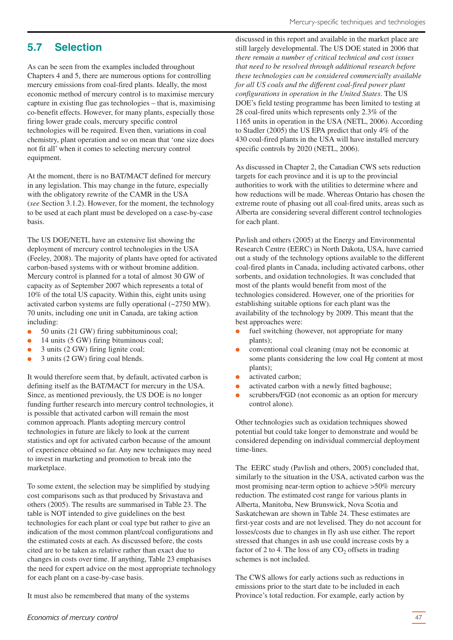# <span id="page-46-0"></span>**5.7 Selection**

As can be seen from the examples included throughout Chapters 4 and 5, there are numerous options for controlling mercury emissions from coal-fired plants. Ideally, the most economic method of mercury control is to maximise mercury capture in existing flue gas technologies – that is, maximising co-benefit effects. However, for many plants, especially those firing lower grade coals, mercury specific control technologies will be required. Even then, variations in coal chemistry, plant operation and so on mean that 'one size does not fit all' when it comes to selecting mercury control equipment.

At the moment, there is no BAT/MACT defined for mercury in any legislation. This may change in the future, especially with the obligatory rewrite of the CAMR in the USA (*see* Section 3.1.2). However, for the moment, the technology to be used at each plant must be developed on a case-by-case basis.

The US DOE/NETL have an extensive list showing the deployment of mercury control technologies in the USA (Feeley, 2008). The majority of plants have opted for activated carbon-based systems with or without bromine addition. Mercury control is planned for a total of almost 30 GW of capacity as of September 2007 which represents a total of 10% of the total US capacity. Within this, eight units using activated carbon systems are fully operational (~2750 MW). 70 units, including one unit in Canada, are taking action including:

- 50 units (21 GW) firing subbituminous coal;
- 14 units (5 GW) firing bituminous coal;
- 3 units (2 GW) firing lignite coal;
- 3 units (2 GW) firing coal blends.

It would therefore seem that, by default, activated carbon is defining itself as the BAT/MACT for mercury in the USA. Since, as mentioned previously, the US DOE is no longer funding further research into mercury control technologies, it is possible that activated carbon will remain the most common approach. Plants adopting mercury control technologies in future are likely to look at the current statistics and opt for activated carbon because of the amount of experience obtained so far. Any new techniques may need to invest in marketing and promotion to break into the marketplace.

To some extent, the selection may be simplified by studying cost comparisons such as that produced by Srivastava and others (2005). The results are summarised in Table 23. The table is NOT intended to give guidelines on the best technologies for each plant or coal type but rather to give an indication of the most common plant/coal configurations and the estimated costs at each. As discussed before, the costs cited are to be taken as relative rather than exact due to changes in costs over time. If anything, Table 23 emphasises the need for expert advice on the most appropriate technology for each plant on a case-by-case basis.

It must also be remembered that many of the systems

discussed in this report and available in the market place are still largely developmental. The US DOE stated in 2006 that *there remain a number of critical technical and cost issues that need to be resolved through additional research before these technologies can be considered commercially available for all US coals and the different coal-fired power plant configurations in operation in the United States*. The US DOE's field testing programme has been limited to testing at 28 coal-fired units which represents only 2.3% of the 1165 units in operation in the USA (NETL, 2006). According to Stadler (2005) the US EPA predict that only 4% of the 430 coal-fired plants in the USA will have installed mercury specific controls by 2020 (NETL, 2006).

As discussed in Chapter 2, the Canadian CWS sets reduction targets for each province and it is up to the provincial authorities to work with the utilities to determine where and how reductions will be made. Whereas Ontario has chosen the extreme route of phasing out all coal-fired units, areas such as Alberta are considering several different control technologies for each plant.

Pavlish and others (2005) at the Energy and Environmental Research Centre (EERC) in North Dakota, USA, have carried out a study of the technology options available to the different coal-fired plants in Canada, including activated carbons, other sorbents, and oxidation technologies. It was concluded that most of the plants would benefit from most of the technologies considered. However, one of the priorities for establishing suitable options for each plant was the availability of the technology by 2009. This meant that the best approaches were:

- fuel switching (however, not appropriate for many plants);
- conventional coal cleaning (may not be economic at some plants considering the low coal Hg content at most plants);
- activated carbon;
- activated carbon with a newly fitted baghouse;
- scrubbers/FGD (not economic as an option for mercury control alone).

Other technologies such as oxidation techniques showed potential but could take longer to demonstrate and would be considered depending on individual commercial deployment time-lines.

The EERC study (Pavlish and others, 2005) concluded that, similarly to the situation in the USA, activated carbon was the most promising near-term option to achieve >50% mercury reduction. The estimated cost range for various plants in Alberta, Manitoba, New Brunswick, Nova Scotia and Saskatchewan are shown in Table 24. These estimates are first-year costs and are not levelised. They do not account for losses/costs due to changes in fly ash use either. The report stressed that changes in ash use could increase costs by a factor of 2 to 4. The loss of any  $CO<sub>2</sub>$  offsets in trading schemes is not included.

The CWS allows for early actions such as reductions in emissions prior to the start date to be included in each Province's total reduction. For example, early action by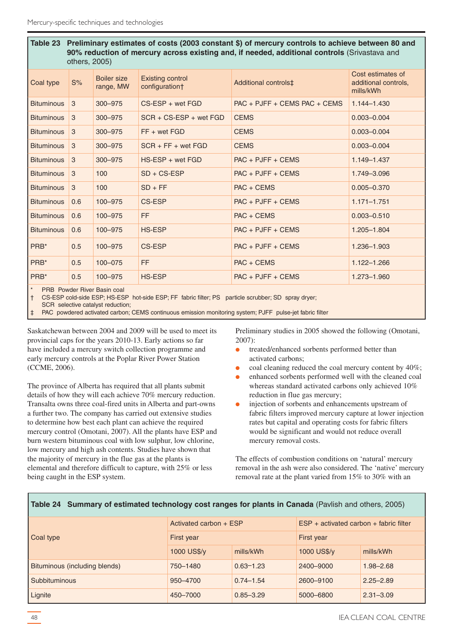| Table 23<br>Preliminary estimates of costs (2003 constant \$) of mercury controls to achieve between 80 and<br>90% reduction of mercury across existing and, if needed, additional controls (Srivastava and<br>others, 2005) |     |                                 |                                    |                                |                                                        |
|------------------------------------------------------------------------------------------------------------------------------------------------------------------------------------------------------------------------------|-----|---------------------------------|------------------------------------|--------------------------------|--------------------------------------------------------|
| Coal type                                                                                                                                                                                                                    | S%  | <b>Boiler size</b><br>range, MW | Existing control<br>configuration† | Additional controls‡           | Cost estimates of<br>additional controls,<br>mills/kWh |
| <b>Bituminous</b>                                                                                                                                                                                                            | 3   | 300-975                         | $CS$ -ESP + wet FGD                | $PAC + PJFF + CEMS PAC + CEMS$ | $1.144 - 1.430$                                        |
| <b>Bituminous</b>                                                                                                                                                                                                            | 3   | 300-975                         | $SCR + CS-ESP + wet FGD$           | <b>CEMS</b>                    | $0.003 - 0.004$                                        |
| <b>Bituminous</b>                                                                                                                                                                                                            | 3   | 300-975                         | $FF + wet FGD$                     | <b>CEMS</b>                    | $0.003 - 0.004$                                        |
| <b>Bituminous</b>                                                                                                                                                                                                            | 3   | 300-975                         | $SCR + FF + wet FGD$               | <b>CEMS</b>                    | $0.003 - 0.004$                                        |
| <b>Bituminous</b>                                                                                                                                                                                                            | 3   | 300-975                         | $HS$ -ESP + wet FGD                | $PAC + PJFF + CEMS$            | 1.149-1.437                                            |
| <b>Bituminous</b>                                                                                                                                                                                                            | 3   | 100                             | $SD + CS-ESP$                      | $PAC + PJFF + CEMS$            | 1.749-3.096                                            |
| <b>Bituminous</b>                                                                                                                                                                                                            | 3   | 100                             | $SD + FF$                          | $PAC + CEMS$                   | $0.005 - 0.370$                                        |
| <b>Bituminous</b>                                                                                                                                                                                                            | 0.6 | 100-975                         | CS-ESP                             | $PAC + PJFF + CEMS$            | $1.171 - 1.751$                                        |
| <b>Bituminous</b>                                                                                                                                                                                                            | 0.6 | 100-975                         | FF.                                | $PAC + CEMS$                   | $0.003 - 0.510$                                        |
| <b>Bituminous</b>                                                                                                                                                                                                            | 0.6 | 100-975                         | HS-ESP                             | $PAC + PJFF + CEMS$            | 1.205-1.804                                            |
| PRB*                                                                                                                                                                                                                         | 0.5 | 100-975                         | CS-ESP                             | $PAC + PJFF + CEMS$            | 1.236-1.903                                            |
| PRB*                                                                                                                                                                                                                         | 0.5 | 100-075                         | FF.                                | $PAC + CEMS$                   | $1.122 - 1.266$                                        |
| PRB*                                                                                                                                                                                                                         | 0.5 | 100-975                         | <b>HS-ESP</b>                      | $PAC + PJFF + CEMS$            | 1.273-1.960                                            |
| $\star$<br><b>PRB</b> Powder River Basin coal                                                                                                                                                                                |     |                                 |                                    |                                |                                                        |

† CS-ESP cold-side ESP; HS-ESP hot-side ESP; FF fabric filter; PS particle scrubber; SD spray dryer;

SCR selective catalyst reduction;

‡ PAC powdered activated carbon; CEMS continuous emission monitoring system; PJFF pulse-jet fabric filter

Saskatchewan between 2004 and 2009 will be used to meet its provincial caps for the years 2010-13. Early actions so far have included a mercury switch collection programme and early mercury controls at the Poplar River Power Station (CCME, 2006).

The province of Alberta has required that all plants submit details of how they will each achieve 70% mercury reduction. Transalta owns three coal-fired units in Alberta and part-owns a further two. The company has carried out extensive studies to determine how best each plant can achieve the required mercury control (Omotani, 2007). All the plants have ESP and burn western bituminous coal with low sulphur, low chlorine, low mercury and high ash contents. Studies have shown that the majority of mercury in the flue gas at the plants is elemental and therefore difficult to capture, with 25% or less being caught in the ESP system.

Preliminary studies in 2005 showed the following (Omotani, 2007):

- treated/enhanced sorbents performed better than activated carbons;
- coal cleaning reduced the coal mercury content by  $40\%$ ;
- enhanced sorbents performed well with the cleaned coal whereas standard activated carbons only achieved 10% reduction in flue gas mercury;
- injection of sorbents and enhancements upstream of fabric filters improved mercury capture at lower injection rates but capital and operating costs for fabric filters would be significant and would not reduce overall mercury removal costs.

The effects of combustion conditions on 'natural' mercury removal in the ash were also considered. The 'native' mercury removal rate at the plant varied from 15% to 30% with an

| Coal type                     | Activated carbon + ESP |               | $ESP + activated carbon + fabric filter$ |               |  |
|-------------------------------|------------------------|---------------|------------------------------------------|---------------|--|
|                               | First year             |               | First year                               |               |  |
|                               | 1000 US\$/y            | mills/kWh     | 1000 US\$/y                              | mills/kWh     |  |
| Bituminous (including blends) | 750-1480               | $0.63 - 1.23$ | 2400-9000                                | $1.98 - 2.68$ |  |
| Subbituminous                 | 950-4700               | $0.74 - 1.54$ | 2600-9100                                | $2.25 - 2.89$ |  |
| Lignite                       | 450-7000               | $0.85 - 3.29$ | 5000-6800                                | $2.31 - 3.09$ |  |

**Table 24 Summary of estimated technology cost ranges for plants in Canada** (Pavlish and others, 2005)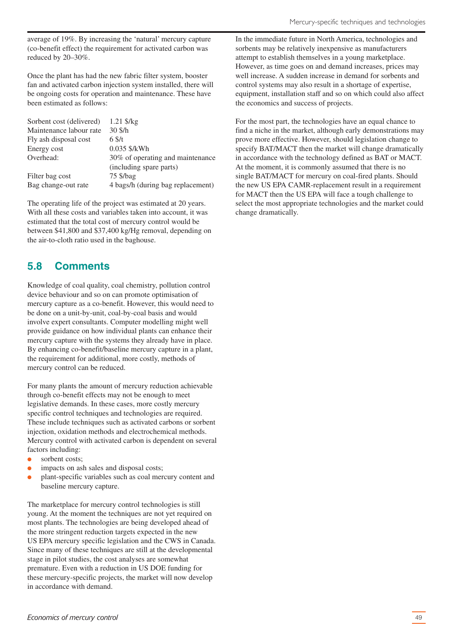<span id="page-48-0"></span>average of 19%. By increasing the 'natural' mercury capture (co-benefit effect) the requirement for activated carbon was reduced by 20–30%.

Once the plant has had the new fabric filter system, booster fan and activated carbon injection system installed, there will be ongoing costs for operation and maintenance. These have been estimated as follows:

| Sorbent cost (delivered) | 1.21 \$/kg                        |
|--------------------------|-----------------------------------|
| Maintenance labour rate  | $30 \text{ S/h}$                  |
| Fly ash disposal cost    | $6 \frac{\text{S}}{\text{t}}$     |
| Energy cost              | 0.035 \$/kWh                      |
| Overhead:                | 30% of operating and maintenance  |
|                          | (including spare parts)           |
| Filter bag cost          | $75 \frac{\text{S}}{\text{bag}}$  |
| Bag change-out rate      | 4 bags/h (during bag replacement) |

The operating life of the project was estimated at 20 years. With all these costs and variables taken into account, it was estimated that the total cost of mercury control would be between \$41,800 and \$37,400 kg/Hg removal, depending on the air-to-cloth ratio used in the baghouse.

# **5.8 Comments**

Knowledge of coal quality, coal chemistry, pollution control device behaviour and so on can promote optimisation of mercury capture as a co-benefit. However, this would need to be done on a unit-by-unit, coal-by-coal basis and would involve expert consultants. Computer modelling might well provide guidance on how individual plants can enhance their mercury capture with the systems they already have in place. By enhancing co-benefit/baseline mercury capture in a plant, the requirement for additional, more costly, methods of mercury control can be reduced.

For many plants the amount of mercury reduction achievable through co-benefit effects may not be enough to meet legislative demands. In these cases, more costly mercury specific control techniques and technologies are required. These include techniques such as activated carbons or sorbent injection, oxidation methods and electrochemical methods. Mercury control with activated carbon is dependent on several factors including:

- sorbent costs:
- impacts on ash sales and disposal costs;
- plant-specific variables such as coal mercury content and baseline mercury capture.

The marketplace for mercury control technologies is still young. At the moment the techniques are not yet required on most plants. The technologies are being developed ahead of the more stringent reduction targets expected in the new US EPA mercury specific legislation and the CWS in Canada. Since many of these techniques are still at the developmental stage in pilot studies, the cost analyses are somewhat premature. Even with a reduction in US DOE funding for these mercury-specific projects, the market will now develop in accordance with demand.

In the immediate future in North America, technologies and sorbents may be relatively inexpensive as manufacturers attempt to establish themselves in a young marketplace. However, as time goes on and demand increases, prices may well increase. A sudden increase in demand for sorbents and control systems may also result in a shortage of expertise, equipment, installation staff and so on which could also affect the economics and success of projects.

For the most part, the technologies have an equal chance to find a niche in the market, although early demonstrations may prove more effective. However, should legislation change to specify BAT/MACT then the market will change dramatically in accordance with the technology defined as BAT or MACT. At the moment, it is commonly assumed that there is no single BAT/MACT for mercury on coal-fired plants. Should the new US EPA CAMR-replacement result in a requirement for MACT then the US EPA will face a tough challenge to select the most appropriate technologies and the market could change dramatically.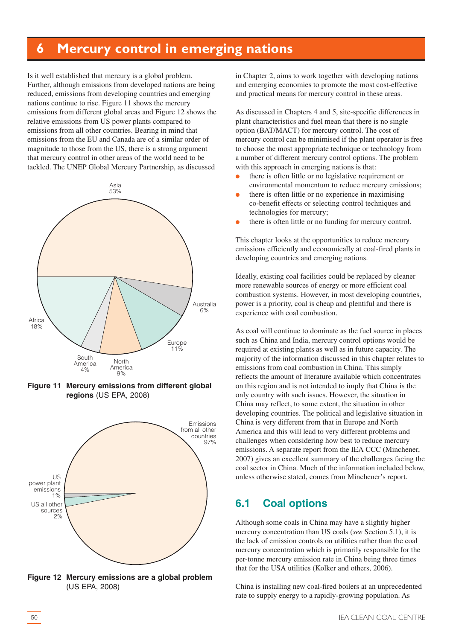# <span id="page-49-0"></span>**6 Mercury control in emerging nations**

Is it well established that mercury is a global problem. Further, although emissions from developed nations are being reduced, emissions from developing countries and emerging nations continue to rise. Figure 11 shows the mercury emissions from different global areas and Figure 12 shows the relative emissions from US power plants compared to emissions from all other countries. Bearing in mind that emissions from the EU and Canada are of a similar order of magnitude to those from the US, there is a strong argument that mercury control in other areas of the world need to be tackled. The UNEP Global Mercury Partnership, as discussed



**Figure 11 Mercury emissions from different global regions** (US EPA, 2008)



**Figure 12 Mercury emissions are a global problem** (US EPA, 2008)

in Chapter 2, aims to work together with developing nations and emerging economies to promote the most cost-effective and practical means for mercury control in these areas.

As discussed in Chapters 4 and 5, site-specific differences in plant characteristics and fuel mean that there is no single option (BAT/MACT) for mercury control. The cost of mercury control can be minimised if the plant operator is free to choose the most appropriate technique or technology from a number of different mercury control options. The problem with this approach in emerging nations is that:

- there is often little or no legislative requirement or environmental momentum to reduce mercury emissions;
- there is often little or no experience in maximising co-benefit effects or selecting control techniques and technologies for mercury;
- there is often little or no funding for mercury control.

This chapter looks at the opportunities to reduce mercury emissions efficiently and economically at coal-fired plants in developing countries and emerging nations.

Ideally, existing coal facilities could be replaced by cleaner more renewable sources of energy or more efficient coal combustion systems. However, in most developing countries, power is a priority, coal is cheap and plentiful and there is experience with coal combustion.

As coal will continue to dominate as the fuel source in places such as China and India, mercury control options would be required at existing plants as well as in future capacity. The majority of the information discussed in this chapter relates to emissions from coal combustion in China. This simply reflects the amount of literature available which concentrates on this region and is not intended to imply that China is the only country with such issues. However, the situation in China may reflect, to some extent, the situation in other developing countries. The political and legislative situation in China is very different from that in Europe and North America and this will lead to very different problems and challenges when considering how best to reduce mercury emissions. A separate report from the IEA CCC (Minchener, 2007) gives an excellent summary of the challenges facing the coal sector in China. Much of the information included below, unless otherwise stated, comes from Minchener's report.

### **6.1 Coal options**

Although some coals in China may have a slightly higher mercury concentration than US coals (*see* Section 5.1), it is the lack of emission controls on utilities rather than the coal mercury concentration which is primarily responsible for the per-tonne mercury emission rate in China being three times that for the USA utilities (Kolker and others, 2006).

China is installing new coal-fired boilers at an unprecedented rate to supply energy to a rapidly-growing population. As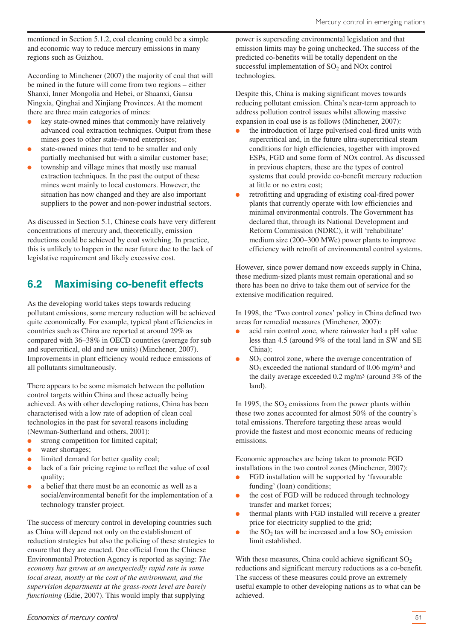<span id="page-50-0"></span>mentioned in Section 5.1.2, coal cleaning could be a simple and economic way to reduce mercury emissions in many regions such as Guizhou.

According to Minchener (2007) the majority of coal that will be mined in the future will come from two regions – either Shanxi, Inner Mongolia and Hebei, or Shaanxi, Gansu Ningxia, Qinghai and Xinjiang Provinces. At the moment there are three main categories of mines:

- key state-owned mines that commonly have relatively advanced coal extraction techniques. Output from these mines goes to other state-owned enterprises;
- state-owned mines that tend to be smaller and only partially mechanised but with a similar customer base;
- township and village mines that mostly use manual extraction techniques. In the past the output of these mines went mainly to local customers. However, the situation has now changed and they are also important suppliers to the power and non-power industrial sectors.

As discussed in Section 5.1, Chinese coals have very different concentrations of mercury and, theoretically, emission reductions could be achieved by coal switching. In practice, this is unlikely to happen in the near future due to the lack of legislative requirement and likely excessive cost.

# **6.2 Maximising co-benefit effects**

As the developing world takes steps towards reducing pollutant emissions, some mercury reduction will be achieved quite economically. For example, typical plant efficiencies in countries such as China are reported at around 29% as compared with 36–38% in OECD countries (average for sub and supercritical, old and new units) (Minchener, 2007). Improvements in plant efficiency would reduce emissions of all pollutants simultaneously.

There appears to be some mismatch between the pollution control targets within China and those actually being achieved. As with other developing nations, China has been characterised with a low rate of adoption of clean coal technologies in the past for several reasons including (Newman-Sutherland and others, 2001):

- strong competition for limited capital;
- water shortages;
- limited demand for better quality coal;
- lack of a fair pricing regime to reflect the value of coal quality;
- a belief that there must be an economic as well as a social/environmental benefit for the implementation of a technology transfer project.

The success of mercury control in developing countries such as China will depend not only on the establishment of reduction strategies but also the policing of these strategies to ensure that they are enacted. One official from the Chinese Environmental Protection Agency is reported as saying: *The economy has grown at an unexpectedly rapid rate in some local areas, mostly at the cost of the environment, and the supervision departments at the grass-roots level are barely functioning* (Edie, 2007). This would imply that supplying

power is superseding environmental legislation and that emission limits may be going unchecked. The success of the predicted co-benefits will be totally dependent on the successful implementation of  $SO<sub>2</sub>$  and NOx control technologies.

Despite this, China is making significant moves towards reducing pollutant emission. China's near-term approach to address pollution control issues whilst allowing massive expansion in coal use is as follows (Minchener, 2007):

- the introduction of large pulverised coal-fired units with supercritical and, in the future ultra-supercritical steam conditions for high efficiencies, together with improved ESPs, FGD and some form of NOx control. As discussed in previous chapters, these are the types of control systems that could provide co-benefit mercury reduction at little or no extra cost;
- retrofitting and upgrading of existing coal-fired power plants that currently operate with low efficiencies and minimal environmental controls. The Government has declared that, through its National Development and Reform Commission (NDRC), it will 'rehabilitate' medium size (200–300 MWe) power plants to improve efficiency with retrofit of environmental control systems.

However, since power demand now exceeds supply in China, these medium-sized plants must remain operational and so there has been no drive to take them out of service for the extensive modification required.

In 1998, the 'Two control zones' policy in China defined two areas for remedial measures (Minchener, 2007):

- acid rain control zone, where rainwater had a pH value less than 4.5 (around 9% of the total land in SW and SE China);
- $SO<sub>2</sub>$  control zone, where the average concentration of  $SO_2$  exceeded the national standard of 0.06 mg/m<sup>3</sup> and the daily average exceeded 0.2 mg/m3 (around 3% of the land).

In 1995, the  $SO<sub>2</sub>$  emissions from the power plants within these two zones accounted for almost 50% of the country's total emissions. Therefore targeting these areas would provide the fastest and most economic means of reducing emissions.

Economic approaches are being taken to promote FGD installations in the two control zones (Minchener, 2007):

- FGD installation will be supported by 'favourable funding' (loan) conditions;
- the cost of FGD will be reduced through technology transfer and market forces;
- thermal plants with FGD installed will receive a greater price for electricity supplied to the grid;
- the  $SO_2$  tax will be increased and a low  $SO_2$  emission limit established.

With these measures, China could achieve significant  $SO_2$ reductions and significant mercury reductions as a co-benefit. The success of these measures could prove an extremely useful example to other developing nations as to what can be achieved.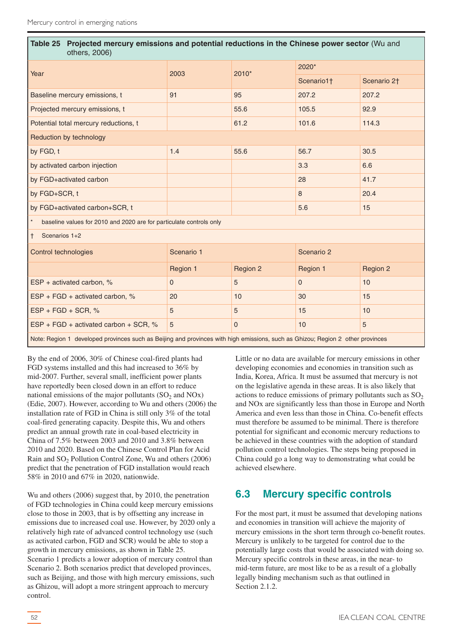<span id="page-51-0"></span>

| Table 25 Projected mercury emissions and potential reductions in the Chinese power sector (Wu and<br>others, 2006)             |                |                |                |                         |
|--------------------------------------------------------------------------------------------------------------------------------|----------------|----------------|----------------|-------------------------|
| Year                                                                                                                           | 2003           | $2010*$        | 2020*          |                         |
|                                                                                                                                |                |                | Scenario1+     | Scenario 2 <sup>+</sup> |
| Baseline mercury emissions, t                                                                                                  | 91             | 95             | 207.2          | 207.2                   |
| Projected mercury emissions, t                                                                                                 |                | 55.6           | 105.5          | 92.9                    |
| Potential total mercury reductions, t                                                                                          |                | 61.2           | 101.6          | 114.3                   |
| Reduction by technology                                                                                                        |                |                |                |                         |
| by FGD, t                                                                                                                      | 1.4            | 55.6           | 56.7           | 30.5                    |
| by activated carbon injection                                                                                                  |                |                | 3.3            | 6.6                     |
| by FGD+activated carbon                                                                                                        |                |                | 28             | 41.7                    |
| by FGD+SCR, t                                                                                                                  |                |                | 8              | 20.4                    |
| by FGD+activated carbon+SCR, t                                                                                                 |                |                | 5.6            | 15                      |
| baseline values for 2010 and 2020 are for particulate controls only                                                            |                |                |                |                         |
| Scenarios 1+2<br>l t                                                                                                           |                |                |                |                         |
| Control technologies                                                                                                           | Scenario 1     |                | Scenario 2     |                         |
|                                                                                                                                | Region 1       | Region 2       | Region 1       | Region 2                |
| ESP + activated carbon, $%$                                                                                                    | $\overline{0}$ | 5              | $\overline{0}$ | 10                      |
| $ESP + FGD + activated carbon, %$                                                                                              | 20             | 10             | 30             | 15                      |
| $ESP + FGD + SCR, %$                                                                                                           | 5              | 5              | 15             | 10                      |
| $ESP + FGD + activated carbon + SCR, %$                                                                                        | 5              | $\overline{0}$ | 10             | 5                       |
| Note: Region 1 developed provinces such as Beijing and provinces with high emissions, such as Ghizou; Region 2 other provinces |                |                |                |                         |

By the end of 2006, 30% of Chinese coal-fired plants had FGD systems installed and this had increased to 36% by mid-2007. Further, several small, inefficient power plants have reportedly been closed down in an effort to reduce national emissions of the major pollutants  $(SO<sub>2</sub>$  and NOx) (Edie, 2007). However, according to Wu and others (2006) the installation rate of FGD in China is still only 3% of the total coal-fired generating capacity. Despite this, Wu and others predict an annual growth rate in coal-based electricity in China of 7.5% between 2003 and 2010 and 3.8% between 2010 and 2020. Based on the Chinese Control Plan for Acid Rain and SO<sub>2</sub> Pollution Control Zone, Wu and others (2006) predict that the penetration of FGD installation would reach 58% in 2010 and 67% in 2020, nationwide.

Wu and others (2006) suggest that, by 2010, the penetration of FGD technologies in China could keep mercury emissions close to those in 2003, that is by offsetting any increase in emissions due to increased coal use. However, by 2020 only a relatively high rate of advanced control technology use (such as activated carbon, FGD and SCR) would be able to stop a growth in mercury emissions, as shown in Table 25. Scenario 1 predicts a lower adoption of mercury control than Scenario 2. Both scenarios predict that developed provinces, such as Beijing, and those with high mercury emissions, such as Ghizou, will adopt a more stringent approach to mercury control.

Little or no data are available for mercury emissions in other developing economies and economies in transition such as India, Korea, Africa. It must be assumed that mercury is not on the legislative agenda in these areas. It is also likely that actions to reduce emissions of primary pollutants such as  $SO<sub>2</sub>$ and NOx are significantly less than those in Europe and North America and even less than those in China. Co-benefit effects must therefore be assumed to be minimal. There is therefore potential for significant and economic mercury reductions to be achieved in these countries with the adoption of standard pollution control technologies. The steps being proposed in China could go a long way to demonstrating what could be achieved elsewhere.

# **6.3 Mercury specific controls**

For the most part, it must be assumed that developing nations and economies in transition will achieve the majority of mercury emissions in the short term through co-benefit routes. Mercury is unlikely to be targeted for control due to the potentially large costs that would be associated with doing so. Mercury specific controls in these areas, in the near- to mid-term future, are most like to be as a result of a globally legally binding mechanism such as that outlined in Section 2.1.2.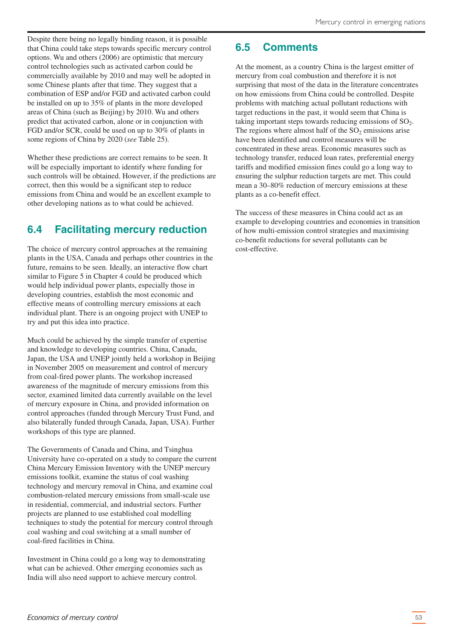<span id="page-52-0"></span>Despite there being no legally binding reason, it is possible that China could take steps towards specific mercury control options. Wu and others (2006) are optimistic that mercury control technologies such as activated carbon could be commercially available by 2010 and may well be adopted in some Chinese plants after that time. They suggest that a combination of ESP and/or FGD and activated carbon could be installed on up to 35% of plants in the more developed areas of China (such as Beijing) by 2010. Wu and others predict that activated carbon, alone or in conjunction with FGD and/or SCR, could be used on up to 30% of plants in some regions of China by 2020 (*see* Table 25).

Whether these predictions are correct remains to be seen. It will be especially important to identify where funding for such controls will be obtained. However, if the predictions are correct, then this would be a significant step to reduce emissions from China and would be an excellent example to other developing nations as to what could be achieved.

# **6.4 Facilitating mercury reduction**

The choice of mercury control approaches at the remaining plants in the USA, Canada and perhaps other countries in the future, remains to be seen. Ideally, an interactive flow chart similar to Figure 5 in Chapter 4 could be produced which would help individual power plants, especially those in developing countries, establish the most economic and effective means of controlling mercury emissions at each individual plant. There is an ongoing project with UNEP to try and put this idea into practice.

Much could be achieved by the simple transfer of expertise and knowledge to developing countries. China, Canada, Japan, the USA and UNEP jointly held a workshop in Beijing in November 2005 on measurement and control of mercury from coal-fired power plants. The workshop increased awareness of the magnitude of mercury emissions from this sector, examined limited data currently available on the level of mercury exposure in China, and provided information on control approaches (funded through Mercury Trust Fund, and also bilaterally funded through Canada, Japan, USA). Further workshops of this type are planned.

The Governments of Canada and China, and Tsinghua University have co-operated on a study to compare the current China Mercury Emission Inventory with the UNEP mercury emissions toolkit, examine the status of coal washing technology and mercury removal in China, and examine coal combustion-related mercury emissions from small-scale use in residential, commercial, and industrial sectors. Further projects are planned to use established coal modelling techniques to study the potential for mercury control through coal washing and coal switching at a small number of coal-fired facilities in China.

Investment in China could go a long way to demonstrating what can be achieved. Other emerging economies such as India will also need support to achieve mercury control.

# **6.5 Comments**

At the moment, as a country China is the largest emitter of mercury from coal combustion and therefore it is not surprising that most of the data in the literature concentrates on how emissions from China could be controlled. Despite problems with matching actual pollutant reductions with target reductions in the past, it would seem that China is taking important steps towards reducing emissions of  $SO<sub>2</sub>$ . The regions where almost half of the  $SO<sub>2</sub>$  emissions arise have been identified and control measures will be concentrated in these areas. Economic measures such as technology transfer, reduced loan rates, preferential energy tariffs and modified emission fines could go a long way to ensuring the sulphur reduction targets are met. This could mean a 30–80% reduction of mercury emissions at these plants as a co-benefit effect.

The success of these measures in China could act as an example to developing countries and economies in transition of how multi-emission control strategies and maximising co-benefit reductions for several pollutants can be cost-effective.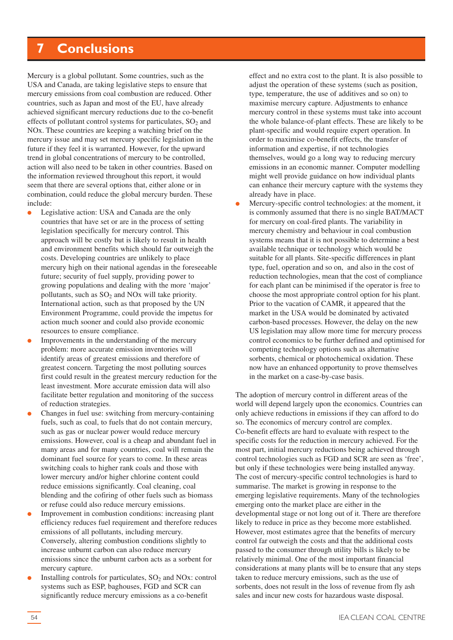# <span id="page-53-0"></span>**7 Conclusions**

Mercury is a global pollutant. Some countries, such as the USA and Canada, are taking legislative steps to ensure that mercury emissions from coal combustion are reduced. Other countries, such as Japan and most of the EU, have already achieved significant mercury reductions due to the co-benefit effects of pollutant control systems for particulates,  $SO<sub>2</sub>$  and NOx. These countries are keeping a watching brief on the mercury issue and may set mercury specific legislation in the future if they feel it is warranted. However, for the upward trend in global concentrations of mercury to be controlled, action will also need to be taken in other countries. Based on the information reviewed throughout this report, it would seem that there are several options that, either alone or in combination, could reduce the global mercury burden. These include:

- Legislative action: USA and Canada are the only countries that have set or are in the process of setting legislation specifically for mercury control. This approach will be costly but is likely to result in health and environment benefits which should far outweigh the costs. Developing countries are unlikely to place mercury high on their national agendas in the foreseeable future; security of fuel supply, providing power to growing populations and dealing with the more 'major' pollutants, such as  $SO<sub>2</sub>$  and NOx will take priority. International action, such as that proposed by the UN Environment Programme, could provide the impetus for action much sooner and could also provide economic resources to ensure compliance.
- Improvements in the understanding of the mercury problem: more accurate emission inventories will identify areas of greatest emissions and therefore of greatest concern. Targeting the most polluting sources first could result in the greatest mercury reduction for the least investment. More accurate emission data will also facilitate better regulation and monitoring of the success of reduction strategies.
- Changes in fuel use: switching from mercury-containing fuels, such as coal, to fuels that do not contain mercury, such as gas or nuclear power would reduce mercury emissions. However, coal is a cheap and abundant fuel in many areas and for many countries, coal will remain the dominant fuel source for years to come. In these areas switching coals to higher rank coals and those with lower mercury and/or higher chlorine content could reduce emissions significantly. Coal cleaning, coal blending and the cofiring of other fuels such as biomass or refuse could also reduce mercury emissions.
- Improvement in combustion conditions: increasing plant efficiency reduces fuel requirement and therefore reduces emissions of all pollutants, including mercury. Conversely, altering combustion conditions slightly to increase unburnt carbon can also reduce mercury emissions since the unburnt carbon acts as a sorbent for mercury capture.
- Installing controls for particulates,  $SO_2$  and NOx: control systems such as ESP, baghouses, FGD and SCR can significantly reduce mercury emissions as a co-benefit

effect and no extra cost to the plant. It is also possible to adjust the operation of these systems (such as position, type, temperature, the use of additives and so on) to maximise mercury capture. Adjustments to enhance mercury control in these systems must take into account the whole balance-of-plant effects. These are likely to be plant-specific and would require expert operation. In order to maximise co-benefit effects, the transfer of information and expertise, if not technologies themselves, would go a long way to reducing mercury emissions in an economic manner. Computer modelling might well provide guidance on how individual plants can enhance their mercury capture with the systems they already have in place.

Mercury-specific control technologies: at the moment, it is commonly assumed that there is no single BAT/MACT for mercury on coal-fired plants. The variability in mercury chemistry and behaviour in coal combustion systems means that it is not possible to determine a best available technique or technology which would be suitable for all plants. Site-specific differences in plant type, fuel, operation and so on, and also in the cost of reduction technologies, mean that the cost of compliance for each plant can be minimised if the operator is free to choose the most appropriate control option for his plant. Prior to the vacation of CAMR, it appeared that the market in the USA would be dominated by activated carbon-based processes. However, the delay on the new US legislation may allow more time for mercury process control economics to be further defined and optimised for competing technology options such as alternative sorbents, chemical or photochemical oxidation. These now have an enhanced opportunity to prove themselves in the market on a case-by-case basis.

The adoption of mercury control in different areas of the world will depend largely upon the economics. Countries can only achieve reductions in emissions if they can afford to do so. The economics of mercury control are complex. Co-benefit effects are hard to evaluate with respect to the specific costs for the reduction in mercury achieved. For the most part, initial mercury reductions being achieved through control technologies such as FGD and SCR are seen as 'free', but only if these technologies were being installed anyway. The cost of mercury-specific control technologies is hard to summarise. The market is growing in response to the emerging legislative requirements. Many of the technologies emerging onto the market place are either in the developmental stage or not long out of it. There are therefore likely to reduce in price as they become more established. However, most estimates agree that the benefits of mercury control far outweigh the costs and that the additional costs passed to the consumer through utility bills is likely to be relatively minimal. One of the most important financial considerations at many plants will be to ensure that any steps taken to reduce mercury emissions, such as the use of sorbents, does not result in the loss of revenue from fly ash sales and incur new costs for hazardous waste disposal.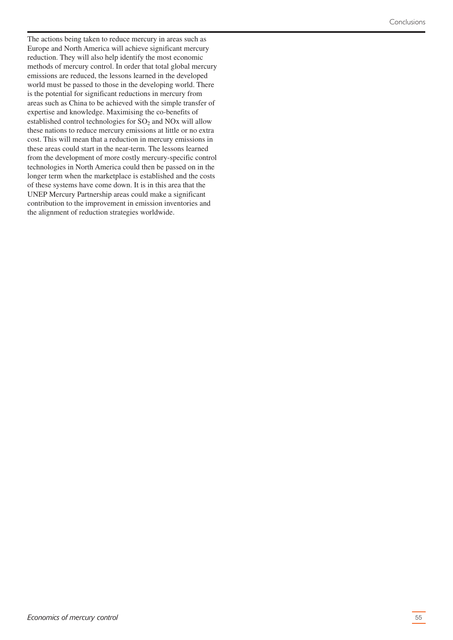The actions being taken to reduce mercury in areas such as Europe and North America will achieve significant mercury reduction. They will also help identify the most economic methods of mercury control. In order that total global mercury emissions are reduced, the lessons learned in the developed world must be passed to those in the developing world. There is the potential for significant reductions in mercury from areas such as China to be achieved with the simple transfer of expertise and knowledge. Maximising the co-benefits of established control technologies for  $SO<sub>2</sub>$  and  $NOx$  will allow these nations to reduce mercury emissions at little or no extra cost. This will mean that a reduction in mercury emissions in these areas could start in the near-term. The lessons learned from the development of more costly mercury-specific control technologies in North America could then be passed on in the longer term when the marketplace is established and the costs of these systems have come down. It is in this area that the UNEP Mercury Partnership areas could make a significant contribution to the improvement in emission inventories and the alignment of reduction strategies worldwide.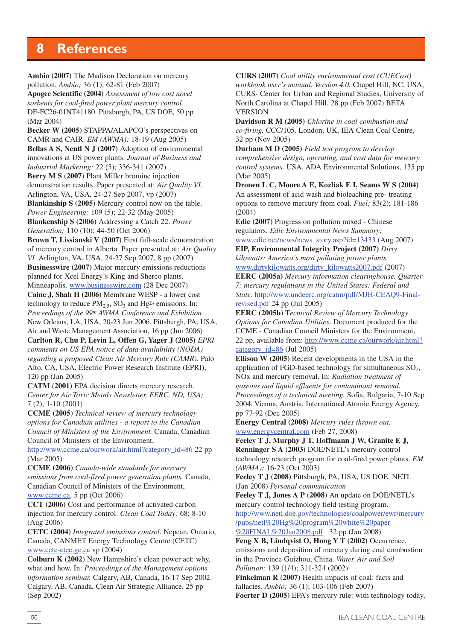# <span id="page-55-0"></span>**8 References**

**Ambio (2007)** The Madison Declaration on mercury pollution. *Ambio;* 36 (1); 62-81 (Feb 2007)

**Apogee Scientific (2004)** *Assessment of low cost novel sorbents for coal-fired power plant mercury control.* DE-FC26-01NT41180. Pittsburgh, PA, US DOE, 50 pp (Mar 2004)

**Becker W (2005)** STAPPA/ALAPCO's perspectives on CAMR and CAIR. *EM (AWMA);* 18-19 (Aug 2005) **Bellas A S, Nentl N J (2007)** Adoption of environmental innovations at US power plants. *Journal of Business and Industrial Marketing;* 22 (5); 336-341 (2007) **Berry M S (2007)** Plant Miller bromine injection demonstration results. Paper presented at: *Air Quality VI.* Arlington, VA, USA, 24-27 Sep 2007, vp (2007) **Blankinship S (2005)** Mercury control now on the table. *Power Engineering;* 109 (5); 22-32 (May 2005) **Blankenship S (2006)** Addressing a Catch 22. *Power Generation;* 110 (10); 44-50 (Oct 2006)

**Brown T, Lissianski V (2007)** First full-scale demonstration of mercury control in Alberta. Paper presented at: *Air Quality VI.* Arlington, VA, USA, 24-27 Sep 2007, 8 pp (2007) **Businesswire (2007)** Major mercury emissions reductions planned for Xcel Energy's King and Sherco plants.

Minneapolis. www.businesswire.com (28 Dec 2007) **Caine J, Shah H (2006)** Membrane WESP - a lower cost

technology to reduce  $PM<sub>2.5</sub>$ , SO<sub>3</sub> and Hg<sup>2+</sup> emissions. In: *Proceedings of the 99th AWMA Conference and Exhibition.* New Orleans, LA, USA, 20-23 Jun 2006. Pittsburgh, PA, USA,

Air and Waste Management Association, 16 pp (Jun 2006) **Carlton R, Chu P, Levin L, Offen G, Yager J (2005)** *EPRI comments on US EPA notice of data availability (NODA) regarding a proposed Clean Air Mercury Rule (CAMR).* Palo Alto, CA, USA, Electric Power Research Institute (EPRI), 120 pp (Jan 2005)

**CATM (2001)** EPA decision directs mercury research. *Center for Air Toxic Metals Newsletter, EERC, ND, USA;* 7 (2); 1-10 (2001)

**CCME (2005)** *Technical review of mercury technology options for Canadian utilities - a report to the Canadian Council of Ministers of the Environment.* Canada, Canadian Council of Ministers of the Environment,

http://www.ccme.ca/ourwork/air.html?category\_id=86 22 pp (Mar 2005)

**CCME (2006)** *Canada-wide standards for mercury emissions from coal-fired power generation plants.* Canada, Canadian Council of Ministers of the Environment, www.ccme.ca, 5 pp (Oct 2006)

**CCT (2006)** Cost and performance of activated carbon injection for mercury control. *Clean Coal Today;* 68; 8-10 (Aug 2006)

**CETC (2004)** *Integrated emissions control*. Nepean, Ontario, Canada, CANMET Energy Technology Centre (CETC) www.cetc-ctec.gc.ca vp (2004)

**Colburn K (2002)** New Hampshire's clean power act: why, what and how. In: *Proceedings of the Management options information seminar.* Calgary, AB, Canada, 16-17 Sep 2002. Calgary, AB, Canada, Clean Air Strategic Alliance, 25 pp (Sep 2002)

**CURS (2007)** *Coal utility environmental cost (CUECost) workbook user's manual. Version 4.0.* Chapel Hill, NC, USA, CURS- Center for Urban and Regional Studies, University of North Carolina at Chapel Hill, 28 pp (Feb 2007) BETA VERSION

**Davidson R M (2005)** *Chlorine in coal combustion and co-firing.* CCC/105. London, UK, IEA Clean Coal Centre, 32 pp (Nov 2005)

**Durham M D (2005)** *Field test program to develop comprehensive design, operating, and cost data for mercury control systems.* USA, ADA Environmental Solutions, 135 pp (Mar 2005)

**Dronen L C, Moore A E, Kozliak E I, Seams W S (2004)** An assessment of acid wash and bioleaching pre- treating options to remove mercury from coal. *Fuel;* 83(2); 181-186 (2004)

**Edie (2007)** Progress on pollution mixed - Chinese regulators. *Edie Environmental News Summary;*

www.edie.net/news/news\_story.asp?id=13433 (Aug 2007) **EIP, Environmental Integrity Project (2007)** *Dirty kilowatts: America's most polluting power plants.*

www.dirtykilowatts.org/dirty\_kilowatts2007.pdf (2007)

**EERC (2005a)** *Mercury information clearinghouse. Quarter 7: mercury regulations in the United States: Federal and State.* http://www.undeerc.org/catm/pdf/MJH-CEAQ9-Finalrevised.pdf 24 pp (Jul 2005)

**EERC (2005b)** T*ecnical Review of Mercury Technology Options for Canadian Utilities*. Document produced for the CCME - Canadian Council Ministers for the Environment, 22 pp, available from: [http://www.ccme.ca/ourwork/air.html?](http://www.ccme.ca/ourwork/air.html?category_id=86) category  $id=86$  (Jul 2005)

**Ellison W (2005)** Recent developments in the USA in the application of FGD-based technology for simultaneous  $SO<sub>2</sub>$ , NOx and mercury removal. In: *Radiation treatment of gaseous and liquid effluents for contaminant removal. Proceedings of a technical meeting.* Sofia, Bulgaria, 7-10 Sep 2004. Vienna, Austria, International Atomic Energy Agency, pp 77-92 (Dec 2005)

**Energy Central (2008)** *Mercury rules thrown out.* www.energycentral.com (Feb 27, 2008)

**Feeley T J, Murphy J T, Hoffmann J W, Granite E J, Renninger S A (2003)** DOE/NETL's mercury control technology research program for coal-fired power plants. *EM (AWMA);* 16-23 (Oct 2003)

**Feeley T J (2008)** Pittsburgh, PA, USA, US DOE, NETL (Jan 2008) *Personal communication*

**Feeley T J, Jones A P (2008)** An update on DOE/NETL's mercury control technology field testing program.

[http://www.netl.doe.gov/technologies/coalpower/ewr/mercury](http://www.netl.doe.gov/technologies/coalpower/ewr/mercury/pubs/netl%20Hg%20program%20white%20paper%20FINAL%20Jan2008.pdf) /pubs/netl%20Hg%20program%20white%20paper %20FINAL%20Jan2008.pdf 32 pp (Jan 2008)

**Feng X B, Lindqvist O, Hong Y T (2002)** Occurrence, emissions and deposition of mercury during coal combustion in the Province Guizhou, China. *Water, Air and Soil Pollution;* 139 (1/4); 311-324 (2002)

**Finkelman R (2007)** Health impacts of coal: facts and fallacies. *Ambio;* 36 (1); 103-106 (Feb 2007)

**Foerter D (2005)** EPA's mercury rule: with technology today,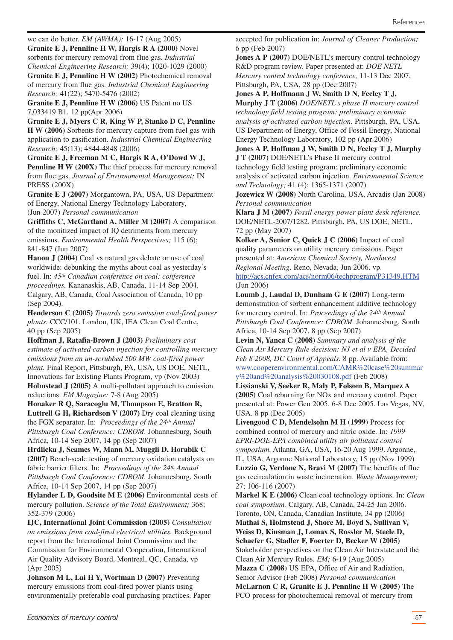we can do better. *EM (AWMA);* 16-17 (Aug 2005) **Granite E J, Pennline H W, Hargis R A (2000)** Novel sorbents for mercury removal from flue gas. *Industrial Chemical Engineering Research;* 39(4); 1020-1029 (2000) **Granite E J, Pennline H W (2002)** Photochemical removal of mercury from flue gas. *Industrial Chemical Engineering Research;* 41(22); 5470-5476 (2002)

**Granite E J, Pennline H W (2006)** US Patent no US 7,033419 B1. 12 pp(Apr 2006)

**Granite E J, Myers C R, King W P, Stanko D C, Pennline H W (2006)** Sorbents for mercury capture from fuel gas with application to gasification. *Industrial Chemical Engineering Research;* 45(13); 4844-4848 (2006)

**Granite E J, Freeman M C, Hargis R A, O'Dowd W J, Pennline H W (200X)** The thief process for mercury removal from flue gas. *Journal of Environmental Management;* IN PRESS (200X)

**Granite E J (2007)** Morgantown, PA, USA, US Department of Energy, National Energy Technology Laboratory, (Jun 2007) *Personal communication*

**Griffiths C, McGartland A, Miller M (2007)** A comparison of the monitized impact of IQ detriments from mercury emissions. *Environmental Health Perspectives;* 115 (6); 841-847 (Jun 2007)

**Hanou J (2004)** Coal vs natural gas debate or use of coal worldwide: debunking the myths about coal as yesterday's fuel. In: *45th Canadian conference on coal: conference proceedings.* Kananaskis, AB, Canada, 11-14 Sep 2004. Calgary, AB, Canada, Coal Association of Canada, 10 pp (Sep 2004).

**Henderson C (2005)** *Towards zero emission coal-fired power plants.* CCC/101. London, UK, IEA Clean Coal Centre, 40 pp (Sep 2005)

**Hoffman J, Ratafia-Brown J (2003)** *Preliminary cost estimate of activated carbon injection for controlling mercury emissions from an un-scrubbed 500 MW coal-fired power plant.* Final Report, Pittsburgh, PA, USA, US DOE, NETL, Innovations for Existing Plants Program, vp (Nov 2003) **Holmstead J (2005)** A multi-pollutant approach to emission reductions. *EM Magazine;* 7-8 (Aug 2005)

**Honaker R Q, Saracoglu M, Thompson E, Bratton R, Luttrell G H, Richardson V (2007)** Dry coal cleaning using the FGX separator. In: *Proceedings of the 24th Annual Pittsburgh Coal Conference: CDROM.* Johannesburg, South Africa, 10-14 Sep 2007, 14 pp (Sep 2007)

**Hrdlicka J, Seames W, Mann M, Muggli D, Horabik C (2007)** Bench-scale testing of mercury oxidation catalysts on fabric barrier filters. In: *Proceedings of the 24th Annual Pittsburgh Coal Conference: CDROM.* Johannesburg, South Africa, 10-14 Sep 2007, 14 pp (Sep 2007)

**Hylander L D, Goodsite M E (2006)** Environmental costs of mercury pollution. *Science of the Total Environment;* 368; 352-379 (2006)

**IJC, International Joint Commission (2005)** *Consultation on emissions from coal-fired electrical utilities.* Background report from the International Joint Commission and the Commission for Environmental Cooperation, International Air Quality Advisory Board, Montreal, QC, Canada, vp (Apr 2005)

**Johnson M L, Lai H Y, Wortman D (2007)** Preventing mercury emissions from coal-fired power plants using environmentally preferable coal purchasing practices. Paper **Jones A P (2007)** DOE/NETL's mercury control technology R&D program review. Paper presented at: *DOE NETL Mercury control technology conference,* 11-13 Dec 2007, Pittsburgh, PA, USA, 28 pp (Dec 2007)

**Jones A P, Hoffmann J W, Smith D N, Feeley T J, Murphy J T (2006)** *DOE/NETL's phase II mercury control technology field testing program: preliminary economic analysis of activated carbon injection.* Pittsburgh, PA, USA, US Department of Energy, Office of Fossil Energy, National Energy Technology Laboratory, 102 pp (Apr 2006)

**Jones A P, Hoffman J W, Smith D N, Feeley T J, Murphy J T (2007)** DOE/NETL's Phase II mercury control technology field testing program: preliminary economic

analysis of activated carbon injection. *Environmental Science and Technology;* 41 (4); 1365-1371 (2007)

**Jozewicz W (2008)** North Carolina, USA, Arcadis (Jan 2008) *Personal communication*

**Klara J M (2007)** *Fossil energy power plant desk reference.* DOE/NETL-2007/1282. Pittsburgh, PA, US DOE, NETL, 72 pp (May 2007)

**Kolker A, Senior C, Quick J C (2006)** Impact of coal quality parameters on utility mercury emissions. Paper presented at: *American Chemical Society, Northwest Regional Meeting*. Reno, Nevada, Jun 2006. vp. http://acs.cnfex.com/acs/norm06/techprogram/P31349.HTM (Jun 2006)

**Laumb J, Laudal D, Dunham G E (2007)** Long-term demonstration of sorbent enhancement additive technology for mercury control. In: *Proceedings of the 24th Annual Pittsburgh Coal Conference: CDROM.* Johannesburg, South Africa, 10-14 Sep 2007, 8 pp (Sep 2007)

**Levin N, Yanca C (2008)** *Summary and analysis of the Clean Air Mercury Rule decision: NJ et al v EPA, Decided Feb 8 2008, DC Court of Appeals.* 8 pp. Available from: [www.cooperenvironmental.com/CAMR%20case%20summar](www.cooperenvironmental.com/CAMR%20case%20summary%20and%20analysis%20030108.pdf) y%20and%20analysis%20030108.pdf (Feb 2008)

**Lissianski V, Seeker R, Maly P, Folsom B, Marquez A (2005)** Coal reburning for NOx and mercury control. Paper presented at: Power Gen 2005. 6-8 Dec 2005. Las Vegas, NV, USA. 8 pp (Dec 2005)

**Livengood C D, Mendelsohn M H (1999)** Process for combined control of mercury and nitric oxide. In: *1999 EPRI-DOE-EPA combined utility air pollutant control symposium.* Atlanta, GA, USA, 16-20 Aug 1999. Argonne, IL, USA, Argonne National Laboratory, 15 pp (Nov 1999) **Luzzio G, Verdone N, Bravi M (2007)** The benefits of flue gas recirculation in waste incineration. *Waste Management;* 27; 106-116 (2007)

**Markel K E (2006)** Clean coal technology options. In: *Clean coal symposium.* Calgary, AB, Canada, 24-25 Jan 2006. Toronto, ON, Canada, Canadian Institute, 34 pp (2006)

**Mathai S, Holmstead J, Shore M, Boyd S, Sullivan V, Weiss D, Kinsman J, Lomax S, Rossler M, Steele D, Schaefer G, Stadler F, Foerter D, Becker W (2005)** Stakeholder perspectives on the Clean Air Interstate and the Clean Air Mercury Rules. *EM;* 6-19 (Aug 2005)

**Mazza C (2008)** US EPA, Office of Air and Radiation, Senior Advisor (Feb 2008) *Personal communication* **McLarnon C R, Granite E J, Pennline H W (2005)** The PCO process for photochemical removal of mercury from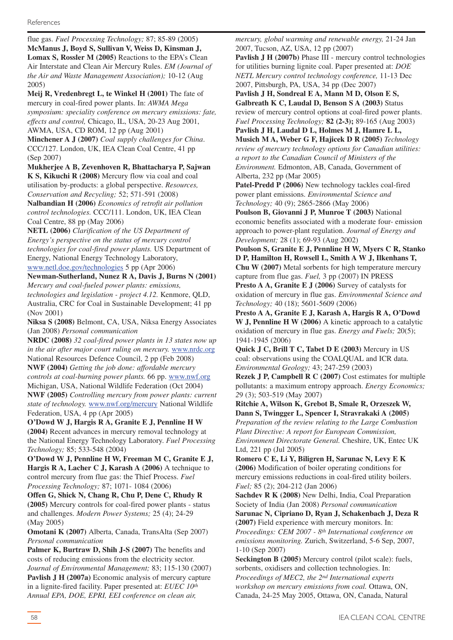flue gas. *Fuel Processing Technology;* 87; 85-89 (2005) **McManus J, Boyd S, Sullivan V, Weiss D, Kinsman J, Lomax S, Rossler M (2005)** Reactions to the EPA's Clean Air Interstate and Clean Air Mercury Rules. *EM (Journal of the Air and Waste Management Association);* 10-12 (Aug 2005)

**Meij R, Vredenbregt L, te Winkel H (2001)** The fate of mercury in coal-fired power plants. In: *AWMA Mega symposium: speciality conference on mercury emissions: fate, effects and control,* Chicago, IL, USA, 20-23 Aug 2001, AWMA, USA, CD ROM, 12 pp (Aug 2001)

**Minchener A J (2007)** *Coal supply challenges for China*. CCC/127. London, UK, IEA Clean Coal Centre, 41 pp (Sep 2007)

**Mukherjee A B, Zevenhoven R, Bhattacharya P, Sajwan K S, Kikuchi R (2008)** Mercury flow via coal and coal utilisation by-products: a global perspective. *Resources,*

*Conservation and Recycling;* 52; 571-591 (2008) **Nalbandian H (2006)** *Economics of retrofit air pollution control technologies.* CCC/111. London, UK, IEA Clean Coal Centre, 88 pp (May 2006)

**NETL (2006)** *Clarification of the US Department of Energy's perspective on the status of mercury control technologies for coal-fired power plants.* US Department of Energy, National Energy Technology Laboratory, www.netl.doe.gov/technologies 5 pp (Apr 2006)

**Newman-Sutherland, Nunez R A, Davis J, Burns N (2001)** *Mercury and coal-fueled power plants: emissions,*

*technologies and legislation - project 4.12.* Kenmore, QLD, Australia, CRC for Coal in Sustainable Development; 41 pp (Nov 2001)

**Niksa S (2008)** Belmont, CA, USA, Niksa Energy Associates (Jan 2008) *Personal communication*

**NRDC (2008)** *32 coal-fired power plants in 13 states now up in the air after major court ruling on mercury.* www.nrdc.org National Resources Defence Council, 2 pp (Feb 2008) **NWF (2004)** *Getting the job done: affordable mercury controls at coal-burning power plants.* 66 pp. www.nwf.org Michigan, USA, National Wildlife Federation (Oct 2004) **NWF (2005)** *Controlling mercury from power plants: current state of technology.* www.nwf.org/mercury National Wildlife Federation, USA, 4 pp (Apr 2005)

**O'Dowd W J, Hargis R A, Granite E J, Pennline H W (2004)** Recent advances in mercury removal technology at the National Energy Technology Laboratory. *Fuel Processing Technology;* 85; 533-548 (2004)

**O'Dowd W J, Pennline H W, Freeman M C, Granite E J, Hargis R A, Lacher C J, Karash A (2006)** A technique to control mercury from flue gas: the Thief Process. *Fuel Processing Technology;* 87; 1071- 1084 (2006)

**Offen G, Shick N, Chang R, Chu P, Dene C, Rhudy R (2005)** Mercury controls for coal-fired power plants - status and challenges. *Modern Power Systems;* 25 (4); 24-29 (May 2005)

**Omotani K (2007)** Alberta, Canada, TransAlta (Sep 2007) *Personal communication*

**Palmer K, Burtraw D, Shih J-S (2007)** The benefits and costs of reducing emissions from the electricity sector. *Journal of Environmental Management;* 83; 115-130 (2007) **Pavlish J H (2007a)** Economic analysis of mercury capture in a lignite-fired facility. Paper presented at: *EUEC 10th Annual EPA, DOE, EPRI, EEI conference on clean air,*

*mercury, global warming and renewable energy,* 21-24 Jan 2007, Tucson, AZ, USA, 12 pp (2007)

**Pavlish J H (2007b)** Phase III - mercury control technologies for utilities burning lignite coal. Paper presented at: *DOE NETL Mercury control technology conference,* 11-13 Dec 2007, Pittsburgh, PA, USA, 34 pp (Dec 2007)

**Pavlish J H, Sondreal E A, Mann M D, Olson E S, Galbreath K C, Laudal D, Benson S A (2003)** Status review of mercury control options at coal-fired power plants. *Fuel Processing Technology;* **82 (2-3);** 89-165 (Aug 2003)

**Pavlish J H, Laudal D L, Holmes M J, Hamre L L, Musich M A, Weber G F, Hajicek D R (2005)** *Technology review of mercury technology options for Canadian utilities: a report to the Canadian Council of Ministers of the Environment.* Edmonton, AB, Canada, Government of Alberta, 232 pp (Mar 2005)

**Patel-Predd P (2006)** New technology tackles coal-fired power plant emissions. *Environmental Science and Technology;* 40 (9); 2865-2866 (May 2006)

**Poulson B, Giovanni J P, Munroe T (2003)** National economic benefits associated with a moderate four- emission approach to power-plant regulation. *Journal of Energy and Development;* 28 (1); 69-93 (Aug 2002)

**Poulson S, Granite E J, Pennline H W, Myers C R, Stanko D P, Hamilton H, Rowsell L, Smith A W J, Ilkenhans T, Chu W (2007)** Metal sorbents for high temperature mercury capture from flue gas. *Fuel,* 3 pp (2007) IN PRESS

**Presto A A, Granite E J (2006)** Survey of catalysts for oxidation of mercury in flue gas. *Environmental Science and Technology;* 40 (18); 5601-5609 (2006)

**Presto A A, Granite E J, Karash A, Hargis R A, O'Dowd W J, Pennline H W (2006)** A kinetic approach to a catalytic oxidation of mercury in flue gas. *Energy and Fuels;* 20(5); 1941-1945 (2006)

**Quick J C, Brill T C, Tabet D E (2003)** Mercury in US coal: observations using the COALQUAL and ICR data. *Environmental Geology;* 43; 247-259 (2003)

**Rezek J P, Campbell R C (2007)** Cost estimates for multiple pollutants: a maximum entropy approach. *Energy Economics; 2*9 (3); 503-519 (May 2007)

**Ritchie A, Wilson K, Grebot B, Smale R, Orzeszek W, Dann S, Twingger L, Spencer I, Stravrakaki A (2005)** *Preparation of the review relating to the Large Combustion Plant Directive: A report for European Commission, Environment Directorate General.* Cheshire, UK, Entec UK Ltd, 221 pp (Jul 2005)

**Romero C E, Li Y, Biligren H, Sarunac N, Levy E K (2006)** Modification of boiler operating conditions for mercury emissions reductions in coal-fired utility boilers. *Fuel;* 85 (2); 204-212 (Jan 2006)

**Sachdev R K (2008)** New Delhi, India, Coal Preparation Society of India (Jan 2008) *Personal communication*

**Sarunac N, Cipriano D, Ryan J, Schakenbach J, Deza R (2007)** Field experience with mercury monitors. In: *Proceedings: CEM 2007 - 8th International conference on emissions monitoring.* Zurich, Switzerland, 5-6 Sep, 2007, 1-10 (Sep 2007)

**Seckington B (2005)** Mercury control (pilot scale): fuels, sorbents, oxidisers and collection technologies. In: *Proceedings of MEC2, the 2nd International experts workshop on mercury emissions from coal.* Ottawa, ON, Canada, 24-25 May 2005, Ottawa, ON, Canada, Natural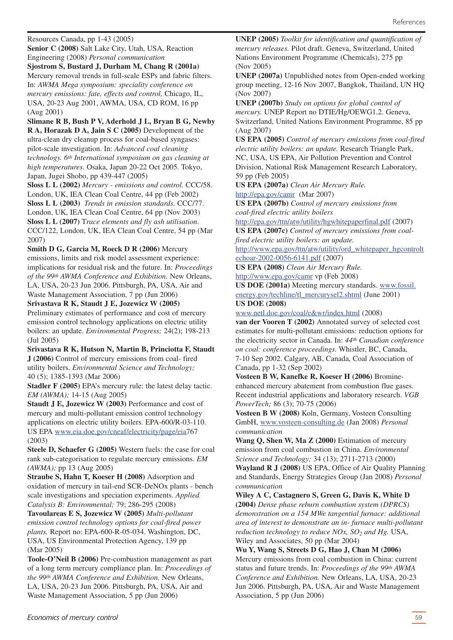Resources Canada, pp 1-43 (2005)

**Senior C (2008)** Salt Lake City, Utah, USA, Reaction Engineering (2008) *Personal communication*

**Sjostrom S, Bustard J, Durham M, Chang R (2001a)** Mercury removal trends in full-scale ESPs and fabric filters. In: *AWMA Mega symposium: speciality conference on mercury emissions: fate, effects and control,* Chicago, IL, USA, 20-23 Aug 2001, AWMA, USA, CD ROM, 16 pp (Aug 2001)

**Slimane R B, Bush P V, Aderhold J L, Bryan B G, Newby R A, Horazak D A, Jain S C (2005)** Development of the ultra-clean dry cleanup process for coal-based syngases: pilot-scale investigation. In: *Advanced coal cleaning technology. 6th International symposium on gas cleaning at high temperatures.* Osaka, Japan 20-22 Oct 2005. Tokyo, Japan, Jugei Shobo, pp 439-447 (2005)

**Sloss L L (2002)** *Mercury - emissions and control.* CCC/58. London, UK, IEA Clean Coal Centre, 44 pp (Feb 2002) **Sloss L L (2003)** *Trends in emission standards*. CCC/77. London, UK, IEA Clean Coal Centre, 64 pp (Nov 2003) **Sloss L L (2007)** T*race elements and fly ash utilisation*. CCC/122, London, UK, IEA Clean Coal Centre, 54 pp (Mar 2007)

**Smith D G, Garcia M, Roeck D R (2006)** Mercury emissions, limits and risk model assessment experience: implications for residual risk and the future. In: *Proceedings of the 99th AWMA Conference and Exhibition.* New Orleans, LA, USA, 20-23 Jun 2006. Pittsburgh, PA, USA, Air and Waste Management Association, 7 pp (Jun 2006)

#### **Srivastava R K, Staudt J E, Jozewicz W (2005)**

Preliminary estimates of performance and cost of mercury emission control technology applications on electric utility boilers: an update. *Environmental Progress;* 24(2); 198-213 (Jul 2005)

**Srivastava R K, Hutson N, Martin B, Princiotta F, Staudt J (2006)** Control of mercury emissions from coal- fired utility boilers. *Environmental Science and Technology;* 40 (5); 1385-1393 (Mar 2006)

**Stadler F (2005)** EPA's mercury rule: the latest delay tactic. *EM (AWMA);* 14-15 (Aug 2005)

**Staudt J E, Jozewicz W (2003)** Performance and cost of mercury and multi-pollutant emission control technology applications on electric utility boilers. EPA-600/R-03-110. US EPA www.eia.doe.gov/cneaf/electricity/page/eia767 (2003)

**Steele D, Schaefer G (2005)** Western fuels: the case for coal rank sub-categorisation to regulate mercury emissions. *EM (AWMA);* pp 13 (Aug 2005)

**Straube S, Hahn T, Koeser H (2008)** Adsorption and oxidation of mercury in tail-end SCR-DeNOx plants - bench scale investigations and speciation experiments. *Applied Catalysis B: Environmental;* 79; 286-295 (2008)

**Tavoulareas E S, Jozewicz W (2005)** *Multi-pollutant emission control technology options for coal-fired power plants.* Report no: EPA-600-R-05-034. Washington, DC, USA, US Environmental Protection Agency, 139 pp (Mar 2005)

**Toole-O'Neil B (2006)** Pre-combustion management as part of a long term mercury compliance plan. In: *Proceedings of the 99th AWMA Conference and Exhibition.* New Orleans, LA, USA, 20-23 Jun 2006. Pittsburgh, PA, USA, Air and Waste Management Association, 5 pp (Jun 2006)

**UNEP (2005)** *Toolkit for identification and quantification of mercury releases.* Pilot draft. Geneva, Switzerland, United Nations Environment Programme (Chemicals), 275 pp (Nov 2005)

**UNEP (2007a)** Unpublished notes from Open-ended working group meeting, 12-16 Nov 2007, Bangkok, Thailand, UN HQ (Nov 2007)

**UNEP (2007b)** *Study on options for global control of mercury.* UNEP Report no DTIE/Hg/OEWG1.2. Geneva, Switzerland, United Nations Environment Programme, 85 pp (Aug 2007)

**US EPA (2005)** *Control of mercury emissions from coal-fired electric utility boilers: an update.* Research Triangle Park, NC, USA, US EPA, Air Pollution Prevention and Control Division, National Risk Management Research Laboratory, 59 pp (Feb 2005)

**US EPA (2007a)** *Clean Air Mercury Rule.*

http://epa.gov/camr (Mar 2007)

**US EPA (2007b)** *Control of mercury emissions from coal-fired electric utility boilers*

http://epa.gov/ttn/atw/utility/hgwhitepaperfinal.pdf (2007)

**US EPA (2007c)** *Control of mercury emissions from coalfired electric utility boilers: an update.*

[http://www.epa.gov/ttn/atw/utility/ord\\_whitepaper\\_hgcontrolt](http://www.epa.gov/ttn/atw/utility/ord_whitepaper_hgcontroltechoar-2002-0056-6141.pdf) echoar-2002-0056-6141.pdf (2007)

**US EPA (2008)** *Clean Air Mercury Rule.* http://www.epa.gov/camr vp (Feb 2008)

**US DOE (2001a)** Meeting mercury standards. www.fossil. [energy.gov/techline/tl\\_mercurysel2.shtml](www.fossil.energy.gov/techline/tl_mercurysel2.shtml) (June 2001) **US DOE (2008)**

www.netl.doe.gov/coal/e&wr/index.html (2008)

**van der Vooren T (2002)** Annotated survey of selected cost estimates for multi-pollutant emissions: reduction options for the electricity sector in Canada. In: *44th Canadian conference on coal: conference proceedings.* Whistler, BC, Canada, 7-10 Sep 2002. Calgary, AB, Canada, Coal Association of Canada, pp 1-32 (Sep 2002)

**Vosteen B W, Kanefke R, Koeser H (2006)** Bromineenhanced mercury abatement from combustion flue gases. Recent industrial applications and laboratory research. *VGB PowerTech;* 86 (3); 70-75 (2006)

**Vosteen B W (2008)** Koln, Germany, Vosteen Consulting GmbH, www.vosteen-consulting.de (Jan 2008) *Personal communication*

**Wang Q, Shen W, Ma Z (2000)** Estimation of mercury emission from coal combustion in China. *Environmental Science and Technology;* 34 (13); 2711-2713 (2000)

**Wayland R J (2008)** US EPA, Office of Air Quality Planning and Standards, Energy Strategies Group (Jan 2008) *Personal communication*

**Wiley A C, Castagnero S, Green G, Davis K, White D (2004)** *Dense phase reburn combustion system (DPRCS) demonstration on a 154 MWe tangential furnace: additional area of interest to demonstrate an in- furnace multi-pollutant reduction technology to reduce NOx, SO2 and Hg.* USA, Wiley and Associates, 50 pp (Mar 2004)

**Wu Y, Wang S, Streets D G, Hao J, Chan M (2006)** Mercury emissions from coal combustion in China: current status and future trends. In: *Proceedings of the 99th AWMA Conference and Exhibition.* New Orleans, LA, USA, 20-23 Jun 2006. Pittsburgh, PA, USA, Air and Waste Management Association, 5 pp (Jun 2006)